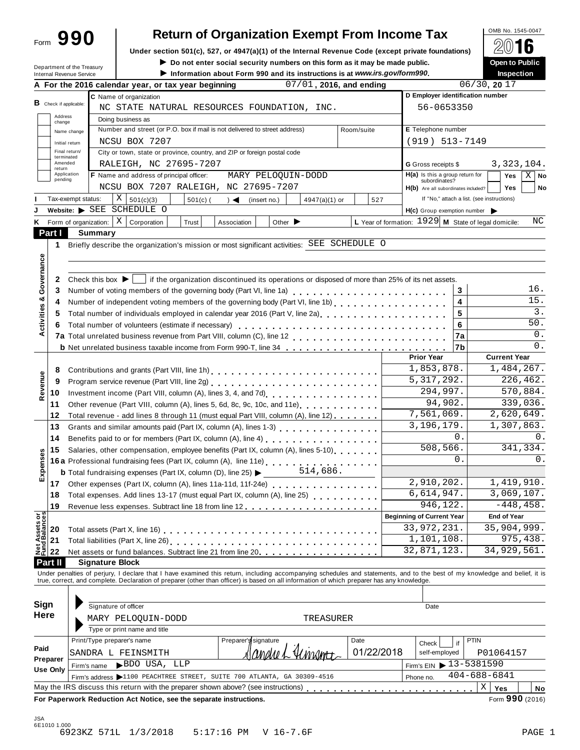Form **990**

# Return of Organization Exempt From Income Tax  $\begin{array}{|l|l|}\n\hline\n\text{Q(145-1545-0047)}\n\hline\n\text{Q(255-0047)}\n\hline\n\end{array}$

Under section 501(c), 527, or 4947(a)(1) of the Internal Revenue Code (except private foundations) **△**<del>○</del><br> **▶ Do not enter social security numbers on this form as it may be made public. ● ● ● ● ● ● ● ● ● ● ● ● ● ● ● ● ● ●** 

Under section 501(c), 527, or 4947(a)(1) or the Internal Revenue Code (except private foundations)<br>Department of the Treasury **Department of the Treasury Department of the Treasury** 

|                                                                                                  | Internal Revenue Service    | Department of the Treasury<br>Information about Form 990 and its instructions is at www.irs.gov/form990.                                                                                                                                       |                                                      |                                            | <b>Inspection</b>   |  |  |  |  |
|--------------------------------------------------------------------------------------------------|-----------------------------|------------------------------------------------------------------------------------------------------------------------------------------------------------------------------------------------------------------------------------------------|------------------------------------------------------|--------------------------------------------|---------------------|--|--|--|--|
|                                                                                                  |                             | 07/01, 2016, and ending<br>A For the 2016 calendar year, or tax year beginning                                                                                                                                                                 |                                                      | 06/30, 2017                                |                     |  |  |  |  |
|                                                                                                  |                             | C Name of organization                                                                                                                                                                                                                         |                                                      | D Employer identification number           |                     |  |  |  |  |
| <b>B</b> Check if applicable:                                                                    |                             | NC STATE NATURAL RESOURCES FOUNDATION, INC.                                                                                                                                                                                                    |                                                      | 56-0653350                                 |                     |  |  |  |  |
|                                                                                                  | Address                     |                                                                                                                                                                                                                                                |                                                      |                                            |                     |  |  |  |  |
| change                                                                                           |                             | Doing business as<br>Number and street (or P.O. box if mail is not delivered to street address)<br>Room/suite                                                                                                                                  | E Telephone number                                   |                                            |                     |  |  |  |  |
|                                                                                                  | Name change                 |                                                                                                                                                                                                                                                |                                                      |                                            |                     |  |  |  |  |
|                                                                                                  | Initial return              | NCSU BOX 7207                                                                                                                                                                                                                                  | $(919) 513 - 7149$                                   |                                            |                     |  |  |  |  |
|                                                                                                  | Final return/<br>terminated | City or town, state or province, country, and ZIP or foreign postal code                                                                                                                                                                       |                                                      |                                            |                     |  |  |  |  |
| return                                                                                           | Amended                     | RALEIGH, NC 27695-7207                                                                                                                                                                                                                         | G Gross receipts \$                                  |                                            | 3, 323, 104.        |  |  |  |  |
| pending                                                                                          | Application                 | F Name and address of principal officer:<br>MARY PELOQUIN-DODD                                                                                                                                                                                 | $H(a)$ is this a group return for<br>subordinates?   |                                            | $X \mid$ No<br>Yes  |  |  |  |  |
|                                                                                                  |                             | NCSU BOX 7207 RALEIGH, NC 27695-7207                                                                                                                                                                                                           | H(b) Are all subordinates included?                  |                                            | <b>Yes</b><br>No    |  |  |  |  |
|                                                                                                  | Tax-exempt status:          | Χ<br>501(c)(3)<br>527<br>$501(c)$ (<br>4947(a)(1) or<br>$\rightarrow$ $\rightarrow$<br>(insert no.)                                                                                                                                            |                                                      | If "No," attach a list. (see instructions) |                     |  |  |  |  |
|                                                                                                  |                             | Website: SEE SCHEDULE O                                                                                                                                                                                                                        | H(c) Group exemption number                          |                                            |                     |  |  |  |  |
| ĸ                                                                                                | Form of organization:       | X<br>Corporation<br>Trust<br>Other $\blacktriangleright$<br>Association                                                                                                                                                                        | L Year of formation: 1929 M State of legal domicile: |                                            | ΝC                  |  |  |  |  |
| Part I                                                                                           |                             | <b>Summary</b>                                                                                                                                                                                                                                 |                                                      |                                            |                     |  |  |  |  |
| 1                                                                                                |                             | Briefly describe the organization's mission or most significant activities: SEE SCHEDULE O                                                                                                                                                     |                                                      |                                            |                     |  |  |  |  |
|                                                                                                  |                             |                                                                                                                                                                                                                                                |                                                      |                                            |                     |  |  |  |  |
| Governance                                                                                       |                             |                                                                                                                                                                                                                                                |                                                      |                                            |                     |  |  |  |  |
| 2                                                                                                |                             | if the organization discontinued its operations or disposed of more than 25% of its net assets.<br>Check this box $\blacktriangleright$                                                                                                        |                                                      |                                            |                     |  |  |  |  |
| 3                                                                                                |                             |                                                                                                                                                                                                                                                |                                                      | 3                                          | 16.                 |  |  |  |  |
| 4                                                                                                |                             |                                                                                                                                                                                                                                                |                                                      | $\overline{\mathbf{4}}$                    | $\overline{15}$ .   |  |  |  |  |
| Activities &<br>5                                                                                |                             | Total number of individuals employed in calendar year 2016 (Part V, line 2a)<br>The 2a)                                                                                                                                                        |                                                      | 5                                          | 3.                  |  |  |  |  |
|                                                                                                  |                             |                                                                                                                                                                                                                                                |                                                      | 6                                          | $50.$               |  |  |  |  |
| 6                                                                                                |                             | Total number of volunteers (estimate if necessary)                                                                                                                                                                                             |                                                      |                                            | 0.                  |  |  |  |  |
|                                                                                                  |                             |                                                                                                                                                                                                                                                |                                                      | 7a                                         | $0$ .               |  |  |  |  |
|                                                                                                  |                             |                                                                                                                                                                                                                                                | <b>Prior Year</b>                                    | 7b                                         | <b>Current Year</b> |  |  |  |  |
|                                                                                                  |                             |                                                                                                                                                                                                                                                |                                                      |                                            |                     |  |  |  |  |
| 8                                                                                                |                             |                                                                                                                                                                                                                                                | 1,853,878.                                           |                                            | 1,484,267.          |  |  |  |  |
| Revenue<br>9                                                                                     |                             |                                                                                                                                                                                                                                                | 5, 317, 292.                                         |                                            | 226,462.            |  |  |  |  |
| 10                                                                                               |                             |                                                                                                                                                                                                                                                | 294,997.                                             |                                            | 570,884.            |  |  |  |  |
| 11                                                                                               |                             | Other revenue (Part VIII, column (A), lines 5, 6d, 8c, 9c, 10c, and 11e)                                                                                                                                                                       | 94,902.                                              |                                            | 339,036.            |  |  |  |  |
| 12                                                                                               |                             | Total revenue - add lines 8 through 11 (must equal Part VIII, column (A), line 12)                                                                                                                                                             | 7,561,069.                                           |                                            | 2,620,649.          |  |  |  |  |
| 13                                                                                               |                             | Grants and similar amounts paid (Part IX, column (A), lines 1-3) [10] [20] Crants and similar amounts paid (Part IX, column (A), lines 1-3)                                                                                                    | 3, 196, 179.                                         |                                            | 1,307,863.          |  |  |  |  |
| 14                                                                                               |                             | Benefits paid to or for members (Part IX, column (A), line 4)                                                                                                                                                                                  |                                                      | 0.                                         | $0$ .               |  |  |  |  |
| 15                                                                                               |                             |                                                                                                                                                                                                                                                |                                                      |                                            | 341,334.            |  |  |  |  |
|                                                                                                  |                             | Salaries, other compensation, employee benefits (Part IX, column (A), lines 5-10)                                                                                                                                                              | 508, 566.                                            |                                            |                     |  |  |  |  |
|                                                                                                  |                             |                                                                                                                                                                                                                                                |                                                      | 0.                                         | 0.                  |  |  |  |  |
|                                                                                                  |                             | 16a Professional fundraising fees (Part IX, column (A), line 11e)<br>16a Professional fundraising fees (Part IX, column (A), line 11e)<br>514,686.<br><b>b</b> Total fundraising expenses (Part IX, column (D), line 25) $\blacktriangleright$ |                                                      |                                            |                     |  |  |  |  |
| Expenses<br>17                                                                                   |                             |                                                                                                                                                                                                                                                | 2,910,202.                                           |                                            | 1,419,910.          |  |  |  |  |
| 18                                                                                               |                             | Other expenses (Part IX, column (A), lines 11a-11d, 11f-24e)                                                                                                                                                                                   | 6,614,947.                                           |                                            | 3,069,107.          |  |  |  |  |
|                                                                                                  |                             | Total expenses. Add lines 13-17 (must equal Part IX, column (A), line 25)                                                                                                                                                                      | 946,122.                                             |                                            | $-448, 458.$        |  |  |  |  |
| 19                                                                                               |                             |                                                                                                                                                                                                                                                | <b>Beginning of Current Year</b>                     |                                            | <b>End of Year</b>  |  |  |  |  |
|                                                                                                  |                             |                                                                                                                                                                                                                                                | 33, 972, 231.                                        |                                            |                     |  |  |  |  |
| 20                                                                                               |                             |                                                                                                                                                                                                                                                |                                                      |                                            | 35,904,999.         |  |  |  |  |
| 21                                                                                               |                             |                                                                                                                                                                                                                                                | 1,101,108.                                           |                                            | 975,438.            |  |  |  |  |
| 22                                                                                               |                             | Net assets or fund balances. Subtract line 21 from line 20 [11, 11, 11, 11, 11, 11, 11, 11]                                                                                                                                                    | 32,871,123.                                          |                                            | 34,929,561.         |  |  |  |  |
|                                                                                                  |                             | <b>Signature Block</b>                                                                                                                                                                                                                         |                                                      |                                            |                     |  |  |  |  |
|                                                                                                  |                             | Under penalties of perjury, I declare that I have examined this return, including accompanying schedules and statements, and to the best of my knowledge and belief, it is true, correct, and complete. Declaration of prepare                 |                                                      |                                            |                     |  |  |  |  |
|                                                                                                  |                             |                                                                                                                                                                                                                                                |                                                      |                                            |                     |  |  |  |  |
|                                                                                                  |                             |                                                                                                                                                                                                                                                |                                                      |                                            |                     |  |  |  |  |
|                                                                                                  |                             | Signature of officer                                                                                                                                                                                                                           | Date                                                 |                                            |                     |  |  |  |  |
|                                                                                                  |                             | MARY PELOQUIN-DODD<br>TREASURER                                                                                                                                                                                                                |                                                      |                                            |                     |  |  |  |  |
|                                                                                                  |                             | Type or print name and title                                                                                                                                                                                                                   |                                                      |                                            |                     |  |  |  |  |
|                                                                                                  |                             | Print/Type preparer's name<br>Date<br>Preparer's signature                                                                                                                                                                                     | Check                                                | PTIN<br>if                                 |                     |  |  |  |  |
|                                                                                                  |                             | 01/22/2018<br>SANDRA L FEINSMITH                                                                                                                                                                                                               | self-employed                                        | P01064157                                  |                     |  |  |  |  |
|                                                                                                  | Firm's name                 | BDO USA, LLP                                                                                                                                                                                                                                   |                                                      | Firm's EIN ▶ 13-5381590                    |                     |  |  |  |  |
| Net Assets or<br>Fund Balances<br>Part II<br>Sign<br>Here<br>Paid<br>Preparer<br><b>Use Only</b> |                             | Firm's address >1100 PEACHTREE STREET, SUITE 700 ATLANTA, GA 30309-4516                                                                                                                                                                        | Phone no.                                            | $404 - 688 - 6841$                         |                     |  |  |  |  |
|                                                                                                  |                             | May the IRS discuss this return with the preparer shown above? (see instructions)                                                                                                                                                              |                                                      | X<br>Yes                                   | No                  |  |  |  |  |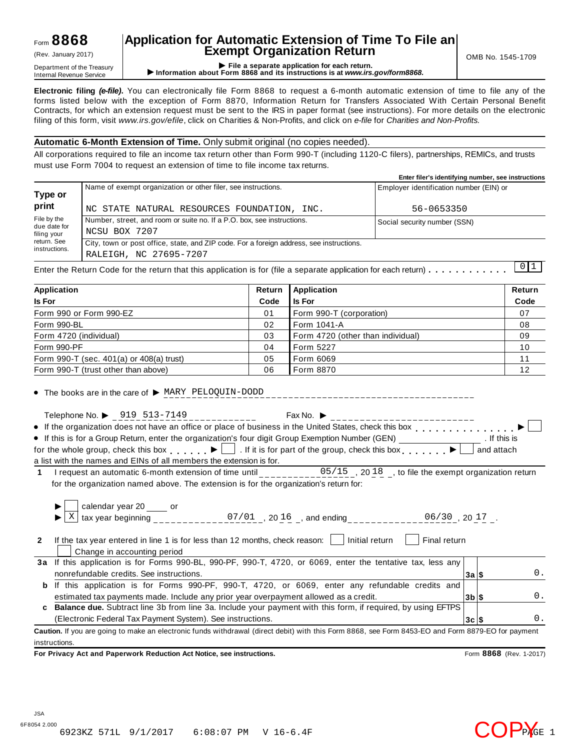## Form **8868**

## **Application for Automatic Extension of Time To File an Exempt Organization Return** (Rev. January 2017) OMB No. 1545-1709

Department of the Treasury<br>Department of the Treasury<br>Internal Revenue Service **CONFICE 1999 File a separate application for each return.**<br>Internal Revenue Service **CONFICE 1999 File a separate application for each return.** 

**Electronic filing** *(e-file)***.** You can electronically file Form 8868 to request a 6-month automatic extension of time to file any of the forms listed below with the exception of Form 8870, Information Return for Transfers Associated With Certain Personal Benefit Contracts, for which an extension request must be sent to the IRS in paper format (see instructions). For more details on the electronic filing of this form, visit *www.irs.gov/efile*, click on Charities & Non-Profits, and click on *e-file* for *Charities and Non-Profits.*

### **Automatic 6-Month Extension of Time.** Only submit original (no copies needed).

All corporations required to file an income tax return other than Form 990-T (including 1120-C filers), partnerships, REMICs, and trusts must use Form 7004 to request an extension of time to file income tax returns.

|                             |                                                                                          | Enter filer's identifying number, see instructions |
|-----------------------------|------------------------------------------------------------------------------------------|----------------------------------------------------|
| Type or                     | Name of exempt organization or other filer, see instructions.                            | Employer identification number (EIN) or            |
| print                       | NC STATE NATURAL RESOURCES FOUNDATION, INC.                                              | 56-0653350                                         |
| File by the                 | Number, street, and room or suite no. If a P.O. box, see instructions.                   | Social security number (SSN)                       |
| due date for<br>filing your | NCSU BOX 7207                                                                            |                                                    |
| return. See                 | City, town or post office, state, and ZIP code. For a foreign address, see instructions. |                                                    |
| instructions.               | RALEIGH, NC 27695-7207                                                                   |                                                    |

Enter the Return Code for the return that this application is for (file a separate application for each return)  $\dots \dots \dots$  $\begin{bmatrix} 0 & 1 \end{bmatrix}$ 

| Application                              | Return         | <b>Application</b>                | Return |
|------------------------------------------|----------------|-----------------------------------|--------|
| <b>Is For</b>                            |                | <b>Is For</b>                     | Code   |
| Form 990 or Form 990-EZ                  | 0 <sub>1</sub> | Form 990-T (corporation)          | 07     |
| Form 990-BL                              | 02             | l Form 1041-A                     | 08     |
| Form 4720 (individual)                   | 03             | Form 4720 (other than individual) | 09     |
| Form 990-PF                              | 04             | <b>Form 5227</b>                  | 10     |
| Form 990-T (sec. 401(a) or 408(a) trust) | 05             | Form 6069                         | 11     |
| Form 990-T (trust other than above)      | 06             | Form 8870                         | 12     |

 $\bullet$  The books are in the care of  $\triangleright$  MARY PELOQUIN-DODD

Telephone No.  $\triangleright$  919 513-7149<br>If the experiments of the state of the state of the state of the limit of  $\cdot$ If the organization does not have an office or place of business in the United States, check this box  $\Box$ If this is for a Group Return, enter the organization's four digit Group Exemption Number (GEN)  $\overline{\phantom{a}}$  for the organization's four digit Group Exemption Number (GEN) . If this is for the whole group, check this box  $\Box$  If it is for part of the group, check this box  $\Box$  and attach a list with the names and EINs of all members the extension is for.

**1** I request an automatic 6-month extension of time until \_\_\_\_\_\_\_\_\_\_\_ for the organization named above. The extension is for the organization's return for:  $05/15$ , 2018, to file the exempt organization return

|              | calendar year 20 _____ or<br>tax year beginning                                                                                                    |          |       |
|--------------|----------------------------------------------------------------------------------------------------------------------------------------------------|----------|-------|
|              | $07/01$ , 20 16, and ending<br>$06/30$ , 20 17.                                                                                                    |          |       |
| $\mathbf{2}$ | Initial return<br>If the tax year entered in line 1 is for less than 12 months, check reason:<br>Final return                                      |          |       |
|              | Change in accounting period                                                                                                                        |          |       |
| За           | If this application is for Forms 990-BL, 990-PF, 990-T, 4720, or 6069, enter the tentative tax, less any                                           |          |       |
|              | nonrefundable credits. See instructions.                                                                                                           | 3a S     | 0.    |
| b            | this application is for Forms 990-PF, 990-T, 4720, or 6069, enter any refundable credits and                                                       |          |       |
|              | estimated tax payments made. Include any prior year overpayment allowed as a credit.                                                               | 3b   \$  | 0.    |
| C            | <b>Balance due.</b> Subtract line 3b from line 3a. Include your payment with this form, if required, by using EFTPS                                |          |       |
|              | (Electronic Federal Tax Payment System). See instructions.                                                                                         | $3c$ $s$ | $0$ . |
|              | Caution. If you are going to make an electronic funds withdrawal (direct debit) with this Form 8868, see Form 8453-EO and Form 8879-EO for payment |          |       |
|              | instructions.                                                                                                                                      |          |       |

**For Privacy Act and Paperwork Reduction Act Notice, see instructions.** Form **8868** (Rev. 1-2017)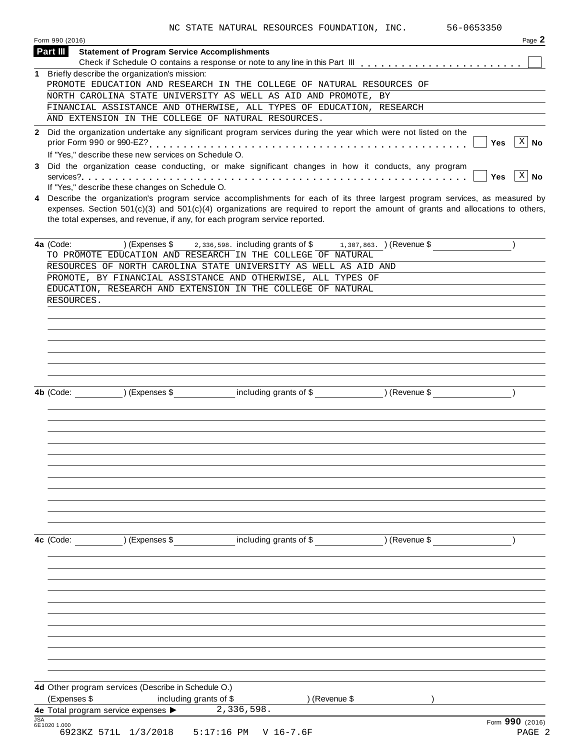NC STATE NATURAL RESOURCES FOUNDATION, INC. 56-0653350

| Form 990 (2016)                                                                                                                                                                                                                                                                                                                                      | Page 2                    |
|------------------------------------------------------------------------------------------------------------------------------------------------------------------------------------------------------------------------------------------------------------------------------------------------------------------------------------------------------|---------------------------|
| Part III<br><b>Statement of Program Service Accomplishments</b>                                                                                                                                                                                                                                                                                      |                           |
| 1 Briefly describe the organization's mission:                                                                                                                                                                                                                                                                                                       |                           |
| PROMOTE EDUCATION AND RESEARCH IN THE COLLEGE OF NATURAL RESOURCES OF                                                                                                                                                                                                                                                                                |                           |
| NORTH CAROLINA STATE UNIVERSITY AS WELL AS AID AND PROMOTE, BY                                                                                                                                                                                                                                                                                       |                           |
| FINANCIAL ASSISTANCE AND OTHERWISE, ALL TYPES OF EDUCATION, RESEARCH                                                                                                                                                                                                                                                                                 |                           |
| AND EXTENSION IN THE COLLEGE OF NATURAL RESOURCES.                                                                                                                                                                                                                                                                                                   |                           |
| 2 Did the organization undertake any significant program services during the year which were not listed on the<br>If "Yes," describe these new services on Schedule O.                                                                                                                                                                               | $ X $ No<br>Yes           |
| Did the organization cease conducting, or make significant changes in how it conducts, any program<br>3<br>If "Yes," describe these changes on Schedule O.                                                                                                                                                                                           | $ X $ No<br>Yes           |
| Describe the organization's program service accomplishments for each of its three largest program services, as measured by<br>4<br>expenses. Section $501(c)(3)$ and $501(c)(4)$ organizations are required to report the amount of grants and allocations to others,<br>the total expenses, and revenue, if any, for each program service reported. |                           |
| 4a (Code:<br>$2,336,598$ . including grants of \$<br>1,307,863. ) (Revenue \$<br>) (Expenses \$<br>TO PROMOTE EDUCATION AND RESEARCH IN THE COLLEGE OF NATURAL                                                                                                                                                                                       |                           |
| RESOURCES OF NORTH CAROLINA STATE UNIVERSITY AS WELL AS AID AND                                                                                                                                                                                                                                                                                      |                           |
| PROMOTE, BY FINANCIAL ASSISTANCE AND OTHERWISE, ALL TYPES OF                                                                                                                                                                                                                                                                                         |                           |
| EDUCATION, RESEARCH AND EXTENSION IN THE COLLEGE OF NATURAL<br>RESOURCES.                                                                                                                                                                                                                                                                            |                           |
|                                                                                                                                                                                                                                                                                                                                                      |                           |
|                                                                                                                                                                                                                                                                                                                                                      |                           |
| including grants of \$ ) (Revenue \$<br>) (Expenses \$<br>4b (Code:                                                                                                                                                                                                                                                                                  |                           |
|                                                                                                                                                                                                                                                                                                                                                      |                           |
| 4c (Code: ) (Expenses \$ including grants of \$ ) (Revenue \$                                                                                                                                                                                                                                                                                        |                           |
|                                                                                                                                                                                                                                                                                                                                                      |                           |
|                                                                                                                                                                                                                                                                                                                                                      |                           |
|                                                                                                                                                                                                                                                                                                                                                      |                           |
| 4d Other program services (Describe in Schedule O.)<br>(Expenses \$<br>including grants of \$<br>) (Revenue \$                                                                                                                                                                                                                                       |                           |
| 4e Total program service expenses ><br>2,336,598.                                                                                                                                                                                                                                                                                                    |                           |
| <b>JSA</b><br>6E1020 1.000                                                                                                                                                                                                                                                                                                                           | Form 990 (2016)<br>PAGE 2 |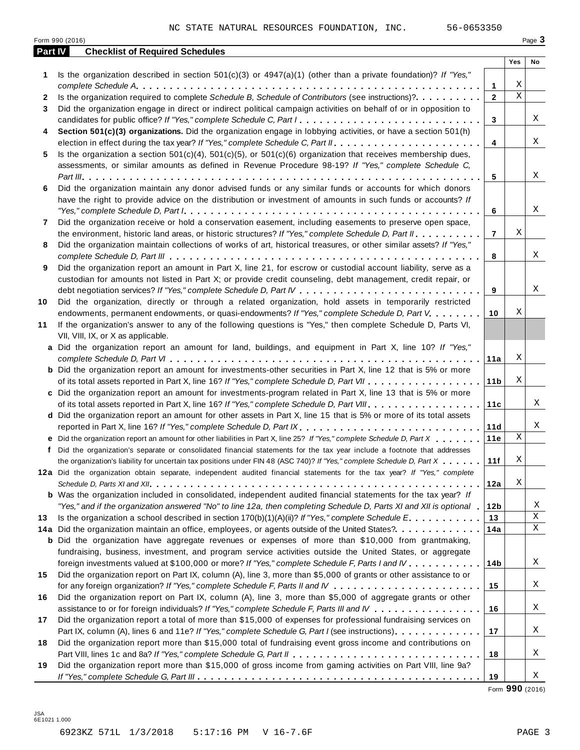NC STATE NATURAL RESOURCES FOUNDATION, INC. 56-0653350

|         | Form 990 (2016)                                                                                                                                                                                                                                                                                                                                                                               |                 |                  | Page 3 |
|---------|-----------------------------------------------------------------------------------------------------------------------------------------------------------------------------------------------------------------------------------------------------------------------------------------------------------------------------------------------------------------------------------------------|-----------------|------------------|--------|
| Part IV | <b>Checklist of Required Schedules</b>                                                                                                                                                                                                                                                                                                                                                        |                 |                  |        |
|         |                                                                                                                                                                                                                                                                                                                                                                                               |                 | Yes              | No     |
| 1       | Is the organization described in section $501(c)(3)$ or $4947(a)(1)$ (other than a private foundation)? If "Yes,"                                                                                                                                                                                                                                                                             |                 |                  |        |
|         |                                                                                                                                                                                                                                                                                                                                                                                               | 1               | Χ<br>$\mathbf X$ |        |
| 2       | Is the organization required to complete Schedule B, Schedule of Contributors (see instructions)?.                                                                                                                                                                                                                                                                                            | $\mathbf{2}$    |                  |        |
| 3       | Did the organization engage in direct or indirect political campaign activities on behalf of or in opposition to                                                                                                                                                                                                                                                                              |                 |                  |        |
|         | candidates for public office? If "Yes," complete Schedule C, Part I.                                                                                                                                                                                                                                                                                                                          | 3               |                  | Χ      |
| 4       | Section 501(c)(3) organizations. Did the organization engage in lobbying activities, or have a section 501(h)                                                                                                                                                                                                                                                                                 |                 |                  | Χ      |
|         |                                                                                                                                                                                                                                                                                                                                                                                               | $\overline{4}$  |                  |        |
| 5       | Is the organization a section $501(c)(4)$ , $501(c)(5)$ , or $501(c)(6)$ organization that receives membership dues,                                                                                                                                                                                                                                                                          |                 |                  |        |
|         | assessments, or similar amounts as defined in Revenue Procedure 98-19? If "Yes," complete Schedule C,                                                                                                                                                                                                                                                                                         | 5               |                  | Χ      |
| 6       | Did the organization maintain any donor advised funds or any similar funds or accounts for which donors                                                                                                                                                                                                                                                                                       |                 |                  |        |
|         | have the right to provide advice on the distribution or investment of amounts in such funds or accounts? If                                                                                                                                                                                                                                                                                   |                 |                  |        |
|         | "Yes," complete Schedule D, Part $l_1, \ldots, l_k, \ldots, l_k, \ldots, l_k, \ldots, l_k, \ldots, l_k, \ldots, l_k, \ldots, l_k, \ldots, l_k, \ldots, l_k, \ldots, l_k, \ldots, l_k, \ldots, l_k, \ldots, l_k, \ldots, l_k, \ldots, l_k, \ldots, l_k, \ldots, l_k, \ldots, l_k, \ldots, l_k, \ldots, l_k, \ldots, l_k, \ldots, l_k, \ldots, l_k, \ldots, l_k, \ldots, l_k, \ldots, l_k, \ld$ | 6               |                  | Χ      |
| 7       | Did the organization receive or hold a conservation easement, including easements to preserve open space,                                                                                                                                                                                                                                                                                     |                 |                  |        |
|         | the environment, historic land areas, or historic structures? If "Yes," complete Schedule D, Part II.                                                                                                                                                                                                                                                                                         | $\overline{7}$  | Χ                |        |
|         | Did the organization maintain collections of works of art, historical treasures, or other similar assets? If "Yes,"                                                                                                                                                                                                                                                                           |                 |                  |        |
| 8       |                                                                                                                                                                                                                                                                                                                                                                                               | 8               |                  | Χ      |
| 9       | Did the organization report an amount in Part X, line 21, for escrow or custodial account liability, serve as a                                                                                                                                                                                                                                                                               |                 |                  |        |
|         | custodian for amounts not listed in Part X; or provide credit counseling, debt management, credit repair, or                                                                                                                                                                                                                                                                                  |                 |                  |        |
|         |                                                                                                                                                                                                                                                                                                                                                                                               | 9               |                  | Χ      |
| 10      | Did the organization, directly or through a related organization, hold assets in temporarily restricted                                                                                                                                                                                                                                                                                       |                 |                  |        |
|         | endowments, permanent endowments, or quasi-endowments? If "Yes," complete Schedule D, Part V.                                                                                                                                                                                                                                                                                                 | 10              | Χ                |        |
| 11      | If the organization's answer to any of the following questions is "Yes," then complete Schedule D, Parts VI,                                                                                                                                                                                                                                                                                  |                 |                  |        |
|         | VII, VIII, IX, or X as applicable.                                                                                                                                                                                                                                                                                                                                                            |                 |                  |        |
|         | a Did the organization report an amount for land, buildings, and equipment in Part X, line 10? If "Yes,"                                                                                                                                                                                                                                                                                      |                 |                  |        |
|         |                                                                                                                                                                                                                                                                                                                                                                                               | 11a             | Χ                |        |
|         | <b>b</b> Did the organization report an amount for investments-other securities in Part X, line 12 that is 5% or more                                                                                                                                                                                                                                                                         |                 |                  |        |
|         |                                                                                                                                                                                                                                                                                                                                                                                               | 11 <sub>b</sub> | Χ                |        |
|         | c Did the organization report an amount for investments-program related in Part X, line 13 that is 5% or more                                                                                                                                                                                                                                                                                 |                 |                  |        |
|         |                                                                                                                                                                                                                                                                                                                                                                                               | 11c             |                  | Χ      |
|         | d Did the organization report an amount for other assets in Part X, line 15 that is 5% or more of its total assets                                                                                                                                                                                                                                                                            |                 |                  |        |
|         | reported in Part X, line 16? If "Yes," complete Schedule D, Part IX.                                                                                                                                                                                                                                                                                                                          | 11d             |                  | Χ      |
|         | e Did the organization report an amount for other liabilities in Part X, line 25? If "Yes," complete Schedule D, Part X                                                                                                                                                                                                                                                                       | 11e             | Χ                |        |
|         | f Did the organization's separate or consolidated financial statements for the tax year include a footnote that addresses                                                                                                                                                                                                                                                                     |                 |                  |        |
|         | the organization's liability for uncertain tax positions under FIN 48 (ASC 740)? If "Yes," complete Schedule D, Part X                                                                                                                                                                                                                                                                        | 11f             | Χ                |        |
|         | 12a Did the organization obtain separate, independent audited financial statements for the tax year? If "Yes," complete                                                                                                                                                                                                                                                                       |                 |                  |        |
|         |                                                                                                                                                                                                                                                                                                                                                                                               | 12a             | Χ                |        |
|         | <b>b</b> Was the organization included in consolidated, independent audited financial statements for the tax year? If                                                                                                                                                                                                                                                                         |                 |                  |        |
|         | "Yes," and if the organization answered "No" to line 12a, then completing Schedule D, Parts XI and XII is optional 1                                                                                                                                                                                                                                                                          | 12b             |                  | Χ      |
| 13      | Is the organization a school described in section $170(b)(1)(A)(ii)?$ If "Yes," complete Schedule E.                                                                                                                                                                                                                                                                                          | 13              |                  | Χ      |
|         | 14a Did the organization maintain an office, employees, or agents outside of the United States?.                                                                                                                                                                                                                                                                                              | 14a             |                  | X      |
|         | <b>b</b> Did the organization have aggregate revenues or expenses of more than \$10,000 from grantmaking,                                                                                                                                                                                                                                                                                     |                 |                  |        |
|         | fundraising, business, investment, and program service activities outside the United States, or aggregate                                                                                                                                                                                                                                                                                     |                 |                  |        |
|         | foreign investments valued at \$100,000 or more? If "Yes," complete Schedule F, Parts I and IV                                                                                                                                                                                                                                                                                                | 14 <sub>b</sub> |                  | Χ      |
| 15      | Did the organization report on Part IX, column (A), line 3, more than \$5,000 of grants or other assistance to or                                                                                                                                                                                                                                                                             |                 |                  |        |
|         |                                                                                                                                                                                                                                                                                                                                                                                               | 15              |                  | Χ      |
| 16      | Did the organization report on Part IX, column (A), line 3, more than \$5,000 of aggregate grants or other                                                                                                                                                                                                                                                                                    |                 |                  |        |
|         | assistance to or for foreign individuals? If "Yes," complete Schedule F, Parts III and IV                                                                                                                                                                                                                                                                                                     | 16              |                  | Χ      |
| 17      | Did the organization report a total of more than \$15,000 of expenses for professional fundraising services on                                                                                                                                                                                                                                                                                |                 |                  |        |
|         | Part IX, column (A), lines 6 and 11e? If "Yes," complete Schedule G, Part I (see instructions)                                                                                                                                                                                                                                                                                                | 17              |                  | Χ      |
| 18      | Did the organization report more than \$15,000 total of fundraising event gross income and contributions on                                                                                                                                                                                                                                                                                   |                 |                  |        |
|         |                                                                                                                                                                                                                                                                                                                                                                                               | 18              |                  | Χ      |
| 19      | Did the organization report more than \$15,000 of gross income from gaming activities on Part VIII, line 9a?                                                                                                                                                                                                                                                                                  |                 |                  |        |
|         |                                                                                                                                                                                                                                                                                                                                                                                               | 19              |                  | Χ      |

Form **990** (2016)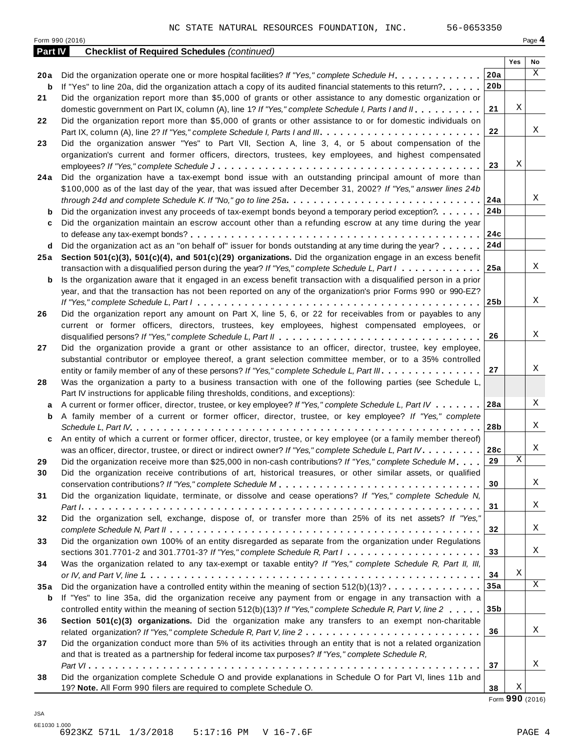| X<br>20a<br>Did the organization operate one or more hospital facilities? If "Yes," complete Schedule H.<br>20 a<br>20 <sub>b</sub><br>If "Yes" to line 20a, did the organization attach a copy of its audited financial statements to this return?<br>b<br>Did the organization report more than \$5,000 of grants or other assistance to any domestic organization or<br>21<br>Χ<br>21<br>domestic government on Part IX, column (A), line 1? If "Yes," complete Schedule I, Parts I and II.<br>Did the organization report more than \$5,000 of grants or other assistance to or for domestic individuals on<br>22<br>X<br>22<br>Did the organization answer "Yes" to Part VII, Section A, line 3, 4, or 5 about compensation of the<br>23<br>organization's current and former officers, directors, trustees, key employees, and highest compensated<br>Χ<br>23<br>Did the organization have a tax-exempt bond issue with an outstanding principal amount of more than<br>24 a<br>\$100,000 as of the last day of the year, that was issued after December 31, 2002? If "Yes," answer lines 24b<br>Χ<br>24a<br>through 24d and complete Schedule K. If "No," go to line 25a<br>24b<br>Did the organization invest any proceeds of tax-exempt bonds beyond a temporary period exception?.<br>b<br>Did the organization maintain an escrow account other than a refunding escrow at any time during the year<br>c<br>24c<br>24d<br>Did the organization act as an "on behalf of" issuer for bonds outstanding at any time during the year?<br>d<br>Section 501(c)(3), 501(c)(4), and 501(c)(29) organizations. Did the organization engage in an excess benefit<br>25 a<br>Χ<br>25a<br>transaction with a disqualified person during the year? If "Yes," complete Schedule L, Part I<br>Is the organization aware that it engaged in an excess benefit transaction with a disqualified person in a prior<br>b<br>year, and that the transaction has not been reported on any of the organization's prior Forms 990 or 990-EZ?<br>Χ<br>25 <sub>b</sub><br>Did the organization report any amount on Part X, line 5, 6, or 22 for receivables from or payables to any<br>26<br>current or former officers, directors, trustees, key employees, highest compensated employees, or<br>Χ<br>26<br>Did the organization provide a grant or other assistance to an officer, director, trustee, key employee,<br>27<br>substantial contributor or employee thereof, a grant selection committee member, or to a 35% controlled<br>Χ<br>27<br>entity or family member of any of these persons? If "Yes," complete Schedule L, Part III.<br>Was the organization a party to a business transaction with one of the following parties (see Schedule L,<br>28<br>Part IV instructions for applicable filing thresholds, conditions, and exceptions):<br>X<br>28a<br>A current or former officer, director, trustee, or key employee? If "Yes," complete Schedule L, Part IV<br>a<br>A family member of a current or former officer, director, trustee, or key employee? If "Yes," complete<br>b<br>Χ<br>28b<br>An entity of which a current or former officer, director, trustee, or key employee (or a family member thereof)<br>c<br>Χ<br>was an officer, director, trustee, or direct or indirect owner? If "Yes," complete Schedule L, Part IV.<br>28c<br>Χ<br>29<br>Did the organization receive more than \$25,000 in non-cash contributions? If "Yes," complete Schedule M.<br>29<br>Did the organization receive contributions of art, historical treasures, or other similar assets, or qualified<br>30<br>Χ<br>30<br>Did the organization liquidate, terminate, or dissolve and cease operations? If "Yes," complete Schedule N,<br>31<br>X<br>31<br>Did the organization sell, exchange, dispose of, or transfer more than 25% of its net assets? If "Yes,"<br>32<br>X<br>32<br>Did the organization own 100% of an entity disregarded as separate from the organization under Regulations<br>33<br>X<br>33<br>sections 301.7701-2 and 301.7701-3? If "Yes," complete Schedule R, Part  <br>Was the organization related to any tax-exempt or taxable entity? If "Yes," complete Schedule R, Part II, III,<br>34<br>Χ<br>34<br>X<br>Did the organization have a controlled entity within the meaning of section $512(b)(13)? \ldots \ldots \ldots \ldots$<br>35a<br>35a<br>If "Yes" to line 35a, did the organization receive any payment from or engage in any transaction with a<br>b<br>controlled entity within the meaning of section 512(b)(13)? If "Yes," complete Schedule R, Part V, line 2<br>35 <sub>b</sub><br>Section 501(c)(3) organizations. Did the organization make any transfers to an exempt non-charitable<br>36<br>Χ<br>36<br>Did the organization conduct more than 5% of its activities through an entity that is not a related organization<br>37<br>and that is treated as a partnership for federal income tax purposes? If "Yes," complete Schedule R,<br>X<br>37<br>Did the organization complete Schedule O and provide explanations in Schedule O for Part VI, lines 11b and<br>38<br>Χ<br>19? Note. All Form 990 filers are required to complete Schedule O.<br>38 | <b>Part IV</b> | <b>Checklist of Required Schedules (continued)</b> |     |    |
|-----------------------------------------------------------------------------------------------------------------------------------------------------------------------------------------------------------------------------------------------------------------------------------------------------------------------------------------------------------------------------------------------------------------------------------------------------------------------------------------------------------------------------------------------------------------------------------------------------------------------------------------------------------------------------------------------------------------------------------------------------------------------------------------------------------------------------------------------------------------------------------------------------------------------------------------------------------------------------------------------------------------------------------------------------------------------------------------------------------------------------------------------------------------------------------------------------------------------------------------------------------------------------------------------------------------------------------------------------------------------------------------------------------------------------------------------------------------------------------------------------------------------------------------------------------------------------------------------------------------------------------------------------------------------------------------------------------------------------------------------------------------------------------------------------------------------------------------------------------------------------------------------------------------------------------------------------------------------------------------------------------------------------------------------------------------------------------------------------------------------------------------------------------------------------------------------------------------------------------------------------------------------------------------------------------------------------------------------------------------------------------------------------------------------------------------------------------------------------------------------------------------------------------------------------------------------------------------------------------------------------------------------------------------------------------------------------------------------------------------------------------------------------------------------------------------------------------------------------------------------------------------------------------------------------------------------------------------------------------------------------------------------------------------------------------------------------------------------------------------------------------------------------------------------------------------------------------------------------------------------------------------------------------------------------------------------------------------------------------------------------------------------------------------------------------------------------------------------------------------------------------------------------------------------------------------------------------------------------------------------------------------------------------------------------------------------------------------------------------------------------------------------------------------------------------------------------------------------------------------------------------------------------------------------------------------------------------------------------------------------------------------------------------------------------------------------------------------------------------------------------------------------------------------------------------------------------------------------------------------------------------------------------------------------------------------------------------------------------------------------------------------------------------------------------------------------------------------------------------------------------------------------------------------------------------------------------------------------------------------------------------------------------------------------------------------------------------------------------------------------------------------------------------------------------------------------------------------------------------------------------------------------------------------------------------------------------------------------------------------------------------------------------------------------------------------------------------------------------------------------------------------------------------------------------------------------------|----------------|----------------------------------------------------|-----|----|
|                                                                                                                                                                                                                                                                                                                                                                                                                                                                                                                                                                                                                                                                                                                                                                                                                                                                                                                                                                                                                                                                                                                                                                                                                                                                                                                                                                                                                                                                                                                                                                                                                                                                                                                                                                                                                                                                                                                                                                                                                                                                                                                                                                                                                                                                                                                                                                                                                                                                                                                                                                                                                                                                                                                                                                                                                                                                                                                                                                                                                                                                                                                                                                                                                                                                                                                                                                                                                                                                                                                                                                                                                                                                                                                                                                                                                                                                                                                                                                                                                                                                                                                                                                                                                                                                                                                                                                                                                                                                                                                                                                                                                                                                                                                                                                                                                                                                                                                                                                                                                                                                                                                                                                                                     |                |                                                    | Yes | No |
|                                                                                                                                                                                                                                                                                                                                                                                                                                                                                                                                                                                                                                                                                                                                                                                                                                                                                                                                                                                                                                                                                                                                                                                                                                                                                                                                                                                                                                                                                                                                                                                                                                                                                                                                                                                                                                                                                                                                                                                                                                                                                                                                                                                                                                                                                                                                                                                                                                                                                                                                                                                                                                                                                                                                                                                                                                                                                                                                                                                                                                                                                                                                                                                                                                                                                                                                                                                                                                                                                                                                                                                                                                                                                                                                                                                                                                                                                                                                                                                                                                                                                                                                                                                                                                                                                                                                                                                                                                                                                                                                                                                                                                                                                                                                                                                                                                                                                                                                                                                                                                                                                                                                                                                                     |                |                                                    |     |    |
|                                                                                                                                                                                                                                                                                                                                                                                                                                                                                                                                                                                                                                                                                                                                                                                                                                                                                                                                                                                                                                                                                                                                                                                                                                                                                                                                                                                                                                                                                                                                                                                                                                                                                                                                                                                                                                                                                                                                                                                                                                                                                                                                                                                                                                                                                                                                                                                                                                                                                                                                                                                                                                                                                                                                                                                                                                                                                                                                                                                                                                                                                                                                                                                                                                                                                                                                                                                                                                                                                                                                                                                                                                                                                                                                                                                                                                                                                                                                                                                                                                                                                                                                                                                                                                                                                                                                                                                                                                                                                                                                                                                                                                                                                                                                                                                                                                                                                                                                                                                                                                                                                                                                                                                                     |                |                                                    |     |    |
|                                                                                                                                                                                                                                                                                                                                                                                                                                                                                                                                                                                                                                                                                                                                                                                                                                                                                                                                                                                                                                                                                                                                                                                                                                                                                                                                                                                                                                                                                                                                                                                                                                                                                                                                                                                                                                                                                                                                                                                                                                                                                                                                                                                                                                                                                                                                                                                                                                                                                                                                                                                                                                                                                                                                                                                                                                                                                                                                                                                                                                                                                                                                                                                                                                                                                                                                                                                                                                                                                                                                                                                                                                                                                                                                                                                                                                                                                                                                                                                                                                                                                                                                                                                                                                                                                                                                                                                                                                                                                                                                                                                                                                                                                                                                                                                                                                                                                                                                                                                                                                                                                                                                                                                                     |                |                                                    |     |    |
|                                                                                                                                                                                                                                                                                                                                                                                                                                                                                                                                                                                                                                                                                                                                                                                                                                                                                                                                                                                                                                                                                                                                                                                                                                                                                                                                                                                                                                                                                                                                                                                                                                                                                                                                                                                                                                                                                                                                                                                                                                                                                                                                                                                                                                                                                                                                                                                                                                                                                                                                                                                                                                                                                                                                                                                                                                                                                                                                                                                                                                                                                                                                                                                                                                                                                                                                                                                                                                                                                                                                                                                                                                                                                                                                                                                                                                                                                                                                                                                                                                                                                                                                                                                                                                                                                                                                                                                                                                                                                                                                                                                                                                                                                                                                                                                                                                                                                                                                                                                                                                                                                                                                                                                                     |                |                                                    |     |    |
|                                                                                                                                                                                                                                                                                                                                                                                                                                                                                                                                                                                                                                                                                                                                                                                                                                                                                                                                                                                                                                                                                                                                                                                                                                                                                                                                                                                                                                                                                                                                                                                                                                                                                                                                                                                                                                                                                                                                                                                                                                                                                                                                                                                                                                                                                                                                                                                                                                                                                                                                                                                                                                                                                                                                                                                                                                                                                                                                                                                                                                                                                                                                                                                                                                                                                                                                                                                                                                                                                                                                                                                                                                                                                                                                                                                                                                                                                                                                                                                                                                                                                                                                                                                                                                                                                                                                                                                                                                                                                                                                                                                                                                                                                                                                                                                                                                                                                                                                                                                                                                                                                                                                                                                                     |                |                                                    |     |    |
|                                                                                                                                                                                                                                                                                                                                                                                                                                                                                                                                                                                                                                                                                                                                                                                                                                                                                                                                                                                                                                                                                                                                                                                                                                                                                                                                                                                                                                                                                                                                                                                                                                                                                                                                                                                                                                                                                                                                                                                                                                                                                                                                                                                                                                                                                                                                                                                                                                                                                                                                                                                                                                                                                                                                                                                                                                                                                                                                                                                                                                                                                                                                                                                                                                                                                                                                                                                                                                                                                                                                                                                                                                                                                                                                                                                                                                                                                                                                                                                                                                                                                                                                                                                                                                                                                                                                                                                                                                                                                                                                                                                                                                                                                                                                                                                                                                                                                                                                                                                                                                                                                                                                                                                                     |                |                                                    |     |    |
|                                                                                                                                                                                                                                                                                                                                                                                                                                                                                                                                                                                                                                                                                                                                                                                                                                                                                                                                                                                                                                                                                                                                                                                                                                                                                                                                                                                                                                                                                                                                                                                                                                                                                                                                                                                                                                                                                                                                                                                                                                                                                                                                                                                                                                                                                                                                                                                                                                                                                                                                                                                                                                                                                                                                                                                                                                                                                                                                                                                                                                                                                                                                                                                                                                                                                                                                                                                                                                                                                                                                                                                                                                                                                                                                                                                                                                                                                                                                                                                                                                                                                                                                                                                                                                                                                                                                                                                                                                                                                                                                                                                                                                                                                                                                                                                                                                                                                                                                                                                                                                                                                                                                                                                                     |                |                                                    |     |    |
|                                                                                                                                                                                                                                                                                                                                                                                                                                                                                                                                                                                                                                                                                                                                                                                                                                                                                                                                                                                                                                                                                                                                                                                                                                                                                                                                                                                                                                                                                                                                                                                                                                                                                                                                                                                                                                                                                                                                                                                                                                                                                                                                                                                                                                                                                                                                                                                                                                                                                                                                                                                                                                                                                                                                                                                                                                                                                                                                                                                                                                                                                                                                                                                                                                                                                                                                                                                                                                                                                                                                                                                                                                                                                                                                                                                                                                                                                                                                                                                                                                                                                                                                                                                                                                                                                                                                                                                                                                                                                                                                                                                                                                                                                                                                                                                                                                                                                                                                                                                                                                                                                                                                                                                                     |                |                                                    |     |    |
|                                                                                                                                                                                                                                                                                                                                                                                                                                                                                                                                                                                                                                                                                                                                                                                                                                                                                                                                                                                                                                                                                                                                                                                                                                                                                                                                                                                                                                                                                                                                                                                                                                                                                                                                                                                                                                                                                                                                                                                                                                                                                                                                                                                                                                                                                                                                                                                                                                                                                                                                                                                                                                                                                                                                                                                                                                                                                                                                                                                                                                                                                                                                                                                                                                                                                                                                                                                                                                                                                                                                                                                                                                                                                                                                                                                                                                                                                                                                                                                                                                                                                                                                                                                                                                                                                                                                                                                                                                                                                                                                                                                                                                                                                                                                                                                                                                                                                                                                                                                                                                                                                                                                                                                                     |                |                                                    |     |    |
|                                                                                                                                                                                                                                                                                                                                                                                                                                                                                                                                                                                                                                                                                                                                                                                                                                                                                                                                                                                                                                                                                                                                                                                                                                                                                                                                                                                                                                                                                                                                                                                                                                                                                                                                                                                                                                                                                                                                                                                                                                                                                                                                                                                                                                                                                                                                                                                                                                                                                                                                                                                                                                                                                                                                                                                                                                                                                                                                                                                                                                                                                                                                                                                                                                                                                                                                                                                                                                                                                                                                                                                                                                                                                                                                                                                                                                                                                                                                                                                                                                                                                                                                                                                                                                                                                                                                                                                                                                                                                                                                                                                                                                                                                                                                                                                                                                                                                                                                                                                                                                                                                                                                                                                                     |                |                                                    |     |    |
|                                                                                                                                                                                                                                                                                                                                                                                                                                                                                                                                                                                                                                                                                                                                                                                                                                                                                                                                                                                                                                                                                                                                                                                                                                                                                                                                                                                                                                                                                                                                                                                                                                                                                                                                                                                                                                                                                                                                                                                                                                                                                                                                                                                                                                                                                                                                                                                                                                                                                                                                                                                                                                                                                                                                                                                                                                                                                                                                                                                                                                                                                                                                                                                                                                                                                                                                                                                                                                                                                                                                                                                                                                                                                                                                                                                                                                                                                                                                                                                                                                                                                                                                                                                                                                                                                                                                                                                                                                                                                                                                                                                                                                                                                                                                                                                                                                                                                                                                                                                                                                                                                                                                                                                                     |                |                                                    |     |    |
|                                                                                                                                                                                                                                                                                                                                                                                                                                                                                                                                                                                                                                                                                                                                                                                                                                                                                                                                                                                                                                                                                                                                                                                                                                                                                                                                                                                                                                                                                                                                                                                                                                                                                                                                                                                                                                                                                                                                                                                                                                                                                                                                                                                                                                                                                                                                                                                                                                                                                                                                                                                                                                                                                                                                                                                                                                                                                                                                                                                                                                                                                                                                                                                                                                                                                                                                                                                                                                                                                                                                                                                                                                                                                                                                                                                                                                                                                                                                                                                                                                                                                                                                                                                                                                                                                                                                                                                                                                                                                                                                                                                                                                                                                                                                                                                                                                                                                                                                                                                                                                                                                                                                                                                                     |                |                                                    |     |    |
|                                                                                                                                                                                                                                                                                                                                                                                                                                                                                                                                                                                                                                                                                                                                                                                                                                                                                                                                                                                                                                                                                                                                                                                                                                                                                                                                                                                                                                                                                                                                                                                                                                                                                                                                                                                                                                                                                                                                                                                                                                                                                                                                                                                                                                                                                                                                                                                                                                                                                                                                                                                                                                                                                                                                                                                                                                                                                                                                                                                                                                                                                                                                                                                                                                                                                                                                                                                                                                                                                                                                                                                                                                                                                                                                                                                                                                                                                                                                                                                                                                                                                                                                                                                                                                                                                                                                                                                                                                                                                                                                                                                                                                                                                                                                                                                                                                                                                                                                                                                                                                                                                                                                                                                                     |                |                                                    |     |    |
|                                                                                                                                                                                                                                                                                                                                                                                                                                                                                                                                                                                                                                                                                                                                                                                                                                                                                                                                                                                                                                                                                                                                                                                                                                                                                                                                                                                                                                                                                                                                                                                                                                                                                                                                                                                                                                                                                                                                                                                                                                                                                                                                                                                                                                                                                                                                                                                                                                                                                                                                                                                                                                                                                                                                                                                                                                                                                                                                                                                                                                                                                                                                                                                                                                                                                                                                                                                                                                                                                                                                                                                                                                                                                                                                                                                                                                                                                                                                                                                                                                                                                                                                                                                                                                                                                                                                                                                                                                                                                                                                                                                                                                                                                                                                                                                                                                                                                                                                                                                                                                                                                                                                                                                                     |                |                                                    |     |    |
|                                                                                                                                                                                                                                                                                                                                                                                                                                                                                                                                                                                                                                                                                                                                                                                                                                                                                                                                                                                                                                                                                                                                                                                                                                                                                                                                                                                                                                                                                                                                                                                                                                                                                                                                                                                                                                                                                                                                                                                                                                                                                                                                                                                                                                                                                                                                                                                                                                                                                                                                                                                                                                                                                                                                                                                                                                                                                                                                                                                                                                                                                                                                                                                                                                                                                                                                                                                                                                                                                                                                                                                                                                                                                                                                                                                                                                                                                                                                                                                                                                                                                                                                                                                                                                                                                                                                                                                                                                                                                                                                                                                                                                                                                                                                                                                                                                                                                                                                                                                                                                                                                                                                                                                                     |                |                                                    |     |    |
|                                                                                                                                                                                                                                                                                                                                                                                                                                                                                                                                                                                                                                                                                                                                                                                                                                                                                                                                                                                                                                                                                                                                                                                                                                                                                                                                                                                                                                                                                                                                                                                                                                                                                                                                                                                                                                                                                                                                                                                                                                                                                                                                                                                                                                                                                                                                                                                                                                                                                                                                                                                                                                                                                                                                                                                                                                                                                                                                                                                                                                                                                                                                                                                                                                                                                                                                                                                                                                                                                                                                                                                                                                                                                                                                                                                                                                                                                                                                                                                                                                                                                                                                                                                                                                                                                                                                                                                                                                                                                                                                                                                                                                                                                                                                                                                                                                                                                                                                                                                                                                                                                                                                                                                                     |                |                                                    |     |    |
|                                                                                                                                                                                                                                                                                                                                                                                                                                                                                                                                                                                                                                                                                                                                                                                                                                                                                                                                                                                                                                                                                                                                                                                                                                                                                                                                                                                                                                                                                                                                                                                                                                                                                                                                                                                                                                                                                                                                                                                                                                                                                                                                                                                                                                                                                                                                                                                                                                                                                                                                                                                                                                                                                                                                                                                                                                                                                                                                                                                                                                                                                                                                                                                                                                                                                                                                                                                                                                                                                                                                                                                                                                                                                                                                                                                                                                                                                                                                                                                                                                                                                                                                                                                                                                                                                                                                                                                                                                                                                                                                                                                                                                                                                                                                                                                                                                                                                                                                                                                                                                                                                                                                                                                                     |                |                                                    |     |    |
|                                                                                                                                                                                                                                                                                                                                                                                                                                                                                                                                                                                                                                                                                                                                                                                                                                                                                                                                                                                                                                                                                                                                                                                                                                                                                                                                                                                                                                                                                                                                                                                                                                                                                                                                                                                                                                                                                                                                                                                                                                                                                                                                                                                                                                                                                                                                                                                                                                                                                                                                                                                                                                                                                                                                                                                                                                                                                                                                                                                                                                                                                                                                                                                                                                                                                                                                                                                                                                                                                                                                                                                                                                                                                                                                                                                                                                                                                                                                                                                                                                                                                                                                                                                                                                                                                                                                                                                                                                                                                                                                                                                                                                                                                                                                                                                                                                                                                                                                                                                                                                                                                                                                                                                                     |                |                                                    |     |    |
|                                                                                                                                                                                                                                                                                                                                                                                                                                                                                                                                                                                                                                                                                                                                                                                                                                                                                                                                                                                                                                                                                                                                                                                                                                                                                                                                                                                                                                                                                                                                                                                                                                                                                                                                                                                                                                                                                                                                                                                                                                                                                                                                                                                                                                                                                                                                                                                                                                                                                                                                                                                                                                                                                                                                                                                                                                                                                                                                                                                                                                                                                                                                                                                                                                                                                                                                                                                                                                                                                                                                                                                                                                                                                                                                                                                                                                                                                                                                                                                                                                                                                                                                                                                                                                                                                                                                                                                                                                                                                                                                                                                                                                                                                                                                                                                                                                                                                                                                                                                                                                                                                                                                                                                                     |                |                                                    |     |    |
|                                                                                                                                                                                                                                                                                                                                                                                                                                                                                                                                                                                                                                                                                                                                                                                                                                                                                                                                                                                                                                                                                                                                                                                                                                                                                                                                                                                                                                                                                                                                                                                                                                                                                                                                                                                                                                                                                                                                                                                                                                                                                                                                                                                                                                                                                                                                                                                                                                                                                                                                                                                                                                                                                                                                                                                                                                                                                                                                                                                                                                                                                                                                                                                                                                                                                                                                                                                                                                                                                                                                                                                                                                                                                                                                                                                                                                                                                                                                                                                                                                                                                                                                                                                                                                                                                                                                                                                                                                                                                                                                                                                                                                                                                                                                                                                                                                                                                                                                                                                                                                                                                                                                                                                                     |                |                                                    |     |    |
|                                                                                                                                                                                                                                                                                                                                                                                                                                                                                                                                                                                                                                                                                                                                                                                                                                                                                                                                                                                                                                                                                                                                                                                                                                                                                                                                                                                                                                                                                                                                                                                                                                                                                                                                                                                                                                                                                                                                                                                                                                                                                                                                                                                                                                                                                                                                                                                                                                                                                                                                                                                                                                                                                                                                                                                                                                                                                                                                                                                                                                                                                                                                                                                                                                                                                                                                                                                                                                                                                                                                                                                                                                                                                                                                                                                                                                                                                                                                                                                                                                                                                                                                                                                                                                                                                                                                                                                                                                                                                                                                                                                                                                                                                                                                                                                                                                                                                                                                                                                                                                                                                                                                                                                                     |                |                                                    |     |    |
|                                                                                                                                                                                                                                                                                                                                                                                                                                                                                                                                                                                                                                                                                                                                                                                                                                                                                                                                                                                                                                                                                                                                                                                                                                                                                                                                                                                                                                                                                                                                                                                                                                                                                                                                                                                                                                                                                                                                                                                                                                                                                                                                                                                                                                                                                                                                                                                                                                                                                                                                                                                                                                                                                                                                                                                                                                                                                                                                                                                                                                                                                                                                                                                                                                                                                                                                                                                                                                                                                                                                                                                                                                                                                                                                                                                                                                                                                                                                                                                                                                                                                                                                                                                                                                                                                                                                                                                                                                                                                                                                                                                                                                                                                                                                                                                                                                                                                                                                                                                                                                                                                                                                                                                                     |                |                                                    |     |    |
|                                                                                                                                                                                                                                                                                                                                                                                                                                                                                                                                                                                                                                                                                                                                                                                                                                                                                                                                                                                                                                                                                                                                                                                                                                                                                                                                                                                                                                                                                                                                                                                                                                                                                                                                                                                                                                                                                                                                                                                                                                                                                                                                                                                                                                                                                                                                                                                                                                                                                                                                                                                                                                                                                                                                                                                                                                                                                                                                                                                                                                                                                                                                                                                                                                                                                                                                                                                                                                                                                                                                                                                                                                                                                                                                                                                                                                                                                                                                                                                                                                                                                                                                                                                                                                                                                                                                                                                                                                                                                                                                                                                                                                                                                                                                                                                                                                                                                                                                                                                                                                                                                                                                                                                                     |                |                                                    |     |    |
|                                                                                                                                                                                                                                                                                                                                                                                                                                                                                                                                                                                                                                                                                                                                                                                                                                                                                                                                                                                                                                                                                                                                                                                                                                                                                                                                                                                                                                                                                                                                                                                                                                                                                                                                                                                                                                                                                                                                                                                                                                                                                                                                                                                                                                                                                                                                                                                                                                                                                                                                                                                                                                                                                                                                                                                                                                                                                                                                                                                                                                                                                                                                                                                                                                                                                                                                                                                                                                                                                                                                                                                                                                                                                                                                                                                                                                                                                                                                                                                                                                                                                                                                                                                                                                                                                                                                                                                                                                                                                                                                                                                                                                                                                                                                                                                                                                                                                                                                                                                                                                                                                                                                                                                                     |                |                                                    |     |    |
|                                                                                                                                                                                                                                                                                                                                                                                                                                                                                                                                                                                                                                                                                                                                                                                                                                                                                                                                                                                                                                                                                                                                                                                                                                                                                                                                                                                                                                                                                                                                                                                                                                                                                                                                                                                                                                                                                                                                                                                                                                                                                                                                                                                                                                                                                                                                                                                                                                                                                                                                                                                                                                                                                                                                                                                                                                                                                                                                                                                                                                                                                                                                                                                                                                                                                                                                                                                                                                                                                                                                                                                                                                                                                                                                                                                                                                                                                                                                                                                                                                                                                                                                                                                                                                                                                                                                                                                                                                                                                                                                                                                                                                                                                                                                                                                                                                                                                                                                                                                                                                                                                                                                                                                                     |                |                                                    |     |    |
|                                                                                                                                                                                                                                                                                                                                                                                                                                                                                                                                                                                                                                                                                                                                                                                                                                                                                                                                                                                                                                                                                                                                                                                                                                                                                                                                                                                                                                                                                                                                                                                                                                                                                                                                                                                                                                                                                                                                                                                                                                                                                                                                                                                                                                                                                                                                                                                                                                                                                                                                                                                                                                                                                                                                                                                                                                                                                                                                                                                                                                                                                                                                                                                                                                                                                                                                                                                                                                                                                                                                                                                                                                                                                                                                                                                                                                                                                                                                                                                                                                                                                                                                                                                                                                                                                                                                                                                                                                                                                                                                                                                                                                                                                                                                                                                                                                                                                                                                                                                                                                                                                                                                                                                                     |                |                                                    |     |    |
|                                                                                                                                                                                                                                                                                                                                                                                                                                                                                                                                                                                                                                                                                                                                                                                                                                                                                                                                                                                                                                                                                                                                                                                                                                                                                                                                                                                                                                                                                                                                                                                                                                                                                                                                                                                                                                                                                                                                                                                                                                                                                                                                                                                                                                                                                                                                                                                                                                                                                                                                                                                                                                                                                                                                                                                                                                                                                                                                                                                                                                                                                                                                                                                                                                                                                                                                                                                                                                                                                                                                                                                                                                                                                                                                                                                                                                                                                                                                                                                                                                                                                                                                                                                                                                                                                                                                                                                                                                                                                                                                                                                                                                                                                                                                                                                                                                                                                                                                                                                                                                                                                                                                                                                                     |                |                                                    |     |    |
|                                                                                                                                                                                                                                                                                                                                                                                                                                                                                                                                                                                                                                                                                                                                                                                                                                                                                                                                                                                                                                                                                                                                                                                                                                                                                                                                                                                                                                                                                                                                                                                                                                                                                                                                                                                                                                                                                                                                                                                                                                                                                                                                                                                                                                                                                                                                                                                                                                                                                                                                                                                                                                                                                                                                                                                                                                                                                                                                                                                                                                                                                                                                                                                                                                                                                                                                                                                                                                                                                                                                                                                                                                                                                                                                                                                                                                                                                                                                                                                                                                                                                                                                                                                                                                                                                                                                                                                                                                                                                                                                                                                                                                                                                                                                                                                                                                                                                                                                                                                                                                                                                                                                                                                                     |                |                                                    |     |    |
|                                                                                                                                                                                                                                                                                                                                                                                                                                                                                                                                                                                                                                                                                                                                                                                                                                                                                                                                                                                                                                                                                                                                                                                                                                                                                                                                                                                                                                                                                                                                                                                                                                                                                                                                                                                                                                                                                                                                                                                                                                                                                                                                                                                                                                                                                                                                                                                                                                                                                                                                                                                                                                                                                                                                                                                                                                                                                                                                                                                                                                                                                                                                                                                                                                                                                                                                                                                                                                                                                                                                                                                                                                                                                                                                                                                                                                                                                                                                                                                                                                                                                                                                                                                                                                                                                                                                                                                                                                                                                                                                                                                                                                                                                                                                                                                                                                                                                                                                                                                                                                                                                                                                                                                                     |                |                                                    |     |    |
|                                                                                                                                                                                                                                                                                                                                                                                                                                                                                                                                                                                                                                                                                                                                                                                                                                                                                                                                                                                                                                                                                                                                                                                                                                                                                                                                                                                                                                                                                                                                                                                                                                                                                                                                                                                                                                                                                                                                                                                                                                                                                                                                                                                                                                                                                                                                                                                                                                                                                                                                                                                                                                                                                                                                                                                                                                                                                                                                                                                                                                                                                                                                                                                                                                                                                                                                                                                                                                                                                                                                                                                                                                                                                                                                                                                                                                                                                                                                                                                                                                                                                                                                                                                                                                                                                                                                                                                                                                                                                                                                                                                                                                                                                                                                                                                                                                                                                                                                                                                                                                                                                                                                                                                                     |                |                                                    |     |    |
|                                                                                                                                                                                                                                                                                                                                                                                                                                                                                                                                                                                                                                                                                                                                                                                                                                                                                                                                                                                                                                                                                                                                                                                                                                                                                                                                                                                                                                                                                                                                                                                                                                                                                                                                                                                                                                                                                                                                                                                                                                                                                                                                                                                                                                                                                                                                                                                                                                                                                                                                                                                                                                                                                                                                                                                                                                                                                                                                                                                                                                                                                                                                                                                                                                                                                                                                                                                                                                                                                                                                                                                                                                                                                                                                                                                                                                                                                                                                                                                                                                                                                                                                                                                                                                                                                                                                                                                                                                                                                                                                                                                                                                                                                                                                                                                                                                                                                                                                                                                                                                                                                                                                                                                                     |                |                                                    |     |    |
|                                                                                                                                                                                                                                                                                                                                                                                                                                                                                                                                                                                                                                                                                                                                                                                                                                                                                                                                                                                                                                                                                                                                                                                                                                                                                                                                                                                                                                                                                                                                                                                                                                                                                                                                                                                                                                                                                                                                                                                                                                                                                                                                                                                                                                                                                                                                                                                                                                                                                                                                                                                                                                                                                                                                                                                                                                                                                                                                                                                                                                                                                                                                                                                                                                                                                                                                                                                                                                                                                                                                                                                                                                                                                                                                                                                                                                                                                                                                                                                                                                                                                                                                                                                                                                                                                                                                                                                                                                                                                                                                                                                                                                                                                                                                                                                                                                                                                                                                                                                                                                                                                                                                                                                                     |                |                                                    |     |    |
|                                                                                                                                                                                                                                                                                                                                                                                                                                                                                                                                                                                                                                                                                                                                                                                                                                                                                                                                                                                                                                                                                                                                                                                                                                                                                                                                                                                                                                                                                                                                                                                                                                                                                                                                                                                                                                                                                                                                                                                                                                                                                                                                                                                                                                                                                                                                                                                                                                                                                                                                                                                                                                                                                                                                                                                                                                                                                                                                                                                                                                                                                                                                                                                                                                                                                                                                                                                                                                                                                                                                                                                                                                                                                                                                                                                                                                                                                                                                                                                                                                                                                                                                                                                                                                                                                                                                                                                                                                                                                                                                                                                                                                                                                                                                                                                                                                                                                                                                                                                                                                                                                                                                                                                                     |                |                                                    |     |    |
|                                                                                                                                                                                                                                                                                                                                                                                                                                                                                                                                                                                                                                                                                                                                                                                                                                                                                                                                                                                                                                                                                                                                                                                                                                                                                                                                                                                                                                                                                                                                                                                                                                                                                                                                                                                                                                                                                                                                                                                                                                                                                                                                                                                                                                                                                                                                                                                                                                                                                                                                                                                                                                                                                                                                                                                                                                                                                                                                                                                                                                                                                                                                                                                                                                                                                                                                                                                                                                                                                                                                                                                                                                                                                                                                                                                                                                                                                                                                                                                                                                                                                                                                                                                                                                                                                                                                                                                                                                                                                                                                                                                                                                                                                                                                                                                                                                                                                                                                                                                                                                                                                                                                                                                                     |                |                                                    |     |    |
|                                                                                                                                                                                                                                                                                                                                                                                                                                                                                                                                                                                                                                                                                                                                                                                                                                                                                                                                                                                                                                                                                                                                                                                                                                                                                                                                                                                                                                                                                                                                                                                                                                                                                                                                                                                                                                                                                                                                                                                                                                                                                                                                                                                                                                                                                                                                                                                                                                                                                                                                                                                                                                                                                                                                                                                                                                                                                                                                                                                                                                                                                                                                                                                                                                                                                                                                                                                                                                                                                                                                                                                                                                                                                                                                                                                                                                                                                                                                                                                                                                                                                                                                                                                                                                                                                                                                                                                                                                                                                                                                                                                                                                                                                                                                                                                                                                                                                                                                                                                                                                                                                                                                                                                                     |                |                                                    |     |    |
|                                                                                                                                                                                                                                                                                                                                                                                                                                                                                                                                                                                                                                                                                                                                                                                                                                                                                                                                                                                                                                                                                                                                                                                                                                                                                                                                                                                                                                                                                                                                                                                                                                                                                                                                                                                                                                                                                                                                                                                                                                                                                                                                                                                                                                                                                                                                                                                                                                                                                                                                                                                                                                                                                                                                                                                                                                                                                                                                                                                                                                                                                                                                                                                                                                                                                                                                                                                                                                                                                                                                                                                                                                                                                                                                                                                                                                                                                                                                                                                                                                                                                                                                                                                                                                                                                                                                                                                                                                                                                                                                                                                                                                                                                                                                                                                                                                                                                                                                                                                                                                                                                                                                                                                                     |                |                                                    |     |    |
|                                                                                                                                                                                                                                                                                                                                                                                                                                                                                                                                                                                                                                                                                                                                                                                                                                                                                                                                                                                                                                                                                                                                                                                                                                                                                                                                                                                                                                                                                                                                                                                                                                                                                                                                                                                                                                                                                                                                                                                                                                                                                                                                                                                                                                                                                                                                                                                                                                                                                                                                                                                                                                                                                                                                                                                                                                                                                                                                                                                                                                                                                                                                                                                                                                                                                                                                                                                                                                                                                                                                                                                                                                                                                                                                                                                                                                                                                                                                                                                                                                                                                                                                                                                                                                                                                                                                                                                                                                                                                                                                                                                                                                                                                                                                                                                                                                                                                                                                                                                                                                                                                                                                                                                                     |                |                                                    |     |    |
|                                                                                                                                                                                                                                                                                                                                                                                                                                                                                                                                                                                                                                                                                                                                                                                                                                                                                                                                                                                                                                                                                                                                                                                                                                                                                                                                                                                                                                                                                                                                                                                                                                                                                                                                                                                                                                                                                                                                                                                                                                                                                                                                                                                                                                                                                                                                                                                                                                                                                                                                                                                                                                                                                                                                                                                                                                                                                                                                                                                                                                                                                                                                                                                                                                                                                                                                                                                                                                                                                                                                                                                                                                                                                                                                                                                                                                                                                                                                                                                                                                                                                                                                                                                                                                                                                                                                                                                                                                                                                                                                                                                                                                                                                                                                                                                                                                                                                                                                                                                                                                                                                                                                                                                                     |                |                                                    |     |    |
|                                                                                                                                                                                                                                                                                                                                                                                                                                                                                                                                                                                                                                                                                                                                                                                                                                                                                                                                                                                                                                                                                                                                                                                                                                                                                                                                                                                                                                                                                                                                                                                                                                                                                                                                                                                                                                                                                                                                                                                                                                                                                                                                                                                                                                                                                                                                                                                                                                                                                                                                                                                                                                                                                                                                                                                                                                                                                                                                                                                                                                                                                                                                                                                                                                                                                                                                                                                                                                                                                                                                                                                                                                                                                                                                                                                                                                                                                                                                                                                                                                                                                                                                                                                                                                                                                                                                                                                                                                                                                                                                                                                                                                                                                                                                                                                                                                                                                                                                                                                                                                                                                                                                                                                                     |                |                                                    |     |    |
|                                                                                                                                                                                                                                                                                                                                                                                                                                                                                                                                                                                                                                                                                                                                                                                                                                                                                                                                                                                                                                                                                                                                                                                                                                                                                                                                                                                                                                                                                                                                                                                                                                                                                                                                                                                                                                                                                                                                                                                                                                                                                                                                                                                                                                                                                                                                                                                                                                                                                                                                                                                                                                                                                                                                                                                                                                                                                                                                                                                                                                                                                                                                                                                                                                                                                                                                                                                                                                                                                                                                                                                                                                                                                                                                                                                                                                                                                                                                                                                                                                                                                                                                                                                                                                                                                                                                                                                                                                                                                                                                                                                                                                                                                                                                                                                                                                                                                                                                                                                                                                                                                                                                                                                                     |                |                                                    |     |    |
|                                                                                                                                                                                                                                                                                                                                                                                                                                                                                                                                                                                                                                                                                                                                                                                                                                                                                                                                                                                                                                                                                                                                                                                                                                                                                                                                                                                                                                                                                                                                                                                                                                                                                                                                                                                                                                                                                                                                                                                                                                                                                                                                                                                                                                                                                                                                                                                                                                                                                                                                                                                                                                                                                                                                                                                                                                                                                                                                                                                                                                                                                                                                                                                                                                                                                                                                                                                                                                                                                                                                                                                                                                                                                                                                                                                                                                                                                                                                                                                                                                                                                                                                                                                                                                                                                                                                                                                                                                                                                                                                                                                                                                                                                                                                                                                                                                                                                                                                                                                                                                                                                                                                                                                                     |                |                                                    |     |    |
|                                                                                                                                                                                                                                                                                                                                                                                                                                                                                                                                                                                                                                                                                                                                                                                                                                                                                                                                                                                                                                                                                                                                                                                                                                                                                                                                                                                                                                                                                                                                                                                                                                                                                                                                                                                                                                                                                                                                                                                                                                                                                                                                                                                                                                                                                                                                                                                                                                                                                                                                                                                                                                                                                                                                                                                                                                                                                                                                                                                                                                                                                                                                                                                                                                                                                                                                                                                                                                                                                                                                                                                                                                                                                                                                                                                                                                                                                                                                                                                                                                                                                                                                                                                                                                                                                                                                                                                                                                                                                                                                                                                                                                                                                                                                                                                                                                                                                                                                                                                                                                                                                                                                                                                                     |                |                                                    |     |    |
|                                                                                                                                                                                                                                                                                                                                                                                                                                                                                                                                                                                                                                                                                                                                                                                                                                                                                                                                                                                                                                                                                                                                                                                                                                                                                                                                                                                                                                                                                                                                                                                                                                                                                                                                                                                                                                                                                                                                                                                                                                                                                                                                                                                                                                                                                                                                                                                                                                                                                                                                                                                                                                                                                                                                                                                                                                                                                                                                                                                                                                                                                                                                                                                                                                                                                                                                                                                                                                                                                                                                                                                                                                                                                                                                                                                                                                                                                                                                                                                                                                                                                                                                                                                                                                                                                                                                                                                                                                                                                                                                                                                                                                                                                                                                                                                                                                                                                                                                                                                                                                                                                                                                                                                                     |                |                                                    |     |    |
|                                                                                                                                                                                                                                                                                                                                                                                                                                                                                                                                                                                                                                                                                                                                                                                                                                                                                                                                                                                                                                                                                                                                                                                                                                                                                                                                                                                                                                                                                                                                                                                                                                                                                                                                                                                                                                                                                                                                                                                                                                                                                                                                                                                                                                                                                                                                                                                                                                                                                                                                                                                                                                                                                                                                                                                                                                                                                                                                                                                                                                                                                                                                                                                                                                                                                                                                                                                                                                                                                                                                                                                                                                                                                                                                                                                                                                                                                                                                                                                                                                                                                                                                                                                                                                                                                                                                                                                                                                                                                                                                                                                                                                                                                                                                                                                                                                                                                                                                                                                                                                                                                                                                                                                                     |                |                                                    |     |    |
|                                                                                                                                                                                                                                                                                                                                                                                                                                                                                                                                                                                                                                                                                                                                                                                                                                                                                                                                                                                                                                                                                                                                                                                                                                                                                                                                                                                                                                                                                                                                                                                                                                                                                                                                                                                                                                                                                                                                                                                                                                                                                                                                                                                                                                                                                                                                                                                                                                                                                                                                                                                                                                                                                                                                                                                                                                                                                                                                                                                                                                                                                                                                                                                                                                                                                                                                                                                                                                                                                                                                                                                                                                                                                                                                                                                                                                                                                                                                                                                                                                                                                                                                                                                                                                                                                                                                                                                                                                                                                                                                                                                                                                                                                                                                                                                                                                                                                                                                                                                                                                                                                                                                                                                                     |                |                                                    |     |    |
|                                                                                                                                                                                                                                                                                                                                                                                                                                                                                                                                                                                                                                                                                                                                                                                                                                                                                                                                                                                                                                                                                                                                                                                                                                                                                                                                                                                                                                                                                                                                                                                                                                                                                                                                                                                                                                                                                                                                                                                                                                                                                                                                                                                                                                                                                                                                                                                                                                                                                                                                                                                                                                                                                                                                                                                                                                                                                                                                                                                                                                                                                                                                                                                                                                                                                                                                                                                                                                                                                                                                                                                                                                                                                                                                                                                                                                                                                                                                                                                                                                                                                                                                                                                                                                                                                                                                                                                                                                                                                                                                                                                                                                                                                                                                                                                                                                                                                                                                                                                                                                                                                                                                                                                                     |                |                                                    |     |    |
|                                                                                                                                                                                                                                                                                                                                                                                                                                                                                                                                                                                                                                                                                                                                                                                                                                                                                                                                                                                                                                                                                                                                                                                                                                                                                                                                                                                                                                                                                                                                                                                                                                                                                                                                                                                                                                                                                                                                                                                                                                                                                                                                                                                                                                                                                                                                                                                                                                                                                                                                                                                                                                                                                                                                                                                                                                                                                                                                                                                                                                                                                                                                                                                                                                                                                                                                                                                                                                                                                                                                                                                                                                                                                                                                                                                                                                                                                                                                                                                                                                                                                                                                                                                                                                                                                                                                                                                                                                                                                                                                                                                                                                                                                                                                                                                                                                                                                                                                                                                                                                                                                                                                                                                                     |                |                                                    |     |    |
|                                                                                                                                                                                                                                                                                                                                                                                                                                                                                                                                                                                                                                                                                                                                                                                                                                                                                                                                                                                                                                                                                                                                                                                                                                                                                                                                                                                                                                                                                                                                                                                                                                                                                                                                                                                                                                                                                                                                                                                                                                                                                                                                                                                                                                                                                                                                                                                                                                                                                                                                                                                                                                                                                                                                                                                                                                                                                                                                                                                                                                                                                                                                                                                                                                                                                                                                                                                                                                                                                                                                                                                                                                                                                                                                                                                                                                                                                                                                                                                                                                                                                                                                                                                                                                                                                                                                                                                                                                                                                                                                                                                                                                                                                                                                                                                                                                                                                                                                                                                                                                                                                                                                                                                                     |                |                                                    |     |    |
|                                                                                                                                                                                                                                                                                                                                                                                                                                                                                                                                                                                                                                                                                                                                                                                                                                                                                                                                                                                                                                                                                                                                                                                                                                                                                                                                                                                                                                                                                                                                                                                                                                                                                                                                                                                                                                                                                                                                                                                                                                                                                                                                                                                                                                                                                                                                                                                                                                                                                                                                                                                                                                                                                                                                                                                                                                                                                                                                                                                                                                                                                                                                                                                                                                                                                                                                                                                                                                                                                                                                                                                                                                                                                                                                                                                                                                                                                                                                                                                                                                                                                                                                                                                                                                                                                                                                                                                                                                                                                                                                                                                                                                                                                                                                                                                                                                                                                                                                                                                                                                                                                                                                                                                                     |                |                                                    |     |    |
|                                                                                                                                                                                                                                                                                                                                                                                                                                                                                                                                                                                                                                                                                                                                                                                                                                                                                                                                                                                                                                                                                                                                                                                                                                                                                                                                                                                                                                                                                                                                                                                                                                                                                                                                                                                                                                                                                                                                                                                                                                                                                                                                                                                                                                                                                                                                                                                                                                                                                                                                                                                                                                                                                                                                                                                                                                                                                                                                                                                                                                                                                                                                                                                                                                                                                                                                                                                                                                                                                                                                                                                                                                                                                                                                                                                                                                                                                                                                                                                                                                                                                                                                                                                                                                                                                                                                                                                                                                                                                                                                                                                                                                                                                                                                                                                                                                                                                                                                                                                                                                                                                                                                                                                                     |                |                                                    |     |    |
|                                                                                                                                                                                                                                                                                                                                                                                                                                                                                                                                                                                                                                                                                                                                                                                                                                                                                                                                                                                                                                                                                                                                                                                                                                                                                                                                                                                                                                                                                                                                                                                                                                                                                                                                                                                                                                                                                                                                                                                                                                                                                                                                                                                                                                                                                                                                                                                                                                                                                                                                                                                                                                                                                                                                                                                                                                                                                                                                                                                                                                                                                                                                                                                                                                                                                                                                                                                                                                                                                                                                                                                                                                                                                                                                                                                                                                                                                                                                                                                                                                                                                                                                                                                                                                                                                                                                                                                                                                                                                                                                                                                                                                                                                                                                                                                                                                                                                                                                                                                                                                                                                                                                                                                                     |                |                                                    |     |    |
|                                                                                                                                                                                                                                                                                                                                                                                                                                                                                                                                                                                                                                                                                                                                                                                                                                                                                                                                                                                                                                                                                                                                                                                                                                                                                                                                                                                                                                                                                                                                                                                                                                                                                                                                                                                                                                                                                                                                                                                                                                                                                                                                                                                                                                                                                                                                                                                                                                                                                                                                                                                                                                                                                                                                                                                                                                                                                                                                                                                                                                                                                                                                                                                                                                                                                                                                                                                                                                                                                                                                                                                                                                                                                                                                                                                                                                                                                                                                                                                                                                                                                                                                                                                                                                                                                                                                                                                                                                                                                                                                                                                                                                                                                                                                                                                                                                                                                                                                                                                                                                                                                                                                                                                                     |                |                                                    |     |    |

Form **990** (2016)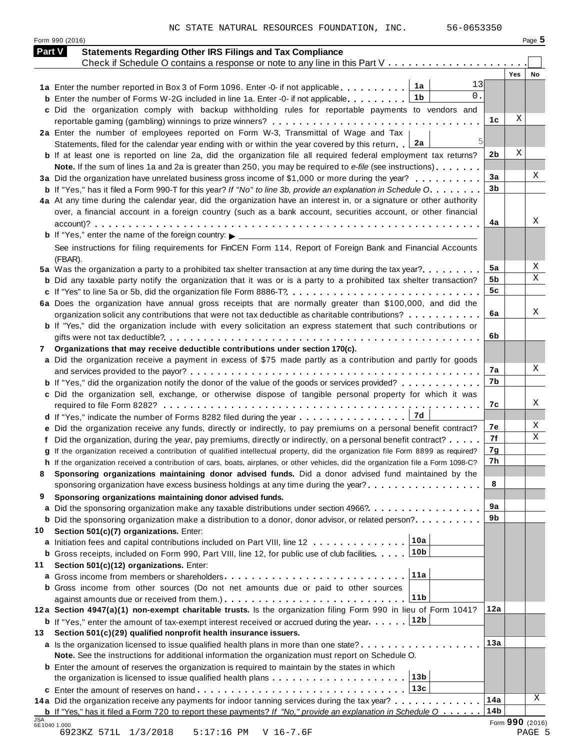|               | NC STATE NATURAL RESOURCES FOUNDATION, INC.<br>56-0653350                                                                                                                                                                              |                        |                 |          |
|---------------|----------------------------------------------------------------------------------------------------------------------------------------------------------------------------------------------------------------------------------------|------------------------|-----------------|----------|
|               | Form 990 (2016)                                                                                                                                                                                                                        |                        |                 | Page $5$ |
| <b>Part V</b> | <b>Statements Regarding Other IRS Filings and Tax Compliance</b>                                                                                                                                                                       |                        |                 |          |
|               |                                                                                                                                                                                                                                        |                        | Yes             | No       |
|               | 13<br>1a Enter the number reported in Box 3 of Form 1096. Enter -0- if not applicable $\ldots \ldots \ldots \square$                                                                                                                   |                        |                 |          |
|               | $\Omega$ .<br>1b<br><b>b</b> Enter the number of Forms W-2G included in line 1a. Enter -0- if not applicable.                                                                                                                          |                        |                 |          |
|               | c Did the organization comply with backup withholding rules for reportable payments to vendors and                                                                                                                                     |                        | Χ               |          |
|               | 2a Enter the number of employees reported on Form W-3, Transmittal of Wage and Tax                                                                                                                                                     | 1c                     |                 |          |
|               | 5 <sup>1</sup><br>Statements, filed for the calendar year ending with or within the year covered by this return. 2a                                                                                                                    |                        |                 |          |
|               | <b>b</b> If at least one is reported on line 2a, did the organization file all required federal employment tax returns?                                                                                                                | 2b                     | Χ               |          |
|               | Note. If the sum of lines 1a and 2a is greater than 250, you may be required to e-file (see instructions)                                                                                                                              |                        |                 |          |
|               | 3a Did the organization have unrelated business gross income of \$1,000 or more during the year?                                                                                                                                       | 3a                     |                 | Χ        |
|               | <b>b</b> If "Yes," has it filed a Form 990-T for this year? If "No" to line 3b, provide an explanation in Schedule O.                                                                                                                  | 3b                     |                 |          |
|               | 4a At any time during the calendar year, did the organization have an interest in, or a signature or other authority<br>over, a financial account in a foreign country (such as a bank account, securities account, or other financial |                        |                 |          |
|               |                                                                                                                                                                                                                                        | 4a                     |                 | Χ        |
|               | <b>b</b> If "Yes," enter the name of the foreign country: $\blacktriangleright$ $\equiv$                                                                                                                                               |                        |                 |          |
|               | See instructions for filing requirements for FinCEN Form 114, Report of Foreign Bank and Financial Accounts                                                                                                                            |                        |                 |          |
|               | (FBAR).                                                                                                                                                                                                                                |                        |                 | Χ        |
|               | 5a Was the organization a party to a prohibited tax shelter transaction at any time during the tax year?                                                                                                                               | 5a<br>5b               |                 | X        |
|               | <b>b</b> Did any taxable party notify the organization that it was or is a party to a prohibited tax shelter transaction?                                                                                                              | 5 <sub>c</sub>         |                 |          |
|               | 6a Does the organization have annual gross receipts that are normally greater than \$100,000, and did the                                                                                                                              |                        |                 |          |
|               | organization solicit any contributions that were not tax deductible as charitable contributions?                                                                                                                                       | 6a                     |                 | Χ        |
|               | <b>b</b> If "Yes," did the organization include with every solicitation an express statement that such contributions or                                                                                                                |                        |                 |          |
|               |                                                                                                                                                                                                                                        | 6b                     |                 |          |
|               | 7 Organizations that may receive deductible contributions under section 170(c).<br>a Did the organization receive a payment in excess of \$75 made partly as a contribution and partly for goods                                       |                        |                 |          |
|               |                                                                                                                                                                                                                                        | 7а                     |                 | Х        |
|               | <b>b</b> If "Yes," did the organization notify the donor of the value of the goods or services provided?                                                                                                                               | 7b                     |                 |          |
|               | c Did the organization sell, exchange, or otherwise dispose of tangible personal property for which it was                                                                                                                             |                        |                 |          |
|               |                                                                                                                                                                                                                                        | 7c                     |                 | Χ        |
|               | 7d<br>d If "Yes." indicate the number of Forms 8282 filed during the year                                                                                                                                                              | 7e                     |                 | Χ        |
|               | e Did the organization receive any funds, directly or indirectly, to pay premiums on a personal benefit contract?<br>f Did the organization, during the year, pay premiums, directly or indirectly, on a personal benefit contract?    | 7f                     |                 | Χ        |
|               | g If the organization received a contribution of qualified intellectual property, did the organization file Form 8899 as required?                                                                                                     | 7g                     |                 |          |
|               | h If the organization received a contribution of cars, boats, airplanes, or other vehicles, did the organization file a Form 1098-C?                                                                                                   | 7h                     |                 |          |
| 8             | Sponsoring organizations maintaining donor advised funds. Did a donor advised fund maintained by the                                                                                                                                   |                        |                 |          |
|               | sponsoring organization have excess business holdings at any time during the year?                                                                                                                                                     | 8                      |                 |          |
| 9             | Sponsoring organizations maintaining donor advised funds.<br>a Did the sponsoring organization make any taxable distributions under section 4966?                                                                                      | 9a                     |                 |          |
|               | <b>b</b> Did the sponsoring organization make a distribution to a donor, donor advisor, or related person?                                                                                                                             | 9b                     |                 |          |
| 10            | Section 501(c)(7) organizations. Enter:                                                                                                                                                                                                |                        |                 |          |
|               | 10a<br>a Initiation fees and capital contributions included on Part VIII, line 12                                                                                                                                                      |                        |                 |          |
|               |                                                                                                                                                                                                                                        |                        |                 |          |
| 11            | Section 501(c)(12) organizations. Enter:<br>11a<br>a Gross income from members or shareholders                                                                                                                                         |                        |                 |          |
|               | <b>b</b> Gross income from other sources (Do not net amounts due or paid to other sources                                                                                                                                              |                        |                 |          |
|               | 11 b<br>against amounts due or received from them.) $\ldots \ldots \ldots \ldots \ldots \ldots \ldots \ldots \ldots$                                                                                                                   |                        |                 |          |
|               | 12a Section 4947(a)(1) non-exempt charitable trusts. Is the organization filing Form 990 in lieu of Form 1041?                                                                                                                         | 12a                    |                 |          |
|               | <b>b</b> If "Yes," enter the amount of tax-exempt interest received or accrued during the year. $\boxed{12b}$                                                                                                                          |                        |                 |          |
| 13            | Section 501(c)(29) qualified nonprofit health insurance issuers.<br>a Is the organization licensed to issue qualified health plans in more than one state?                                                                             | 13a                    |                 |          |
|               | Note. See the instructions for additional information the organization must report on Schedule O.                                                                                                                                      |                        |                 |          |
|               | <b>b</b> Enter the amount of reserves the organization is required to maintain by the states in which                                                                                                                                  |                        |                 |          |
|               | 13 <sub>b</sub><br>the organization is licensed to issue qualified health plans $\ldots \ldots \ldots \ldots \ldots \ldots \ldots$                                                                                                     |                        |                 |          |
|               | 13c                                                                                                                                                                                                                                    |                        |                 | Χ        |
|               | 14a Did the organization receive any payments for indoor tanning services during the tax year?<br><b>b</b> If "Yes," has it filed a Form 720 to report these payments? If "No," provide an explanation in Schedule O                   | 14a<br>14 <sub>b</sub> |                 |          |
| <b>JSA</b>    | 6E1040 1.000                                                                                                                                                                                                                           |                        | Form 990 (2016) |          |
|               | 6923KZ 571L 1/3/2018<br>$5:17:16$ PM<br>$V$ 16-7.6F                                                                                                                                                                                    |                        |                 | PAGE 5   |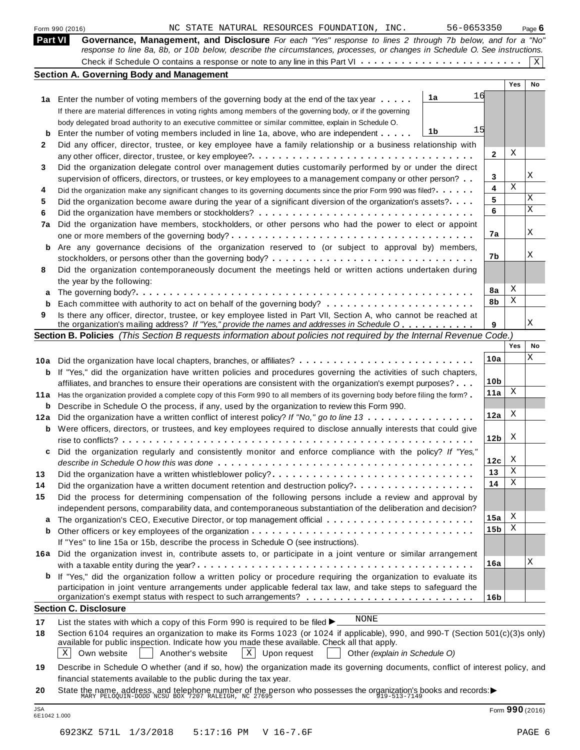|         | 56-0653350<br>NC STATE NATURAL RESOURCES FOUNDATION, INC.<br>Form 990 (2016)                                                                                                                                                                                                                                                              |                 |     | Page $6$ |
|---------|-------------------------------------------------------------------------------------------------------------------------------------------------------------------------------------------------------------------------------------------------------------------------------------------------------------------------------------------|-----------------|-----|----------|
| Part VI | Governance, Management, and Disclosure For each "Yes" response to lines 2 through 7b below, and for a "No"<br>response to line 8a, 8b, or 10b below, describe the circumstances, processes, or changes in Schedule O. See instructions.                                                                                                   |                 |     |          |
|         |                                                                                                                                                                                                                                                                                                                                           |                 |     | Χ        |
|         | <b>Section A. Governing Body and Management</b>                                                                                                                                                                                                                                                                                           |                 | Yes | No       |
|         | 16                                                                                                                                                                                                                                                                                                                                        |                 |     |          |
|         | 1a<br>1a Enter the number of voting members of the governing body at the end of the tax year                                                                                                                                                                                                                                              |                 |     |          |
|         | If there are material differences in voting rights among members of the governing body, or if the governing                                                                                                                                                                                                                               |                 |     |          |
|         | body delegated broad authority to an executive committee or similar committee, explain in Schedule O.<br>15                                                                                                                                                                                                                               |                 |     |          |
| b       | 1b<br>Enter the number of voting members included in line 1a, above, who are independent                                                                                                                                                                                                                                                  |                 |     |          |
| 2       | Did any officer, director, trustee, or key employee have a family relationship or a business relationship with                                                                                                                                                                                                                            |                 |     |          |
|         | any other officer, director, trustee, or key employee?. $\dots \dots \dots \dots \dots \dots \dots \dots \dots \dots \dots \dots \dots \dots$                                                                                                                                                                                             | 2               | Χ   |          |
| 3       | Did the organization delegate control over management duties customarily performed by or under the direct                                                                                                                                                                                                                                 |                 |     | Χ        |
|         | supervision of officers, directors, or trustees, or key employees to a management company or other person?                                                                                                                                                                                                                                | 3               | Χ   |          |
| 4       | Did the organization make any significant changes to its governing documents since the prior Form 990 was filed?                                                                                                                                                                                                                          | 4               |     | Χ        |
| 5       | Did the organization become aware during the year of a significant diversion of the organization's assets?                                                                                                                                                                                                                                | 5               |     | X        |
| 6       |                                                                                                                                                                                                                                                                                                                                           | 6               |     |          |
| 7a      | Did the organization have members, stockholders, or other persons who had the power to elect or appoint                                                                                                                                                                                                                                   |                 |     |          |
|         |                                                                                                                                                                                                                                                                                                                                           | 7а              |     | Χ        |
|         | <b>b</b> Are any governance decisions of the organization reserved to (or subject to approval by) members,                                                                                                                                                                                                                                |                 |     | Χ        |
|         |                                                                                                                                                                                                                                                                                                                                           | 7b              |     |          |
| 8       | Did the organization contemporaneously document the meetings held or written actions undertaken during                                                                                                                                                                                                                                    |                 |     |          |
|         | the year by the following:                                                                                                                                                                                                                                                                                                                |                 | Χ   |          |
| а       |                                                                                                                                                                                                                                                                                                                                           | 8a              | Χ   |          |
| b       |                                                                                                                                                                                                                                                                                                                                           | 8b              |     |          |
| 9       | Is there any officer, director, trustee, or key employee listed in Part VII, Section A, who cannot be reached at                                                                                                                                                                                                                          | 9               |     | Χ        |
|         | the organization's mailing address? If "Yes," provide the names and addresses in Schedule O<br>Section B. Policies (This Section B requests information about policies not required by the Internal Revenue Code.)                                                                                                                        |                 |     |          |
|         |                                                                                                                                                                                                                                                                                                                                           |                 | Yes | No       |
|         |                                                                                                                                                                                                                                                                                                                                           | 10a             |     | Χ        |
|         | 10a Did the organization have local chapters, branches, or affiliates?                                                                                                                                                                                                                                                                    |                 |     |          |
| b       | If "Yes," did the organization have written policies and procedures governing the activities of such chapters,                                                                                                                                                                                                                            | 10 <sub>b</sub> |     |          |
|         | affiliates, and branches to ensure their operations are consistent with the organization's exempt purposes?                                                                                                                                                                                                                               | 11a             | Χ   |          |
| 11 a    | Has the organization provided a complete copy of this Form 990 to all members of its governing body before filing the form?                                                                                                                                                                                                               |                 |     |          |
| b       | Describe in Schedule O the process, if any, used by the organization to review this Form 990.                                                                                                                                                                                                                                             | 12a             | Χ   |          |
| 12a     | Did the organization have a written conflict of interest policy? If "No," go to line 13                                                                                                                                                                                                                                                   |                 |     |          |
|         | <b>b</b> Were officers, directors, or trustees, and key employees required to disclose annually interests that could give                                                                                                                                                                                                                 | 12 <sub>b</sub> | X   |          |
|         | Did the organization regularly and consistently monitor and enforce compliance with the policy? If "Yes,"                                                                                                                                                                                                                                 |                 |     |          |
|         |                                                                                                                                                                                                                                                                                                                                           | 12c             | X   |          |
| 13      | Did the organization have a written whistleblower policy?                                                                                                                                                                                                                                                                                 | 13              | Χ   |          |
| 14      | Did the organization have a written document retention and destruction policy?                                                                                                                                                                                                                                                            | 14              | Χ   |          |
| 15      | Did the process for determining compensation of the following persons include a review and approval by                                                                                                                                                                                                                                    |                 |     |          |
|         | independent persons, comparability data, and contemporaneous substantiation of the deliberation and decision?                                                                                                                                                                                                                             |                 |     |          |
| а       |                                                                                                                                                                                                                                                                                                                                           | 15a             | Χ   |          |
| b       |                                                                                                                                                                                                                                                                                                                                           | 15 <sub>b</sub> | Χ   |          |
|         | If "Yes" to line 15a or 15b, describe the process in Schedule O (see instructions).                                                                                                                                                                                                                                                       |                 |     |          |
| 16a     | Did the organization invest in, contribute assets to, or participate in a joint venture or similar arrangement                                                                                                                                                                                                                            |                 |     |          |
|         |                                                                                                                                                                                                                                                                                                                                           | 16a             |     | Χ        |
|         | <b>b</b> If "Yes," did the organization follow a written policy or procedure requiring the organization to evaluate its                                                                                                                                                                                                                   |                 |     |          |
|         | participation in joint venture arrangements under applicable federal tax law, and take steps to safeguard the                                                                                                                                                                                                                             |                 |     |          |
|         |                                                                                                                                                                                                                                                                                                                                           | 16b             |     |          |
|         | <b>Section C. Disclosure</b>                                                                                                                                                                                                                                                                                                              |                 |     |          |
| 17      | NONE<br>List the states with which a copy of this Form 990 is required to be filed $\blacktriangleright$                                                                                                                                                                                                                                  |                 |     |          |
| 18      | Section 6104 requires an organization to make its Forms 1023 (or 1024 if applicable), 990, and 990-T (Section 501(c)(3)s only)<br>available for public inspection. Indicate how you made these available. Check all that apply.<br>$\mathbf{X}$<br>Own website<br>Another's website<br>Upon request<br>Χ<br>Other (explain in Schedule O) |                 |     |          |
| 19      | Describe in Schedule O whether (and if so, how) the organization made its governing documents, conflict of interest policy, and                                                                                                                                                                                                           |                 |     |          |
|         | financial statements available to the public during the tax year.                                                                                                                                                                                                                                                                         |                 |     |          |
| 20      | State the name, address, and telephone number of the person who possesses the organization's books and records:<br>MARY PELOQUIN-DODD NCSU BOX 7207 RALETGH, NC 27695                                                                                                                                                                     |                 |     |          |

JSA Form **<sup>990</sup>** (2016) 6E1042 1.000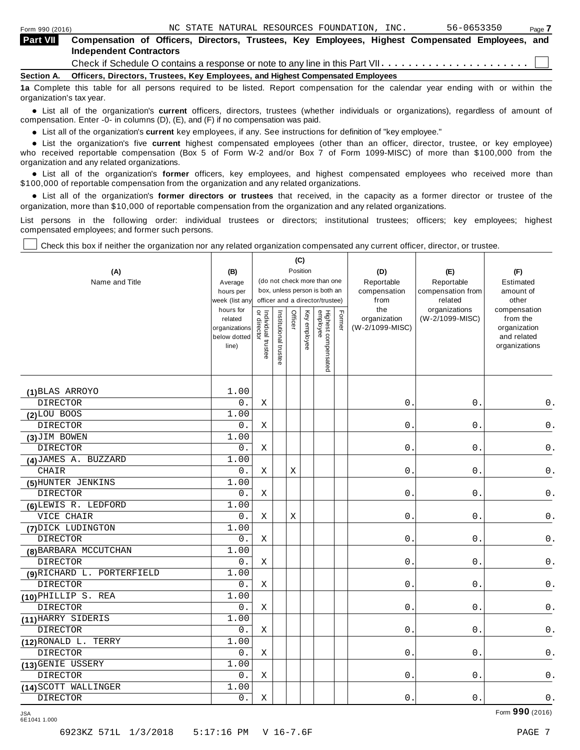| <b>Part VII</b> | Compensation of Officers, Directors, Trustees, Key Employees, Highest Compensated Employees, and                                  |
|-----------------|-----------------------------------------------------------------------------------------------------------------------------------|
|                 | <b>Independent Contractors</b>                                                                                                    |
|                 | Check if Schedule O contains a response or note to any line in this Part VII                                                      |
|                 | Section A. Officers, Directors, Trustees, Key Employees, and Highest Compensated Employees                                        |
|                 | 1a Complete this table for all persons required to be listed. Report compensation for the calendar year ending with or within the |

organization's tax year.

anization's lax year.<br>● List all of the organization's **current** officers, directors, trustees (whether individuals or organizations), regardless of amount of<br>nnensation Enter -0- in columns (D) (E) and (E) if no compensa compensation. Enter -0- in columns (D), (E), and (F) if no compensation was paid.

• List all of the organization's **current** key employees, if any. See instructions for definition of "key employee."<br>● List the experientials five expect highest expressed explores (other than an efficer director of

**Example in the organization's current** key employees, if any. See instructions for definition of key employee.<br>• List the organization's five **current** highest compensated employees (other than an officer, director, trust who received reportable compensation (Box 5 of Form W-2 and/or Box 7 of Form 1099-MISC) of more than \$100,000 from the

organization and any related organizations.<br>• List all of the organization's **former** officers, key employees, and highest compensated employees who received more than<br>\$1.00.000 of reportable componention from the erganiza \$100,000 of reportable compensation from the organization and any related organizations.

% List all of the organization's **former directors or trustees** that received, in the capacity as a former director or trustee of the organization, more than \$10,000 of reportable compensation from the organization and any related organizations.

List persons in the following order: individual trustees or directors; institutional trustees; officers; key employees; highest compensated employees; and former such persons.

Check this box if neither the organization nor any related organization compensated any current officer, director, or trustee.

| (A)<br>Name and Title      | (B)<br>Average<br>hours per<br>week (list any<br>hours for<br>related<br>organizations<br>below dotted<br>line) | $\vec{\mathsf{d}}$<br>Individual trustee<br>director | Institutional trustee | Officer | (C)<br>Position<br>Key employee | (do not check more than one<br>box, unless person is both an<br>officer and a director/trustee)<br>Highest compensated<br>employee | Former | (D)<br>Reportable<br>compensation<br>from<br>the<br>organization<br>(W-2/1099-MISC) | (E)<br>Reportable<br>compensation from<br>related<br>organizations<br>(W-2/1099-MISC) | (F)<br>Estimated<br>amount of<br>other<br>compensation<br>from the<br>organization<br>and related<br>organizations |
|----------------------------|-----------------------------------------------------------------------------------------------------------------|------------------------------------------------------|-----------------------|---------|---------------------------------|------------------------------------------------------------------------------------------------------------------------------------|--------|-------------------------------------------------------------------------------------|---------------------------------------------------------------------------------------|--------------------------------------------------------------------------------------------------------------------|
| (1) BLAS ARROYO            | 1.00                                                                                                            |                                                      |                       |         |                                 |                                                                                                                                    |        |                                                                                     |                                                                                       |                                                                                                                    |
| <b>DIRECTOR</b>            | $0$ .                                                                                                           | Χ                                                    |                       |         |                                 |                                                                                                                                    |        | 0.                                                                                  | $\boldsymbol{0}$ .                                                                    | 0.                                                                                                                 |
| $(2)$ LOU BOOS             | 1.00                                                                                                            |                                                      |                       |         |                                 |                                                                                                                                    |        |                                                                                     |                                                                                       |                                                                                                                    |
| <b>DIRECTOR</b>            | 0.                                                                                                              | Χ                                                    |                       |         |                                 |                                                                                                                                    |        | 0.                                                                                  | 0.                                                                                    | $\mathsf 0$ .                                                                                                      |
| (3) JIM BOWEN              | 1.00                                                                                                            |                                                      |                       |         |                                 |                                                                                                                                    |        |                                                                                     |                                                                                       |                                                                                                                    |
| <b>DIRECTOR</b>            | 0.                                                                                                              | Χ                                                    |                       |         |                                 |                                                                                                                                    |        | 0.                                                                                  | $0$ .                                                                                 | $\mathsf 0$ .                                                                                                      |
| (4) JAMES A. BUZZARD       | 1.00                                                                                                            |                                                      |                       |         |                                 |                                                                                                                                    |        |                                                                                     |                                                                                       |                                                                                                                    |
| <b>CHAIR</b>               | 0.                                                                                                              | X                                                    |                       | X       |                                 |                                                                                                                                    |        | 0.                                                                                  | $0$ .                                                                                 | $\mathsf 0$ .                                                                                                      |
| (5) HUNTER JENKINS         | 1.00                                                                                                            |                                                      |                       |         |                                 |                                                                                                                                    |        |                                                                                     |                                                                                       |                                                                                                                    |
| <b>DIRECTOR</b>            | 0.                                                                                                              | Χ                                                    |                       |         |                                 |                                                                                                                                    |        | $0$ .                                                                               | $0$ .                                                                                 | $\mathsf 0$ .                                                                                                      |
| (6) LEWIS R. LEDFORD       | 1.00                                                                                                            |                                                      |                       |         |                                 |                                                                                                                                    |        |                                                                                     |                                                                                       |                                                                                                                    |
| VICE CHAIR                 | $0$ .                                                                                                           | Χ                                                    |                       | X       |                                 |                                                                                                                                    |        | 0.                                                                                  | 0.                                                                                    | 0.                                                                                                                 |
| (7) DICK LUDINGTON         | 1.00                                                                                                            |                                                      |                       |         |                                 |                                                                                                                                    |        |                                                                                     |                                                                                       |                                                                                                                    |
| <b>DIRECTOR</b>            | 0.                                                                                                              | Χ                                                    |                       |         |                                 |                                                                                                                                    |        | 0.                                                                                  | 0.                                                                                    | 0.                                                                                                                 |
| (8) BARBARA MCCUTCHAN      | 1.00                                                                                                            |                                                      |                       |         |                                 |                                                                                                                                    |        |                                                                                     |                                                                                       |                                                                                                                    |
| <b>DIRECTOR</b>            | $0$ .                                                                                                           | Χ                                                    |                       |         |                                 |                                                                                                                                    |        | $\mathsf{O}$ .                                                                      | 0.                                                                                    | 0.                                                                                                                 |
| (9) RICHARD L. PORTERFIELD | 1.00                                                                                                            |                                                      |                       |         |                                 |                                                                                                                                    |        |                                                                                     |                                                                                       |                                                                                                                    |
| <b>DIRECTOR</b>            | $0$ .                                                                                                           | Χ                                                    |                       |         |                                 |                                                                                                                                    |        | $0$ .                                                                               | $0$ .                                                                                 | $0$ .                                                                                                              |
| $(10)$ PHILLIP S. REA      | 1.00                                                                                                            |                                                      |                       |         |                                 |                                                                                                                                    |        |                                                                                     |                                                                                       |                                                                                                                    |
| <b>DIRECTOR</b>            | 0.                                                                                                              | Χ                                                    |                       |         |                                 |                                                                                                                                    |        | 0.                                                                                  | $0$ .                                                                                 | $0$ .                                                                                                              |
| (11) HARRY SIDERIS         | 1.00                                                                                                            |                                                      |                       |         |                                 |                                                                                                                                    |        |                                                                                     |                                                                                       |                                                                                                                    |
| DIRECTOR                   | $0$ .                                                                                                           | X                                                    |                       |         |                                 |                                                                                                                                    |        | 0.                                                                                  | 0.                                                                                    | 0.                                                                                                                 |
| (12) RONALD L. TERRY       | 1.00                                                                                                            |                                                      |                       |         |                                 |                                                                                                                                    |        |                                                                                     |                                                                                       |                                                                                                                    |
| <b>DIRECTOR</b>            | 0.                                                                                                              | Χ                                                    |                       |         |                                 |                                                                                                                                    |        | 0.                                                                                  | 0.                                                                                    | 0.                                                                                                                 |
| (13) GENIE USSERY          | 1.00                                                                                                            |                                                      |                       |         |                                 |                                                                                                                                    |        |                                                                                     |                                                                                       |                                                                                                                    |
| <b>DIRECTOR</b>            | 0.                                                                                                              | Χ                                                    |                       |         |                                 |                                                                                                                                    |        | 0.                                                                                  | 0.                                                                                    | 0.                                                                                                                 |
| (14) SCOTT WALLINGER       | 1.00                                                                                                            |                                                      |                       |         |                                 |                                                                                                                                    |        |                                                                                     |                                                                                       |                                                                                                                    |
| <b>DIRECTOR</b>            | 0.                                                                                                              | Χ                                                    |                       |         |                                 |                                                                                                                                    |        | 0.                                                                                  | 0.                                                                                    | $0$ .                                                                                                              |

Form **990** (2016) JSA 6E1041 1.000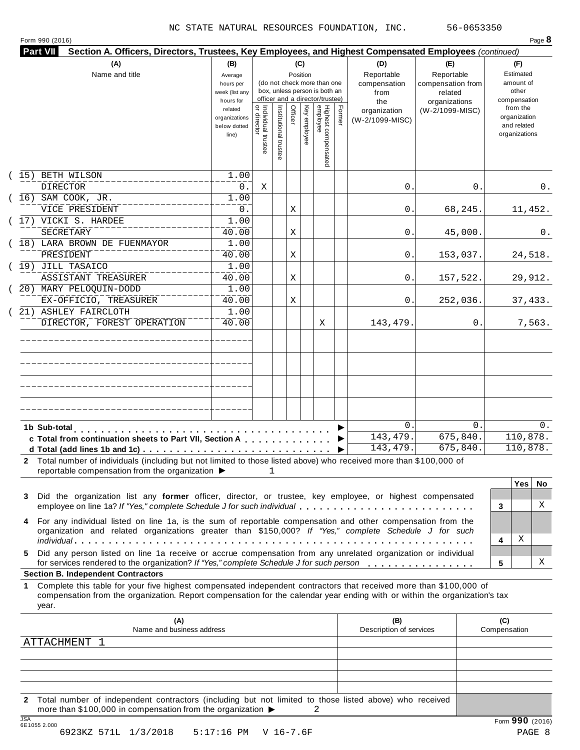|  | Form 990 (2016) |  |
|--|-----------------|--|
|  |                 |  |

| (A)<br>Name and title                                                                                                                                                                                                                                     |                                  | (B)<br>Average<br>hours per<br>week (list any<br>hours for | (C)<br>(D)<br>Reportable<br>Position<br>(do not check more than one<br>compensation<br>box, unless person is both an<br>from<br>officer and a director/trustee)<br>the |                       |                         |                                 |        | (E)<br>Reportable<br>compensation from<br>related<br>organizations | (F)<br>Estimated<br>amount of<br>other<br>compensation |                                                          |
|-----------------------------------------------------------------------------------------------------------------------------------------------------------------------------------------------------------------------------------------------------------|----------------------------------|------------------------------------------------------------|------------------------------------------------------------------------------------------------------------------------------------------------------------------------|-----------------------|-------------------------|---------------------------------|--------|--------------------------------------------------------------------|--------------------------------------------------------|----------------------------------------------------------|
|                                                                                                                                                                                                                                                           |                                  | related<br>organizations<br>below dotted<br>line)          | Individual trustee<br>   or director                                                                                                                                   | Institutional trustee | Officer<br>Key employee | Highest compensated<br>employee | Former | organization<br>(W-2/1099-MISC)                                    | (W-2/1099-MISC)                                        | from the<br>organization<br>and related<br>organizations |
| (15) BETH WILSON                                                                                                                                                                                                                                          |                                  | 1.00                                                       |                                                                                                                                                                        |                       |                         |                                 |        |                                                                    |                                                        |                                                          |
| <b>DIRECTOR</b>                                                                                                                                                                                                                                           |                                  | 0.                                                         | Χ                                                                                                                                                                      |                       |                         |                                 |        | 0.                                                                 | 0.                                                     | 0.                                                       |
| (16) SAM COOK, JR.<br>VICE PRESIDENT                                                                                                                                                                                                                      |                                  | 1.00<br>0.                                                 |                                                                                                                                                                        |                       |                         |                                 |        |                                                                    |                                                        |                                                          |
| (17) VICKI S. HARDEE                                                                                                                                                                                                                                      |                                  | 1.00                                                       |                                                                                                                                                                        |                       | Χ                       |                                 |        | 0.                                                                 | 68,245.                                                | 11,452.                                                  |
| SECRETARY                                                                                                                                                                                                                                                 |                                  | 40.00                                                      |                                                                                                                                                                        |                       | Χ                       |                                 |        | 0.                                                                 | 45,000.                                                | $0$ .                                                    |
| (18) LARA BROWN DE FUENMAYOR                                                                                                                                                                                                                              |                                  | 1.00                                                       |                                                                                                                                                                        |                       |                         |                                 |        |                                                                    |                                                        |                                                          |
| PRESIDENT                                                                                                                                                                                                                                                 |                                  | 40.00                                                      |                                                                                                                                                                        |                       | Χ                       |                                 |        | 0.                                                                 | 153,037.                                               | 24,518.                                                  |
| (19) JILL TASAICO                                                                                                                                                                                                                                         |                                  | 1.00                                                       |                                                                                                                                                                        |                       |                         |                                 |        |                                                                    |                                                        |                                                          |
| ASSISTANT TREASURER                                                                                                                                                                                                                                       |                                  | 40.00                                                      |                                                                                                                                                                        |                       | Χ                       |                                 |        | 0.                                                                 | 157,522.                                               | 29,912.                                                  |
| (20) MARY PELOQUIN-DODD                                                                                                                                                                                                                                   |                                  | 1.00                                                       |                                                                                                                                                                        |                       |                         |                                 |        |                                                                    |                                                        |                                                          |
| EX-OFFICIO, TREASURER                                                                                                                                                                                                                                     |                                  | 40.00                                                      |                                                                                                                                                                        |                       | Χ                       |                                 |        | 0.                                                                 | 252,036.                                               | 37,433.                                                  |
| 21) ASHLEY FAIRCLOTH                                                                                                                                                                                                                                      |                                  | 1.00                                                       |                                                                                                                                                                        |                       |                         |                                 |        |                                                                    |                                                        |                                                          |
| DIRECTOR, FOREST OPERATION                                                                                                                                                                                                                                |                                  | 40.00                                                      |                                                                                                                                                                        |                       |                         | X                               |        | 143,479.                                                           | 0.                                                     | 7,563.                                                   |
|                                                                                                                                                                                                                                                           |                                  |                                                            |                                                                                                                                                                        |                       |                         |                                 |        |                                                                    |                                                        |                                                          |
|                                                                                                                                                                                                                                                           |                                  |                                                            |                                                                                                                                                                        |                       |                         |                                 |        |                                                                    |                                                        |                                                          |
|                                                                                                                                                                                                                                                           |                                  |                                                            |                                                                                                                                                                        |                       |                         |                                 |        |                                                                    |                                                        |                                                          |
|                                                                                                                                                                                                                                                           |                                  |                                                            |                                                                                                                                                                        |                       |                         |                                 |        |                                                                    |                                                        |                                                          |
|                                                                                                                                                                                                                                                           |                                  |                                                            |                                                                                                                                                                        |                       |                         |                                 |        | 0.                                                                 | 0.                                                     | 0.                                                       |
| 1b Sub-total                                                                                                                                                                                                                                              |                                  |                                                            |                                                                                                                                                                        |                       |                         |                                 |        | 143,479.                                                           | 675,840.                                               | 110,878.                                                 |
|                                                                                                                                                                                                                                                           |                                  |                                                            |                                                                                                                                                                        |                       |                         |                                 |        |                                                                    |                                                        |                                                          |
| c Total from continuation sheets to Part VII, Section A                                                                                                                                                                                                   |                                  |                                                            |                                                                                                                                                                        |                       |                         |                                 |        | 143,479.                                                           | 675,840.                                               |                                                          |
| reportable compensation from the organization ▶                                                                                                                                                                                                           |                                  |                                                            | $\mathbf{1}$                                                                                                                                                           |                       |                         |                                 |        |                                                                    |                                                        |                                                          |
| Did the organization list any former officer, director, or trustee, key employee, or highest compensated<br>employee on line 1a? If "Yes," complete Schedule J for such individual                                                                        |                                  |                                                            |                                                                                                                                                                        |                       |                         |                                 |        |                                                                    |                                                        | <b>Yes</b><br>3                                          |
| For any individual listed on line 1a, is the sum of reportable compensation and other compensation from the<br>organization and related organizations greater than \$150,000? If "Yes," complete Schedule J for such                                      |                                  |                                                            |                                                                                                                                                                        |                       |                         |                                 |        |                                                                    |                                                        | Χ<br>4                                                   |
| 2 Total number of individuals (including but not limited to those listed above) who received more than \$100,000 of<br>3<br>4<br>Did any person listed on line 1a receive or accrue compensation from any unrelated organization or individual<br>5.      |                                  |                                                            |                                                                                                                                                                        |                       |                         |                                 |        |                                                                    |                                                        | 5                                                        |
| for services rendered to the organization? If "Yes," complete Schedule J for such person<br><b>Section B. Independent Contractors</b>                                                                                                                     |                                  |                                                            |                                                                                                                                                                        |                       |                         |                                 |        |                                                                    |                                                        |                                                          |
| Complete this table for your five highest compensated independent contractors that received more than \$100,000 of<br>compensation from the organization. Report compensation for the calendar year ending with or within the organization's tax<br>year. |                                  |                                                            |                                                                                                                                                                        |                       |                         |                                 |        |                                                                    |                                                        |                                                          |
|                                                                                                                                                                                                                                                           | (A)<br>Name and business address |                                                            |                                                                                                                                                                        |                       |                         |                                 |        | (B)                                                                |                                                        | (C)                                                      |
|                                                                                                                                                                                                                                                           |                                  |                                                            |                                                                                                                                                                        |                       |                         |                                 |        | Description of services                                            |                                                        | Compensation                                             |
| 1<br>ATTACHMENT 1                                                                                                                                                                                                                                         |                                  |                                                            |                                                                                                                                                                        |                       |                         |                                 |        |                                                                    |                                                        |                                                          |
|                                                                                                                                                                                                                                                           |                                  |                                                            |                                                                                                                                                                        |                       |                         |                                 |        |                                                                    |                                                        | 110,878.<br>No.<br>X<br>х                                |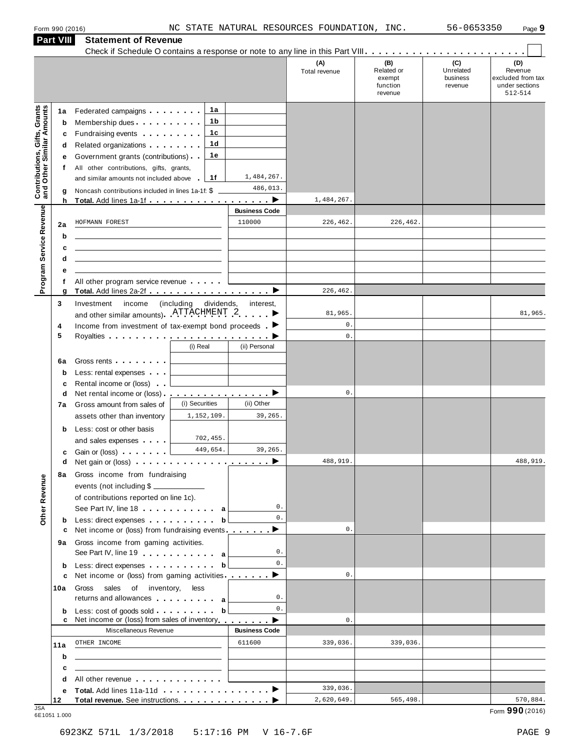|                                                                  | Form 990 (2016)                                 | 56-0653350<br>NC STATE NATURAL RESOURCES FOUNDATION, INC.<br>Page 9                                                                                                                                                                                                                                                                                                                                                                                      |                                                            |                                            |                                                    |                                         |                                                                  |  |  |  |
|------------------------------------------------------------------|-------------------------------------------------|----------------------------------------------------------------------------------------------------------------------------------------------------------------------------------------------------------------------------------------------------------------------------------------------------------------------------------------------------------------------------------------------------------------------------------------------------------|------------------------------------------------------------|--------------------------------------------|----------------------------------------------------|-----------------------------------------|------------------------------------------------------------------|--|--|--|
|                                                                  | <b>Part VIII</b>                                | <b>Statement of Revenue</b>                                                                                                                                                                                                                                                                                                                                                                                                                              |                                                            |                                            |                                                    |                                         |                                                                  |  |  |  |
|                                                                  |                                                 | Check if Schedule O contains a response or note to any line in this Part VIII.                                                                                                                                                                                                                                                                                                                                                                           |                                                            | (A)<br>Total revenue                       | (B)<br>Related or<br>exempt<br>function<br>revenue | (C)<br>Unrelated<br>business<br>revenue | (D)<br>Revenue<br>excluded from tax<br>under sections<br>512-514 |  |  |  |
| <b>Contributions, Gifts, Grants</b><br>and Other Similar Amounts | 1a<br>$\mathbf b$<br>c<br>d<br>е<br>f<br>g<br>h | Federated campaigns <b>Federated</b><br>Membership dues<br>Fundraising events <b>Fundraising</b><br>Related organizations <b>contains</b> and <b>Related</b> organizations <b>and relations</b><br>Government grants (contributions)<br>All other contributions, gifts, grants,<br>and similar amounts not included above<br>Noncash contributions included in lines 1a-1f: \$<br>Total. Add lines 1a-1f ▶                                               | 1a<br>1b<br>1c<br>1d<br>1е<br>1,484,267.<br>1f<br>486,013. | 1,484,267.                                 |                                                    |                                         |                                                                  |  |  |  |
| Program Service Revenue                                          | 2a<br>b<br>с<br>d<br>f<br>g                     | HOFMANN FOREST<br>All other program service revenue                                                                                                                                                                                                                                                                                                                                                                                                      | <b>Business Code</b><br>110000                             | 226,462.<br>226,462.                       | 226,462.                                           |                                         |                                                                  |  |  |  |
|                                                                  | 3<br>4<br>5<br>6a<br>$\mathbf b$                | (including<br>Investment<br>income<br>and other similar amounts). ATTACHMENT 2<br>Income from investment of tax-exempt bond proceeds $\blacksquare$<br>(i) Real<br>Gross rents <b>Container and Container</b><br>Less: rental expenses                                                                                                                                                                                                                   | dividends,<br>interest,<br>(ii) Personal                   | 81,965<br>$\mathsf{0}$ .<br>$\mathbf{0}$ . |                                                    |                                         | 81,965.                                                          |  |  |  |
|                                                                  | c<br>d<br>7a<br>b<br>c                          | Rental income or (loss)<br>Net rental income or (loss) <b>interact in the set of the set of the set of the set of the set of the set of the set of the set of the set of the set of the set of the set of the set of the set of the set of the set of the </b><br>(i) Securities<br>Gross amount from sales of<br>1,152,109.<br>assets other than inventory<br>Less: cost or other basis<br>and sales expenses<br>$449,654$ .<br>Gain or (loss) $\ldots$ | (ii) Other<br>39,265.<br>702,455.<br>39,265.               | 0.                                         |                                                    |                                         |                                                                  |  |  |  |
| Other Revenue                                                    | d<br>8а                                         | Net gain or (loss) $\cdots$ $\cdots$ $\cdots$ $\cdots$ $\cdots$ $\cdots$<br>Gross income from fundraising<br>events (not including \$<br>of contributions reported on line 1c).<br>See Part IV, line 18 and the set of the set of the set of the set of the set of the set of the set of the set of the set of the set of the set of the set of the set of the set of the set of the set of the set of the set of                                        | 0.                                                         | 488,919.                                   |                                                    |                                         | 488,919.                                                         |  |  |  |
|                                                                  | b<br>9а                                         | Less: direct expenses<br>Net income or (loss) from fundraising events ________ ▶<br>Gross income from gaming activities.<br>See Part IV, line 19 a                                                                                                                                                                                                                                                                                                       | 0.<br>b<br>0.                                              | 0.                                         |                                                    |                                         |                                                                  |  |  |  |
|                                                                  | b<br>с<br>10a                                   | Less: direct expenses<br>Net income or (loss) from gaming activities ________<br>sales of inventory, less<br>Gross                                                                                                                                                                                                                                                                                                                                       | 0.<br>b                                                    | $0$ .                                      |                                                    |                                         |                                                                  |  |  |  |
|                                                                  | b                                               | returns and allowances entertainment as<br>Less: cost of goods sold exercise the set of goods sold<br>Net income or (loss) from sales of inventory                                                                                                                                                                                                                                                                                                       | 0.<br>0.<br>$\mathbf{b}$                                   | $\mathbb O$ .                              |                                                    |                                         |                                                                  |  |  |  |
|                                                                  | 11a<br>b                                        | Miscellaneous Revenue<br>OTHER INCOME                                                                                                                                                                                                                                                                                                                                                                                                                    | <b>Business Code</b><br>611600                             | 339,036.                                   | 339,036.                                           |                                         |                                                                  |  |  |  |
|                                                                  | с<br>d<br>е<br>12                               | All other revenue entitled and a series of the series of the series of the series of the series of the series                                                                                                                                                                                                                                                                                                                                            |                                                            | 339,036.<br>2,620,649.                     | 565,498.                                           |                                         | 570,884.                                                         |  |  |  |
| <b>ISA</b>                                                       |                                                 | Total revenue. See instructions.                                                                                                                                                                                                                                                                                                                                                                                                                         |                                                            |                                            |                                                    |                                         |                                                                  |  |  |  |

JSA Form **990** (2016) 6E1051 1.000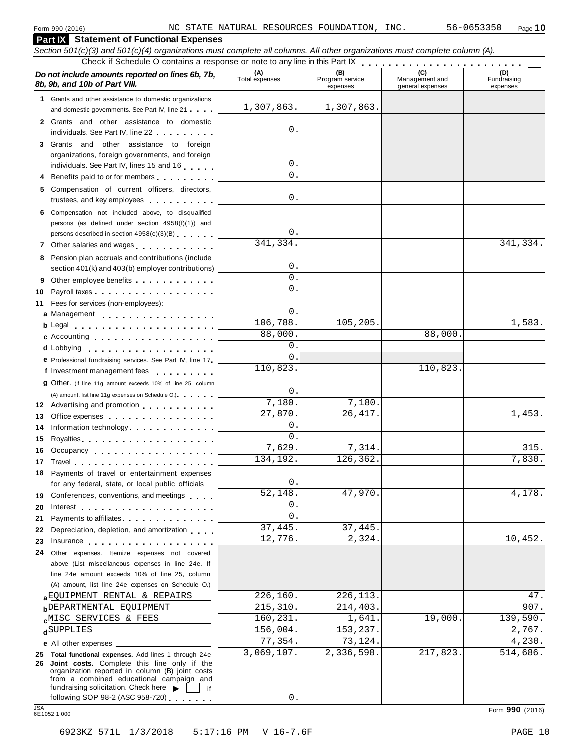**Part IX Statement of Functional Expenses**

### Section 501(c)(3) and 501(c)(4) organizations must complete all columns. All other organizations must complete column (A). Check if Schedule O contains a response or note to any line in this Part  $\begin{array}{c|c|c|c|c} \hline \textbf{Check} & \textbf{if Schedule O contains a response or note to any line in this Part } \textbf{I} \times & \textbf{if a given set of the input.} \ \hline \textbf{do} & \textbf{if a given set of the input.} \ \hline \end{array}$ *Do no* **(A) (B) (C) (D)** *t include amounts reported on lines 6b, 7b,* **8b, 9b, and 10b of Part VIII.** The contract position of **Part VIII.** The contract Program services Program services expenses Management and general expenses Fundraising expenses **1** Grants and other assistance to domestic organizations and domestic governments. See Part IV, line 21 m m m **2** Grants and other assistance to domestic individuals. See Part IV, line 22 **3** Grants and other assistance to foreign organizations, foreign governments, and foreign individuals. See Part IV, lines <sup>15</sup> and <sup>16</sup> <sup>m</sup> <sup>m</sup> <sup>m</sup> <sup>m</sup> <sup>m</sup> **<sup>4</sup>** Benefits paid to or for members <sup>m</sup> <sup>m</sup> <sup>m</sup> <sup>m</sup> <sup>m</sup> <sup>m</sup> <sup>m</sup> <sup>m</sup> <sup>m</sup> **5** Compensation of current officers, directors, trustees, and key employees **6** Compensation not included above, to disqualified persons (as defined under section 4958(f)(1)) and persons described in section 4958(c)(3)(B) <sup>m</sup> <sup>m</sup> <sup>m</sup> <sup>m</sup> <sup>m</sup> <sup>m</sup> **<sup>7</sup>** Other salaries and wages <sup>m</sup> <sup>m</sup> <sup>m</sup> <sup>m</sup> <sup>m</sup> <sup>m</sup> <sup>m</sup> <sup>m</sup> <sup>m</sup> <sup>m</sup> <sup>m</sup> <sup>m</sup> **8** Pension plan accruals and contributions (include section 401(k) and 403(b) employer contributions) **9** Section 401(k) and 403(b) employer contributions<br>9 Other employee benefits 9 Other employee benefits **10** Payroll taxes **10** Fees for services (non-employees): **11** Fees for services (non-employees):<br>**a** Management ..................<br>**b** Legal ......................... Legal m m m m m m m m m m m m m m m m m m m m m c Accounting . . . . . . . . . . . . . Lobbying **cd** m m m m m m m m m m m m m m m m m m m A) amount, list line 11g expenses on Schedule O.<br>**12** Advertising and promotion **manual 13** Office expenses **13** Office expenses<br>**14** Information technology **manual manual metal of the metal of the metal of the metal of 15** Royalties m m m m m m m m m m m m m m m m m m m m **16** Occupancy m m m m m m m m m m m m m m m m m m **16** Occupancy ...................<br>17 Travel..................... **18** Payments of travel or entertainment expenses for any federal, state, or local public officials<br>**19** Conferences, conventions, and meetings **19** Conferences, conventions, and meetings **endorship.**<br>20 Interest **manual meeting 21** Payments to affiliates m m m m m m m m m m m m m m 21 Payments to affiliates<br>22 Depreciation, depletion, and amortization <sub>1</sub> , , , **22** Depreciation, depletion, and amortization **manufation**<br>23 Insurance 24 Other expenses. Itemize expenses not covered | **d** Lobbying **e**<br> **e** Professional fundraising services. See Part IV, line 17 **P** Professional fundraising services. See Part IV, line 17<br>**f** Investment management fees **g** Other. (If line 11g amount exceeds 10% of line 25, column m m m m m m m m m m m m m m m m m m (A) amount, list line 11g expenses on Schedule O.) means m m m m m m m m m m m m m m m m for any federal, state, or local public officials above (List miscellaneous expenses in line 24e. If line 24e amount exceeds 10% of line 25, column (A) amount, list line 24e expenses on Schedule O.) **a** <u>EQUIPMENT RENTAL & REPAIRS</u><br> **b** DEPARTMENTAL EQUIPMENT 215,310. 214,403. 907. 907. **d**SUPPLIES **e** All other expenses **25 Total functional expenses.** Add lines 1 through 24e **26 Joint costs.** Complete this line only if the organization reported in column (B) joint costs from a combined educational campaign and fundraising solicitation. Check here  $\blacktriangleright \begin{array}{c} \square \\ \square \end{array}$  if following SOP 98-2 (ASC 958-720) following SOP 98-2 (ASC 958-720) <sup>m</sup> <sup>m</sup> <sup>m</sup> <sup>m</sup> <sup>m</sup> <sup>m</sup> <sup>m</sup> JSA Form **<sup>990</sup>** (2016) 6E1052 1.000 1,307,863. 1,307,863.  $\Omega$ 0.  $\mathbf{0}$ . 0. 0. 341,334.  $\Omega$ 0.  $\mathbf{0}$ .  $\Omega$ 106,788. 105,205. 1,583. 88,000. 88,000. 0. 0. 110,823. 110,823  $\Omega$ 7,180. 7,180. 27,870. 26,417. 1,453. 0. 0.  $7,629.$   $7,314.$   $315.$ 134,192. 126,362. 7,830. 0. 52,148. 47,970. 4,178. 0.  $\overline{0}$ . 37,445. 37,445. 12,776. 2,324. 10,452. EQUIPMENT RENTAL & REPAIRS 226,160. 226,113. 47. **CMISC SERVICES & FEES** 160,231. 1,641. 19,000. 139,590.  $\texttt{SUPPLIES} \quad | \quad 156,004. \quad 153,237. \quad | \quad 2,767.$ 77,354. 73,124. 4,230. 3,069,107. 2,336,598. 217,823. 514,686.

0.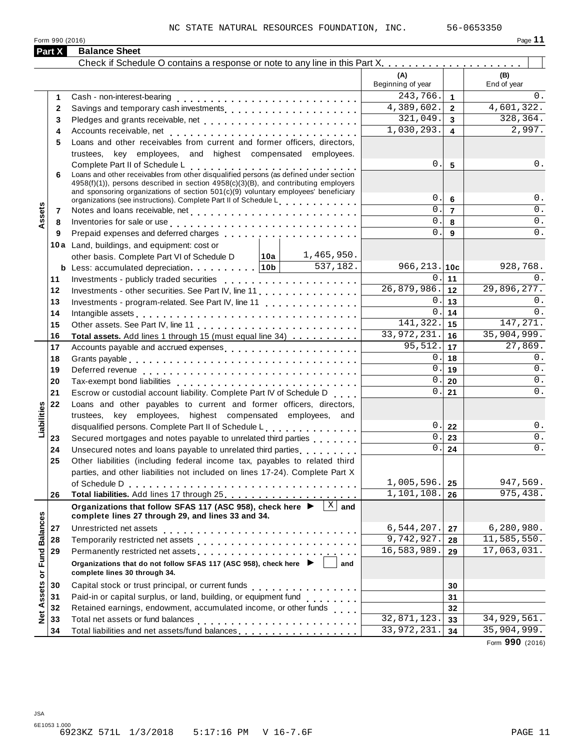Form 990 (2016)

| <br>г.<br>п |  |
|-------------|--|
|             |  |

|                      | Part X | <b>Balance Sheet</b>                                                                                                                                                                                                                                                                  |                          |                         |                    |
|----------------------|--------|---------------------------------------------------------------------------------------------------------------------------------------------------------------------------------------------------------------------------------------------------------------------------------------|--------------------------|-------------------------|--------------------|
|                      |        | Check if Schedule O contains a response or note to any line in this Part X.                                                                                                                                                                                                           |                          |                         |                    |
|                      |        |                                                                                                                                                                                                                                                                                       | (A)<br>Beginning of year |                         | (B)<br>End of year |
|                      | 1      |                                                                                                                                                                                                                                                                                       | 243,766.                 | $\mathbf{1}$            | 0.                 |
|                      | 2      |                                                                                                                                                                                                                                                                                       | 4,389,602.               | $\overline{2}$          | 4,601,322.         |
|                      | 3      |                                                                                                                                                                                                                                                                                       | 321,049.                 | 3                       | 328,364.           |
|                      | 4      |                                                                                                                                                                                                                                                                                       | 1,030,293.               | $\overline{\mathbf{4}}$ | 2,997.             |
|                      | 5      | Loans and other receivables from current and former officers, directors,                                                                                                                                                                                                              |                          |                         |                    |
|                      |        | trustees, key employees, and highest compensated employees.                                                                                                                                                                                                                           |                          |                         |                    |
|                      | 6      | Complete Part II of Schedule L<br>Complete Part in or Scriedule L<br>Loans and other receivables from other disqualified persons (as defined under section                                                                                                                            | 0.                       | 5                       | 0.                 |
|                      |        | $4958(f)(1)$ , persons described in section $4958(c)(3)(B)$ , and contributing employers<br>and sponsoring organizations of section $501(c)(9)$ voluntary employees' beneficiary<br>organizations (see instructions). Complete Part II of Schedule L <sub>1111111</sub> , productions | 0.                       | 6                       | $0$ .              |
|                      | 7      |                                                                                                                                                                                                                                                                                       | $\mathbf{0}$ .           | $\overline{7}$          | $0$ .              |
| Assets               | 8      | Inventories for sale or use enterprise to contact the contact of the contact of the contact of the contact of the contact of the contact of the contact of the contact of the contact of the contact of the contact of the con                                                        | $\mathbf{0}$             | 8                       | 0.                 |
|                      | 9      |                                                                                                                                                                                                                                                                                       | $\Omega$                 | $\mathbf{Q}$            | 0.                 |
|                      |        | 10a Land, buildings, and equipment: cost or                                                                                                                                                                                                                                           |                          |                         |                    |
|                      |        | 1,465,950.<br>other basis. Complete Part VI of Schedule D 10a                                                                                                                                                                                                                         |                          |                         |                    |
|                      |        | 537,182.                                                                                                                                                                                                                                                                              | $966, 213.$ 10c          |                         | 928,768.           |
|                      | 11     |                                                                                                                                                                                                                                                                                       | 0.                       | 11                      | 0.                 |
|                      | 12     | Investments - other securities. See Part IV, line 11                                                                                                                                                                                                                                  | 26,879,986.              | 12                      | 29,896,277.        |
|                      | 13     | Investments - program-related. See Part IV, line 11                                                                                                                                                                                                                                   | 0.                       | 13                      | 0.                 |
|                      | 14     | Intangible assets experience in the contract of the contract of the contract of the contract of the contract of the contract of the contract of the contract of the contract of the contract of the contract of the contract o                                                        | 0                        | 14                      | 0.                 |
|                      | 15     |                                                                                                                                                                                                                                                                                       | 141,322.                 | 15                      | 147,271.           |
|                      | 16     | Total assets. Add lines 1 through 15 (must equal line 34)                                                                                                                                                                                                                             | 33, 972, 231.            | 16                      | 35,904,999.        |
|                      | 17     | Accounts payable and accrued expenses                                                                                                                                                                                                                                                 | 95,512.                  | 17                      | 27,869.            |
|                      | 18     |                                                                                                                                                                                                                                                                                       | 0.                       | 18                      | 0.                 |
|                      | 19     |                                                                                                                                                                                                                                                                                       | $\mathbf 0$ .            | 19                      | 0.                 |
|                      | 20     |                                                                                                                                                                                                                                                                                       | $\mathsf{O}$ .           | 20                      | 0.                 |
|                      | 21     | Escrow or custodial account liability. Complete Part IV of Schedule D                                                                                                                                                                                                                 | 0.                       | 21                      | 0.                 |
|                      | 22     | Loans and other payables to current and former officers, directors,                                                                                                                                                                                                                   |                          |                         |                    |
|                      |        | trustees, key employees, highest compensated employees, and                                                                                                                                                                                                                           |                          |                         |                    |
| Liabilities          |        | disqualified persons. Complete Part II of Schedule L.                                                                                                                                                                                                                                 | 0.1<br>$0$ .             | 22                      | $0$ .              |
|                      | 23     | Secured mortgages and notes payable to unrelated third parties                                                                                                                                                                                                                        | $0$ .                    | 23                      | $0$ .<br>$0$ .     |
|                      | 24     | Unsecured notes and loans payable to unrelated third parties with the current of                                                                                                                                                                                                      |                          | 24                      |                    |
|                      | 25     | Other liabilities (including federal income tax, payables to related third                                                                                                                                                                                                            |                          |                         |                    |
|                      |        | parties, and other liabilities not included on lines 17-24). Complete Part X                                                                                                                                                                                                          | 1,005,596.               | 25                      | 947,569.           |
|                      | 26     |                                                                                                                                                                                                                                                                                       | 1,101,108.               | 26                      | 975,438.           |
|                      |        | X<br>Organizations that follow SFAS 117 (ASC 958), check here ▶<br>and                                                                                                                                                                                                                |                          |                         |                    |
|                      |        | complete lines 27 through 29, and lines 33 and 34.                                                                                                                                                                                                                                    |                          |                         |                    |
|                      | 27     | Unrestricted net assets                                                                                                                                                                                                                                                               | 6,544,207.               | 27                      | 6, 280, 980.       |
|                      | 28     |                                                                                                                                                                                                                                                                                       | 9,742,927.               | 28                      | 11,585,550.        |
|                      | 29     | Permanently restricted net assets<br>included: increases<br>increases<br>increases<br>increases<br>increases<br>increases<br>increases<br>increases<br>increases<br>increases<br>increases<br>increases<br>increases<br>increases<br>increases<br>increases<br>i                      | 16,583,989.              | 29                      | 17,063,031.        |
| <b>Fund Balances</b> |        | Organizations that do not follow SFAS 117 (ASC 958), check here ▶<br>and<br>complete lines 30 through 34.                                                                                                                                                                             |                          |                         |                    |
|                      | 30     | Capital stock or trust principal, or current funds<br>                                                                                                                                                                                                                                |                          | 30                      |                    |
| Net Assets or        | 31     | Paid-in or capital surplus, or land, building, or equipment fund<br>                                                                                                                                                                                                                  |                          | 31                      |                    |
|                      | 32     | Retained earnings, endowment, accumulated income, or other funds                                                                                                                                                                                                                      |                          | 32                      |                    |
|                      | 33     | Total net assets or fund balances                                                                                                                                                                                                                                                     | 32,871,123.              | 33                      | 34,929,561.        |
|                      | 34     | Total liabilities and net assets/fund balances                                                                                                                                                                                                                                        | 33, 972, 231.            | 34                      | 35,904,999.        |

Form **990** (2016)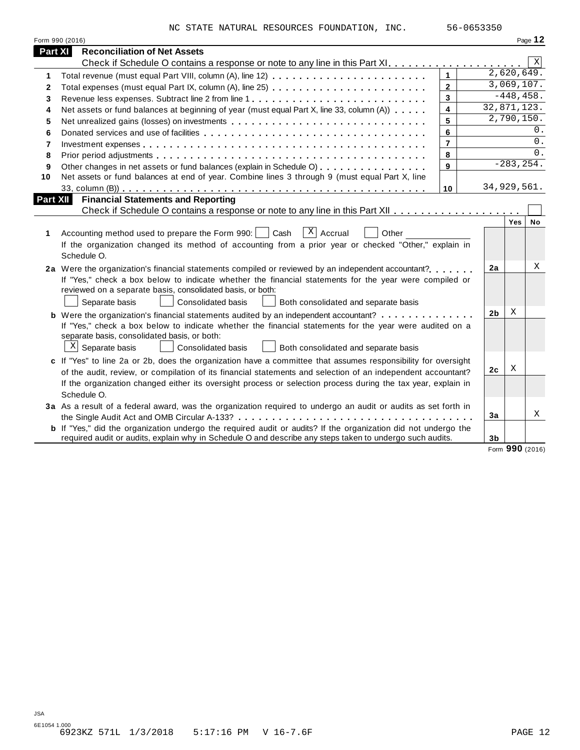NC STATE NATURAL RESOURCES FOUNDATION, INC. 56-0653350

| Form 990 (2016)                                                                                                       |                                      |                |                |                 | Page 12 |
|-----------------------------------------------------------------------------------------------------------------------|--------------------------------------|----------------|----------------|-----------------|---------|
| Part XI<br><b>Reconciliation of Net Assets</b>                                                                        |                                      |                |                |                 |         |
|                                                                                                                       |                                      |                |                |                 | X       |
| Total revenue (must equal Part VIII, column (A), line 12)<br>1                                                        |                                      | $\mathbf{1}$   |                | 2,620,649.      |         |
| 2                                                                                                                     |                                      | $\mathbf{2}$   |                | 3,069,107.      |         |
| Revenue less expenses. Subtract line 2 from line 1<br>3                                                               |                                      | $\overline{3}$ |                | $-448, 458.$    |         |
| Net assets or fund balances at beginning of year (must equal Part X, line 33, column (A))<br>4                        |                                      | 4              | 32,871,123.    |                 |         |
| Net unrealized gains (losses) on investments<br>5                                                                     |                                      | 5              |                | 2,790,150.      |         |
| 6                                                                                                                     |                                      | 6              |                |                 | 0.      |
| 7                                                                                                                     |                                      | $\overline{7}$ |                |                 | 0.      |
| 8                                                                                                                     |                                      | 8              |                |                 | 0.      |
| Other changes in net assets or fund balances (explain in Schedule O)<br>9                                             |                                      | 9              |                | $-283, 254.$    |         |
| Net assets or fund balances at end of year. Combine lines 3 through 9 (must equal Part X, line<br>10                  |                                      |                |                |                 |         |
|                                                                                                                       |                                      | 10             | 34,929,561.    |                 |         |
| <b>Financial Statements and Reporting</b><br>Part XII                                                                 |                                      |                |                |                 |         |
|                                                                                                                       |                                      |                |                |                 |         |
|                                                                                                                       |                                      |                |                | Yes             | No      |
| Accounting method used to prepare the Form 990:     Cash<br>1                                                         | $\lceil x \rceil$ Accrual<br>Other   |                |                |                 |         |
| If the organization changed its method of accounting from a prior year or checked "Other," explain in                 |                                      |                |                |                 |         |
| Schedule O.                                                                                                           |                                      |                |                |                 |         |
| 2a Were the organization's financial statements compiled or reviewed by an independent accountant?                    |                                      |                | 2a             |                 | Χ       |
| If "Yes," check a box below to indicate whether the financial statements for the year were compiled or                |                                      |                |                |                 |         |
| reviewed on a separate basis, consolidated basis, or both:                                                            |                                      |                |                |                 |         |
| Separate basis<br><b>Consolidated basis</b>                                                                           | Both consolidated and separate basis |                |                |                 |         |
| <b>b</b> Were the organization's financial statements audited by an independent accountant?                           |                                      |                | 2 <sub>b</sub> | Χ               |         |
| If "Yes," check a box below to indicate whether the financial statements for the year were audited on a               |                                      |                |                |                 |         |
| separate basis, consolidated basis, or both:                                                                          |                                      |                |                |                 |         |
| Χ<br>Separate basis<br>Consolidated basis                                                                             | Both consolidated and separate basis |                |                |                 |         |
| c If "Yes" to line 2a or 2b, does the organization have a committee that assumes responsibility for oversight         |                                      |                |                |                 |         |
| of the audit, review, or compilation of its financial statements and selection of an independent accountant?          |                                      |                | 2 <sub>c</sub> | Χ               |         |
| If the organization changed either its oversight process or selection process during the tax year, explain in         |                                      |                |                |                 |         |
| Schedule O.                                                                                                           |                                      |                |                |                 |         |
| 3a As a result of a federal award, was the organization required to undergo an audit or audits as set forth in        |                                      |                |                |                 |         |
|                                                                                                                       |                                      |                | 3a             |                 | X       |
| <b>b</b> If "Yes," did the organization undergo the required audit or audits? If the organization did not undergo the |                                      |                |                |                 |         |
| required audit or audits, explain why in Schedule O and describe any steps taken to undergo such audits.              |                                      |                | 3 <sub>b</sub> |                 |         |
|                                                                                                                       |                                      |                |                | Form 990 (2016) |         |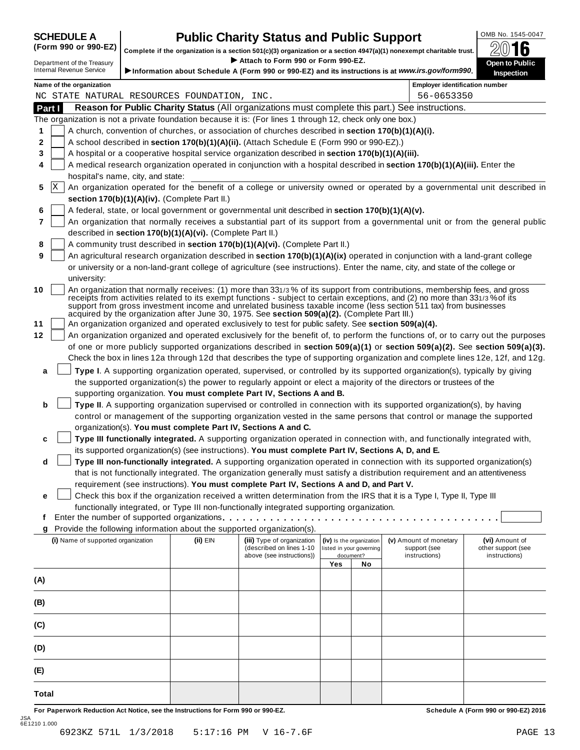# **SCHEDULE A Public Charity Status and Public Support**<br>(Form 990 or 990-EZ) complete if the crappization is a section 501(c)(2) crappization or a section 4047(c)(1) percepant charitable trust  $\bigotimes_{n=1}^{\infty}$

(Form 990 or 990-EZ) complete if the organization is a section 501(c)(3) organization or a section 4947(a)(1) nonexempt charitable trust. 2016 <sup>D</sup> I **Attach to Form <sup>990</sup> or Form 990-EZ.** epartment of the Treasury **Open to Public**

|                | Department of the Treasury<br><b>Internal Revenue Service</b> |                                                                     | ▶ Attach to Form 990 or Form 990-EZ.                                                                      |     |                                       | Information about Schedule A (Form 990 or 990-EZ) and its instructions is at www.irs.gov/form990.                                                                                                                                                                                                                                                                               | <b>Open to Public</b><br><b>Inspection</b>  |
|----------------|---------------------------------------------------------------|---------------------------------------------------------------------|-----------------------------------------------------------------------------------------------------------|-----|---------------------------------------|---------------------------------------------------------------------------------------------------------------------------------------------------------------------------------------------------------------------------------------------------------------------------------------------------------------------------------------------------------------------------------|---------------------------------------------|
|                | Name of the organization                                      |                                                                     |                                                                                                           |     |                                       |                                                                                                                                                                                                                                                                                                                                                                                 |                                             |
|                | NC STATE NATURAL RESOURCES FOUNDATION, INC.                   |                                                                     |                                                                                                           |     |                                       | <b>Employer identification number</b><br>56-0653350                                                                                                                                                                                                                                                                                                                             |                                             |
| Part I         |                                                               |                                                                     |                                                                                                           |     |                                       | Reason for Public Charity Status (All organizations must complete this part.) See instructions.                                                                                                                                                                                                                                                                                 |                                             |
|                |                                                               |                                                                     | The organization is not a private foundation because it is: (For lines 1 through 12, check only one box.) |     |                                       |                                                                                                                                                                                                                                                                                                                                                                                 |                                             |
| 1              |                                                               |                                                                     | A church, convention of churches, or association of churches described in section 170(b)(1)(A)(i).        |     |                                       |                                                                                                                                                                                                                                                                                                                                                                                 |                                             |
| 2              |                                                               |                                                                     | A school described in section 170(b)(1)(A)(ii). (Attach Schedule E (Form 990 or 990-EZ).)                 |     |                                       |                                                                                                                                                                                                                                                                                                                                                                                 |                                             |
| 3              |                                                               |                                                                     | A hospital or a cooperative hospital service organization described in section 170(b)(1)(A)(iii).         |     |                                       |                                                                                                                                                                                                                                                                                                                                                                                 |                                             |
| 4              |                                                               |                                                                     |                                                                                                           |     |                                       | A medical research organization operated in conjunction with a hospital described in section 170(b)(1)(A)(iii). Enter the                                                                                                                                                                                                                                                       |                                             |
|                | hospital's name, city, and state:                             |                                                                     |                                                                                                           |     |                                       |                                                                                                                                                                                                                                                                                                                                                                                 |                                             |
| Х<br>5         |                                                               | section 170(b)(1)(A)(iv). (Complete Part II.)                       |                                                                                                           |     |                                       | An organization operated for the benefit of a college or university owned or operated by a governmental unit described in                                                                                                                                                                                                                                                       |                                             |
| 6              |                                                               |                                                                     | A federal, state, or local government or governmental unit described in section 170(b)(1)(A)(v).          |     |                                       |                                                                                                                                                                                                                                                                                                                                                                                 |                                             |
| $\overline{7}$ |                                                               |                                                                     |                                                                                                           |     |                                       | An organization that normally receives a substantial part of its support from a governmental unit or from the general public                                                                                                                                                                                                                                                    |                                             |
|                |                                                               | described in section 170(b)(1)(A)(vi). (Complete Part II.)          |                                                                                                           |     |                                       |                                                                                                                                                                                                                                                                                                                                                                                 |                                             |
| 8              |                                                               |                                                                     | A community trust described in section 170(b)(1)(A)(vi). (Complete Part II.)                              |     |                                       |                                                                                                                                                                                                                                                                                                                                                                                 |                                             |
| 9              |                                                               |                                                                     |                                                                                                           |     |                                       | An agricultural research organization described in section 170(b)(1)(A)(ix) operated in conjunction with a land-grant college                                                                                                                                                                                                                                                   |                                             |
|                |                                                               |                                                                     |                                                                                                           |     |                                       | or university or a non-land-grant college of agriculture (see instructions). Enter the name, city, and state of the college or                                                                                                                                                                                                                                                  |                                             |
|                | university:                                                   |                                                                     |                                                                                                           |     |                                       |                                                                                                                                                                                                                                                                                                                                                                                 |                                             |
| 10             |                                                               |                                                                     | acquired by the organization after June 30, 1975. See section 509(a)(2). (Complete Part III.)             |     |                                       | An organization that normally receives: (1) more than 331/3% of its support from contributions, membership fees, and gross<br>receipts from activities related to its exempt functions - subject to certain exceptions, and (2) no more than 331/3% of its<br>support from gross investment income and unrelated business taxable income (less section 511 tax) from businesses |                                             |
| 11             |                                                               |                                                                     | An organization organized and operated exclusively to test for public safety. See section 509(a)(4).      |     |                                       |                                                                                                                                                                                                                                                                                                                                                                                 |                                             |
| 12             |                                                               |                                                                     |                                                                                                           |     |                                       | An organization organized and operated exclusively for the benefit of, to perform the functions of, or to carry out the purposes                                                                                                                                                                                                                                                |                                             |
|                |                                                               |                                                                     |                                                                                                           |     |                                       | of one or more publicly supported organizations described in section 509(a)(1) or section 509(a)(2). See section 509(a)(3).                                                                                                                                                                                                                                                     |                                             |
|                |                                                               |                                                                     |                                                                                                           |     |                                       | Check the box in lines 12a through 12d that describes the type of supporting organization and complete lines 12e, 12f, and 12g.                                                                                                                                                                                                                                                 |                                             |
| a              |                                                               |                                                                     |                                                                                                           |     |                                       | Type I. A supporting organization operated, supervised, or controlled by its supported organization(s), typically by giving                                                                                                                                                                                                                                                     |                                             |
|                |                                                               |                                                                     |                                                                                                           |     |                                       | the supported organization(s) the power to regularly appoint or elect a majority of the directors or trustees of the                                                                                                                                                                                                                                                            |                                             |
|                |                                                               |                                                                     | supporting organization. You must complete Part IV, Sections A and B.                                     |     |                                       |                                                                                                                                                                                                                                                                                                                                                                                 |                                             |
| b              |                                                               |                                                                     |                                                                                                           |     |                                       | Type II. A supporting organization supervised or controlled in connection with its supported organization(s), by having                                                                                                                                                                                                                                                         |                                             |
|                |                                                               |                                                                     |                                                                                                           |     |                                       | control or management of the supporting organization vested in the same persons that control or manage the supported                                                                                                                                                                                                                                                            |                                             |
|                |                                                               |                                                                     | organization(s). You must complete Part IV, Sections A and C.                                             |     |                                       |                                                                                                                                                                                                                                                                                                                                                                                 |                                             |
| c              |                                                               |                                                                     |                                                                                                           |     |                                       | Type III functionally integrated. A supporting organization operated in connection with, and functionally integrated with,                                                                                                                                                                                                                                                      |                                             |
|                |                                                               |                                                                     | its supported organization(s) (see instructions). You must complete Part IV, Sections A, D, and E.        |     |                                       |                                                                                                                                                                                                                                                                                                                                                                                 |                                             |
| d              |                                                               |                                                                     |                                                                                                           |     |                                       | Type III non-functionally integrated. A supporting organization operated in connection with its supported organization(s)<br>that is not functionally integrated. The organization generally must satisfy a distribution requirement and an attentiveness                                                                                                                       |                                             |
|                |                                                               |                                                                     | requirement (see instructions). You must complete Part IV, Sections A and D, and Part V.                  |     |                                       |                                                                                                                                                                                                                                                                                                                                                                                 |                                             |
| е              |                                                               |                                                                     |                                                                                                           |     |                                       | Check this box if the organization received a written determination from the IRS that it is a Type I, Type II, Type III                                                                                                                                                                                                                                                         |                                             |
|                |                                                               |                                                                     | functionally integrated, or Type III non-functionally integrated supporting organization.                 |     |                                       |                                                                                                                                                                                                                                                                                                                                                                                 |                                             |
| Ť.             |                                                               |                                                                     | Enter the number of supported organizations.                                                              |     |                                       |                                                                                                                                                                                                                                                                                                                                                                                 |                                             |
| g              |                                                               |                                                                     | Provide the following information about the supported organization(s).                                    |     |                                       |                                                                                                                                                                                                                                                                                                                                                                                 |                                             |
|                | (i) Name of supported organization                            | (ii) EIN                                                            | (iii) Type of organization                                                                                |     | (iv) Is the organization              | (v) Amount of monetary                                                                                                                                                                                                                                                                                                                                                          | (vi) Amount of                              |
|                |                                                               |                                                                     | (described on lines 1-10<br>above (see instructions))                                                     |     | listed in your governing<br>document? | support (see<br>instructions)                                                                                                                                                                                                                                                                                                                                                   | other support (see<br>instructions)         |
|                |                                                               |                                                                     |                                                                                                           | Yes | No                                    |                                                                                                                                                                                                                                                                                                                                                                                 |                                             |
| (A)            |                                                               |                                                                     |                                                                                                           |     |                                       |                                                                                                                                                                                                                                                                                                                                                                                 |                                             |
|                |                                                               |                                                                     |                                                                                                           |     |                                       |                                                                                                                                                                                                                                                                                                                                                                                 |                                             |
| (B)            |                                                               |                                                                     |                                                                                                           |     |                                       |                                                                                                                                                                                                                                                                                                                                                                                 |                                             |
| (C)            |                                                               |                                                                     |                                                                                                           |     |                                       |                                                                                                                                                                                                                                                                                                                                                                                 |                                             |
| (D)            |                                                               |                                                                     |                                                                                                           |     |                                       |                                                                                                                                                                                                                                                                                                                                                                                 |                                             |
| (E)            |                                                               |                                                                     |                                                                                                           |     |                                       |                                                                                                                                                                                                                                                                                                                                                                                 |                                             |
| Total          |                                                               |                                                                     |                                                                                                           |     |                                       |                                                                                                                                                                                                                                                                                                                                                                                 |                                             |
|                |                                                               | k Reduction Ast Notice, can the Instructions for Ferm 000 or 000 F7 |                                                                                                           |     |                                       |                                                                                                                                                                                                                                                                                                                                                                                 | <b>Cohodulo A (Form 000 or 000 EZ) 2010</b> |

For Paperwork Reduction Act Notice, see the Instructions for Form 990 or 990-EZ. Schedule A (Form 990 or 990-EZ) 2016 JSA 6E1210 1.000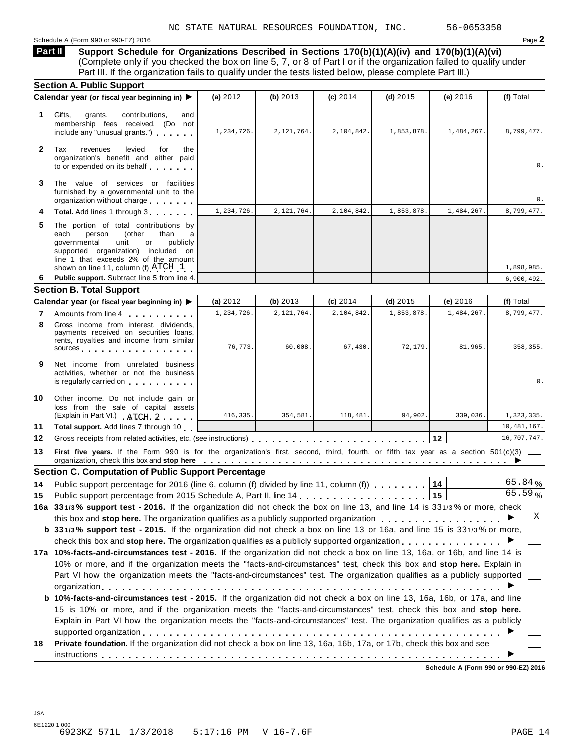Schedule <sup>A</sup> (Form <sup>990</sup> or 990-EZ) <sup>2016</sup> Page **2**

**Support Schedule for Organizations Described in Sections 170(b)(1)(A)(iv) and 170(b)(1)(A)(vi)** (Complete only if you checked the box on line 5, 7, or 8 of Part I or if the organization failed to qualify under Part III. If the organization fails to qualify under the tests listed below, please complete Part III.) **Part II**

|              | <b>Section A. Public Support</b>                                                                                                                                                                                                                                                                                                                                    |            |            |            |            |            |               |
|--------------|---------------------------------------------------------------------------------------------------------------------------------------------------------------------------------------------------------------------------------------------------------------------------------------------------------------------------------------------------------------------|------------|------------|------------|------------|------------|---------------|
|              | Calendar year (or fiscal year beginning in) $\blacktriangleright$                                                                                                                                                                                                                                                                                                   | (a) $2012$ | (b) $2013$ | $(c)$ 2014 | $(d)$ 2015 | (e) $2016$ | (f) Total     |
| 1.           | Gifts,<br>grants,<br>contributions,<br>and<br>membership fees received. (Do not<br>include any "unusual grants.")                                                                                                                                                                                                                                                   | 1,234,726. | 2,121,764. | 2,104,842. | 1,853,878. | 1,484,267. | 8,799,477.    |
| $\mathbf{2}$ | Tax<br>revenues<br>levied<br>for<br>the<br>organization's benefit and either paid<br>to or expended on its behalf                                                                                                                                                                                                                                                   |            |            |            |            |            | 0.            |
| 3            | The value of services or facilities<br>furnished by a governmental unit to the<br>organization without charge                                                                                                                                                                                                                                                       |            |            |            |            |            | 0.            |
| 4            | Total. Add lines 1 through 3                                                                                                                                                                                                                                                                                                                                        | 1,234,726. | 2,121,764. | 2,104,842. | 1,853,878. | 1,484,267. | 8,799,477.    |
| 5            | The portion of total contributions by<br>each<br>person<br>(other<br>than<br>a<br>governmental<br>unit<br>publicly<br>or<br>supported organization) included on<br>line 1 that exceeds 2% of the amount                                                                                                                                                             |            |            |            |            |            | 1,898,985.    |
| 6.           | shown on line 11, column (f) $\text{ATCH}$ 1<br>Public support. Subtract line 5 from line 4.                                                                                                                                                                                                                                                                        |            |            |            |            |            | 6,900,492.    |
|              | <b>Section B. Total Support</b>                                                                                                                                                                                                                                                                                                                                     |            |            |            |            |            |               |
|              | Calendar year (or fiscal year beginning in) ▶                                                                                                                                                                                                                                                                                                                       | (a) 2012   | (b) $2013$ | $(c)$ 2014 | (d) $2015$ | (e) $2016$ | (f) Total     |
| 7            | Amounts from line 4                                                                                                                                                                                                                                                                                                                                                 | 1,234,726. | 2,121,764. | 2,104,842. | 1,853,878. | 1,484,267. | 8,799,477.    |
| 8            | Gross income from interest, dividends,<br>payments received on securities loans,<br>rents, royalties and income from similar<br>sources and the set of the set of the set of the set of the set of the set of the set of the set of the set of                                                                                                                      | 76,773.    | 60,008.    | 67,430.    | 72,179     | 81,965.    | 358,355.      |
| 9            | Net income from unrelated business<br>activities, whether or not the business<br>is regularly carried on the control of the state of the state of the state of the state of the state of the state of the state of the state of the state of the state of the state of the state of the state of the state of t                                                     |            |            |            |            |            | 0.            |
| 10           | Other income. Do not include gain or<br>loss from the sale of capital assets<br>(Explain in Part VI.) ATCH 2                                                                                                                                                                                                                                                        | 416,335.   | 354,581.   | 118,481.   | 94,902.    | 339,036.   | 1,323,335.    |
| 11           | Total support. Add lines 7 through 10                                                                                                                                                                                                                                                                                                                               |            |            |            |            |            | 10, 481, 167. |
| 12           |                                                                                                                                                                                                                                                                                                                                                                     |            |            |            |            | 12         | 16,707,747.   |
| 13           | First five years. If the Form 990 is for the organization's first, second, third, fourth, or fifth tax year as a section 501(c)(3)<br>organization, check this box and stop here entired to the state of the state of the state of the state of the state of the state of the state of the state of the state of the state of the state of the state of the state o |            |            |            |            |            |               |
|              | <b>Section C. Computation of Public Support Percentage</b>                                                                                                                                                                                                                                                                                                          |            |            |            |            |            |               |
| 14           | Public support percentage for 2016 (line 6, column (f) divided by line 11, column (f) $\ldots$ ,,,,,,                                                                                                                                                                                                                                                               |            |            |            |            | 14         | 65.84%        |
| 15           |                                                                                                                                                                                                                                                                                                                                                                     |            |            |            |            | 15         | 65.59%        |
|              | 16a 331/3% support test - 2016. If the organization did not check the box on line 13, and line 14 is 331/3% or more, check                                                                                                                                                                                                                                          |            |            |            |            |            |               |
|              | this box and stop here. The organization qualifies as a publicly supported organization                                                                                                                                                                                                                                                                             |            |            |            |            |            | X             |
|              | b 331/3% support test - 2015. If the organization did not check a box on line 13 or 16a, and line 15 is 331/3% or more,                                                                                                                                                                                                                                             |            |            |            |            |            |               |
|              | check this box and stop here. The organization qualifies as a publicly supported organization $\dots \dots \dots \dots$                                                                                                                                                                                                                                             |            |            |            |            |            |               |
|              | 17a 10%-facts-and-circumstances test - 2016. If the organization did not check a box on line 13, 16a, or 16b, and line 14 is                                                                                                                                                                                                                                        |            |            |            |            |            |               |
|              | 10% or more, and if the organization meets the "facts-and-circumstances" test, check this box and stop here. Explain in                                                                                                                                                                                                                                             |            |            |            |            |            |               |
|              | Part VI how the organization meets the "facts-and-circumstances" test. The organization qualifies as a publicly supported                                                                                                                                                                                                                                           |            |            |            |            |            |               |
|              |                                                                                                                                                                                                                                                                                                                                                                     |            |            |            |            |            |               |
|              | b 10%-facts-and-circumstances test - 2015. If the organization did not check a box on line 13, 16a, 16b, or 17a, and line                                                                                                                                                                                                                                           |            |            |            |            |            |               |
|              | 15 is 10% or more, and if the organization meets the "facts-and-circumstances" test, check this box and stop here.                                                                                                                                                                                                                                                  |            |            |            |            |            |               |
|              | Explain in Part VI how the organization meets the "facts-and-circumstances" test. The organization qualifies as a publicly                                                                                                                                                                                                                                          |            |            |            |            |            |               |
| 18           | Private foundation. If the organization did not check a box on line 13, 16a, 16b, 17a, or 17b, check this box and see                                                                                                                                                                                                                                               |            |            |            |            |            |               |

**Schedule A (Form 990 or 990-EZ) 2016**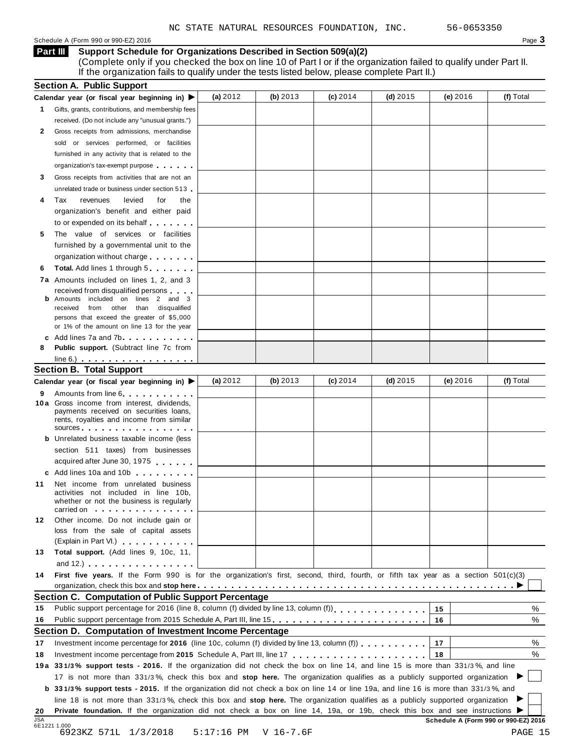### Schedule A (Form 990 or 990-EZ) 2016 Page 3

**Support Schedule for Organizations Described in Section 509(a)(2) Part III**

(Complete only if you checked the box on line 10 of Part I or if the organization failed to qualify under Part II. If the organization fails to qualify under the tests listed below, please complete Part II.)

|                  | <b>Section A. Public Support</b>                                                                                                           |            |            |            |            |            |                                      |
|------------------|--------------------------------------------------------------------------------------------------------------------------------------------|------------|------------|------------|------------|------------|--------------------------------------|
|                  | Calendar year (or fiscal year beginning in) $\blacktriangleright$                                                                          | (a) 2012   | (b) $2013$ | $(c)$ 2014 | $(d)$ 2015 | $(e)$ 2016 | (f) Total                            |
| 1.               | Gifts, grants, contributions, and membership fees                                                                                          |            |            |            |            |            |                                      |
|                  | received. (Do not include any "unusual grants.")                                                                                           |            |            |            |            |            |                                      |
| 2                | Gross receipts from admissions, merchandise                                                                                                |            |            |            |            |            |                                      |
|                  | or services performed, or facilities<br>sold                                                                                               |            |            |            |            |            |                                      |
|                  | furnished in any activity that is related to the                                                                                           |            |            |            |            |            |                                      |
|                  | organization's tax-exempt purpose                                                                                                          |            |            |            |            |            |                                      |
| 3                | Gross receipts from activities that are not an                                                                                             |            |            |            |            |            |                                      |
|                  | unrelated trade or business under section 513                                                                                              |            |            |            |            |            |                                      |
| 4                | Tax<br>revenues<br>levied<br>for<br>the                                                                                                    |            |            |            |            |            |                                      |
|                  | organization's benefit and either paid                                                                                                     |            |            |            |            |            |                                      |
|                  |                                                                                                                                            |            |            |            |            |            |                                      |
|                  | to or expended on its behalf                                                                                                               |            |            |            |            |            |                                      |
| 5                | The value of services or facilities                                                                                                        |            |            |            |            |            |                                      |
|                  | furnished by a governmental unit to the                                                                                                    |            |            |            |            |            |                                      |
|                  | organization without charge                                                                                                                |            |            |            |            |            |                                      |
| 6                | <b>Total.</b> Add lines 1 through 5                                                                                                        |            |            |            |            |            |                                      |
|                  | <b>7a</b> Amounts included on lines 1, 2, and 3                                                                                            |            |            |            |            |            |                                      |
|                  | received from disqualified persons                                                                                                         |            |            |            |            |            |                                      |
|                  | <b>b</b> Amounts included on lines 2 and 3<br>received from other than disqualified                                                        |            |            |            |            |            |                                      |
|                  | persons that exceed the greater of \$5,000                                                                                                 |            |            |            |            |            |                                      |
|                  | or 1% of the amount on line 13 for the year                                                                                                |            |            |            |            |            |                                      |
|                  | c Add lines 7a and 7b                                                                                                                      |            |            |            |            |            |                                      |
| 8                | <b>Public support.</b> (Subtract line 7c from                                                                                              |            |            |            |            |            |                                      |
|                  | $line 6.)$ $\ldots$ $\ldots$ $\ldots$ $\ldots$ $\ldots$ $\ldots$ $\ldots$                                                                  |            |            |            |            |            |                                      |
|                  | <b>Section B. Total Support</b>                                                                                                            |            |            |            |            |            |                                      |
|                  | Calendar year (or fiscal year beginning in) ▶                                                                                              | (a) $2012$ | (b) 2013   | $(c)$ 2014 | $(d)$ 2015 | (e) 2016   | (f) Total                            |
| 9                | Amounts from line 6.                                                                                                                       |            |            |            |            |            |                                      |
|                  | 10 a Gross income from interest, dividends,<br>payments received on securities loans,<br>rents, royalties and income from similar          |            |            |            |            |            |                                      |
|                  | sources and the set of the set of the set of the set of the set of the set of the set of the set of the set of                             |            |            |            |            |            |                                      |
|                  | <b>b</b> Unrelated business taxable income (less                                                                                           |            |            |            |            |            |                                      |
|                  | section 511 taxes) from businesses                                                                                                         |            |            |            |            |            |                                      |
|                  | acquired after June 30, 1975                                                                                                               |            |            |            |            |            |                                      |
|                  | c Add lines 10a and 10b                                                                                                                    |            |            |            |            |            |                                      |
| 11               | Net income from unrelated business<br>activities not included in line 10b,                                                                 |            |            |            |            |            |                                      |
|                  | whether or not the business is regularly                                                                                                   |            |            |            |            |            |                                      |
|                  | carried on the contract of the contract of the contract of the contract of the contract of the contract of the                             |            |            |            |            |            |                                      |
| 12               | Other income. Do not include gain or                                                                                                       |            |            |            |            |            |                                      |
|                  | loss from the sale of capital assets                                                                                                       |            |            |            |            |            |                                      |
|                  | (Explain in Part VI.) <b>All Accords</b>                                                                                                   |            |            |            |            |            |                                      |
| 13               | Total support. (Add lines 9, 10c, 11,                                                                                                      |            |            |            |            |            |                                      |
|                  | and 12.) $\cdots$ $\cdots$ $\cdots$ $\cdots$                                                                                               |            |            |            |            |            |                                      |
| 14               | First five years. If the Form 990 is for the organization's first, second, third, fourth, or fifth tax year as a section 501(c)(3)         |            |            |            |            |            |                                      |
|                  |                                                                                                                                            |            |            |            |            |            |                                      |
|                  | <b>Section C. Computation of Public Support Percentage</b>                                                                                 |            |            |            |            |            |                                      |
| 15               | Public support percentage for 2016 (line 8, column (f) divided by line 13, column (f)).                                                    |            |            |            |            | 15         | %                                    |
| 16               | Public support percentage from 2015 Schedule A, Part III, line 15                                                                          |            |            |            |            | 16         | %                                    |
|                  | Section D. Computation of Investment Income Percentage                                                                                     |            |            |            |            |            |                                      |
| 17               | Investment income percentage for 2016 (line 10c, column (f) divided by line 13, column (f) $\ldots$ ,,,,,,,,                               |            |            |            |            | 17         | %                                    |
|                  |                                                                                                                                            |            |            |            |            | 18         | %                                    |
|                  |                                                                                                                                            |            |            |            |            |            |                                      |
|                  |                                                                                                                                            |            |            |            |            |            |                                      |
|                  | 19a 331/3% support tests - 2016. If the organization did not check the box on line 14, and line 15 is more than 331/3%, and line           |            |            |            |            |            |                                      |
| 18               | 17 is not more than 331/3%, check this box and stop here. The organization qualifies as a publicly supported organization                  |            |            |            |            |            |                                      |
|                  | <b>b</b> 331/3% support tests - 2015. If the organization did not check a box on line 14 or line 19a, and line 16 is more than 331/3%, and |            |            |            |            |            |                                      |
|                  | line 18 is not more than 331/3%, check this box and stop here. The organization qualifies as a publicly supported organization             |            |            |            |            |            |                                      |
| 20<br><b>JSA</b> | Private foundation. If the organization did not check a box on line 14, 19a, or 19b, check this box and see instructions ▶                 |            |            |            |            |            | Schedule A (Form 990 or 990-EZ) 2016 |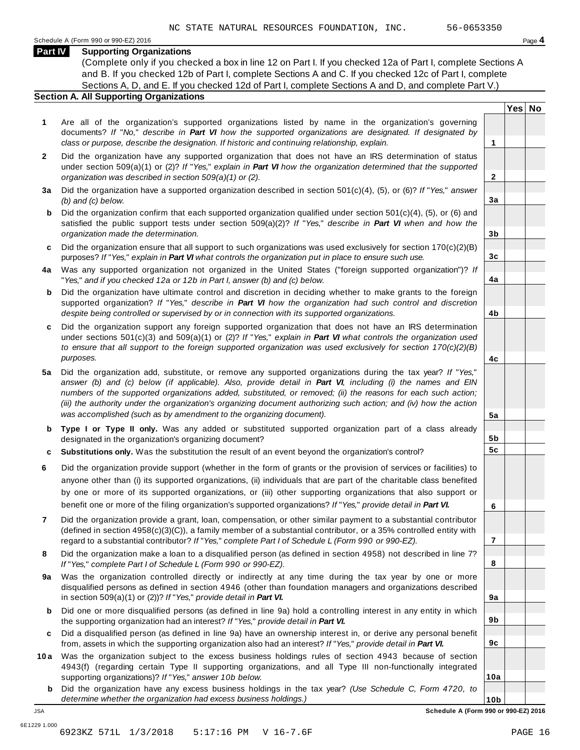**Yes No**

**2**

**3a**

**3b**

**3c**

**4a**

**4b**

**4c**

**5a**

**5b 5c**

**6**

**7**

**8**

**9a**

**9b**

**9c**

**10a**

### **Part IV Supporting Organizations**

(Complete only if you checked a box in line 12 on Part I. If you checked 12a of Part I, complete Sections A and B. If you checked 12b of Part I, complete Sections A and C. If you checked 12c of Part I, complete Sections A, D, and E. If you checked 12d of Part I, complete Sections A and D, and complete Part V.)

### **Section A. All Supporting Organizations**

- **1** Are all of the organization's supported organizations listed by name in the organization's governing documents? *If* "*No,*" *describe in Part VI how the supported organizations are designated. If designated by class or purpose, describe the designation. If historic and continuing relationship, explain.* **1**
- **2** Did the organization have any supported organization that does not have an IRS determination of status under section 509(a)(1) or (2)? *If*"*Yes,*" *explain in Part VI how the organization determined that the supported organization was described in section 509(a)(1) or (2).*
- **3 a** Did the organization have a supported organization described in section 501(c)(4), (5), or (6)? *If* "*Yes,*" *answer (b) and (c) below.*
- **b** Did the organization confirm that each supported organization qualified under section 501(c)(4), (5), or (6) and | satisfied the public support tests under section 509(a)(2)? *If* "*Yes,*" *describe in Part VI when and how the organization made the determination.*
- **c** Did the organization ensure that all support to such organizations was used exclusively for section 170(c)(2)(B) purposes? *If*"*Yes,*" *explain in Part VI what controls the organization put in place to ensure such use.*
- **4 a** Was any supported organization not organized in the United States ("foreign supported organization")? *If* "*Yes,*" *and if you checked 12a or 12b in Part I, answer (b) and (c) below.*
- **b** Did the organization have ultimate control and discretion in deciding whether to make grants to the foreign | supported organization? *If* "*Yes,*" *describe in Part VI how the organization had such control and discretion despite being controlled or supervised by or in connection with its supported organizations.*
- **c** Did the organization support any foreign supported organization that does not have an IRS determination | under sections 501(c)(3) and 509(a)(1) or (2)? *If* "*Yes,*" *explain in Part VI what controls the organization used to ensure that all support to the foreign supported organization was used exclusively for section 170(c)(2)(B) purposes.*
- **5 a** Did the organization add, substitute, or remove any supported organizations during the tax year? *If* "*Yes,*" answer (b) and (c) below (if applicable). Also, provide detail in Part VI, including (i) the names and EIN *numbers of the supported organizations added, substituted, or removed; (ii) the reasons for each such action;* (iii) the authority under the organization's organizing document authorizing such action; and (iv) how the action *was accomplished (such as by amendment to the organizing document).*
- **b** Type I or Type II only. Was any added or substituted supported organization part of a class already | designated in the organization's organizing document?
- **c Substitutions only.** Was the substitution the result of an event beyond the organization's control?
- **6** Did the organization provide support (whether in the form of grants or the provision of services or facilities) to anyone other than (i) its supported organizations, (ii) individuals that are part of the charitable class benefited by one or more of its supported organizations, or (iii) other supporting organizations that also support or benefit one or more of the filing organization's supported organizations? *If*"*Yes,*" *provide detail in Part VI.*
- **7** Did the organization provide a grant, loan, compensation, or other similar payment to a substantial contributor (defined in section 4958(c)(3)(C)), a family member of a substantial contributor, or a 35% controlled entity with regard to a substantial contributor? *If*"*Yes,*" *complete Part I of Schedule L (Form 990 or 990-EZ).*
- **8** Did the organization make a loan to a disqualified person (as defined in section 4958) not described in line 7? *If* "*Yes,*" *complete Part I of Schedule L (Form 990 or 990-EZ).*
- **a** Was the organization controlled directly or indirectly at any time during the tax year by one or more | **9** disqualified persons as defined in section 4946 (other than foundation managers and organizations described in section 509(a)(1) or (2))? *If*"*Yes,*" *provide detail in Part VI.*
- **b** Did one or more disqualified persons (as defined in line 9a) hold a controlling interest in any entity in which | the supporting organization had an interest? *If*"*Yes,*" *provide detail in Part VI.*
- **c** Did a disqualified person (as defined in line 9a) have an ownership interest in, or derive any personal benefit from, assets in which the supporting organization also had an interest? *If*"*Yes,*" *provide detail in Part VI.*
- **10a** Was the organization subject to the excess business holdings rules of section 4943 because of section | 4943(f) (regarding certain Type II supporting organizations, and all Type III non-functionally integrated supporting organizations)? *If*"*Yes,*" *answer 10b below.*
	- **b** Did the organization have any excess business holdings in the tax year? *(Use Schedule C, Form 4720, to determine whether the organization had excess business holdings.)*

**10b** JSA **Schedule A (Form 990 or 990-EZ) 2016**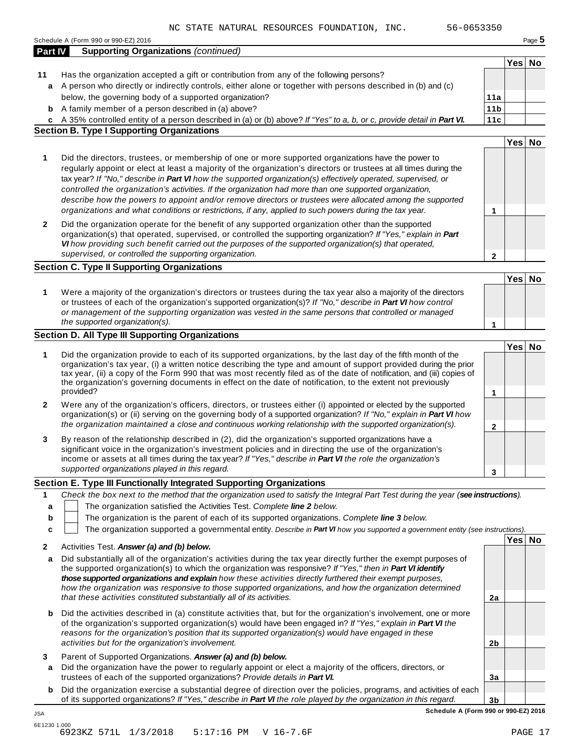|                | Schedule A (Form 990 or 990-EZ) 2016                                                                                                                                                                                                                                                                                                                                                                                                                                                                                                                                                                                                                                         |                 |        | Page 5 |
|----------------|------------------------------------------------------------------------------------------------------------------------------------------------------------------------------------------------------------------------------------------------------------------------------------------------------------------------------------------------------------------------------------------------------------------------------------------------------------------------------------------------------------------------------------------------------------------------------------------------------------------------------------------------------------------------------|-----------------|--------|--------|
| <b>Part IV</b> | <b>Supporting Organizations (continued)</b>                                                                                                                                                                                                                                                                                                                                                                                                                                                                                                                                                                                                                                  |                 |        |        |
|                |                                                                                                                                                                                                                                                                                                                                                                                                                                                                                                                                                                                                                                                                              |                 | Yes No |        |
| 11             | Has the organization accepted a gift or contribution from any of the following persons?                                                                                                                                                                                                                                                                                                                                                                                                                                                                                                                                                                                      |                 |        |        |
| a              | A person who directly or indirectly controls, either alone or together with persons described in (b) and (c)                                                                                                                                                                                                                                                                                                                                                                                                                                                                                                                                                                 |                 |        |        |
|                | below, the governing body of a supported organization?                                                                                                                                                                                                                                                                                                                                                                                                                                                                                                                                                                                                                       | 11a             |        |        |
|                | <b>b</b> A family member of a person described in (a) above?                                                                                                                                                                                                                                                                                                                                                                                                                                                                                                                                                                                                                 | 11 <sub>b</sub> |        |        |
|                | c A 35% controlled entity of a person described in (a) or (b) above? If "Yes" to a, b, or c, provide detail in Part VI.                                                                                                                                                                                                                                                                                                                                                                                                                                                                                                                                                      | 11c             |        |        |
|                | <b>Section B. Type I Supporting Organizations</b>                                                                                                                                                                                                                                                                                                                                                                                                                                                                                                                                                                                                                            |                 |        |        |
|                |                                                                                                                                                                                                                                                                                                                                                                                                                                                                                                                                                                                                                                                                              |                 | Yes No |        |
| 1              | Did the directors, trustees, or membership of one or more supported organizations have the power to<br>regularly appoint or elect at least a majority of the organization's directors or trustees at all times during the<br>tax year? If "No," describe in Part VI how the supported organization(s) effectively operated, supervised, or<br>controlled the organization's activities. If the organization had more than one supported organization,<br>describe how the powers to appoint and/or remove directors or trustees were allocated among the supported<br>organizations and what conditions or restrictions, if any, applied to such powers during the tax year. | 1               |        |        |
| 2              | Did the organization operate for the benefit of any supported organization other than the supported<br>organization(s) that operated, supervised, or controlled the supporting organization? If "Yes," explain in Part<br>VI how providing such benefit carried out the purposes of the supported organization(s) that operated,<br>supervised, or controlled the supporting organization.                                                                                                                                                                                                                                                                                   | 2               |        |        |
|                | <b>Section C. Type II Supporting Organizations</b>                                                                                                                                                                                                                                                                                                                                                                                                                                                                                                                                                                                                                           |                 |        |        |
|                |                                                                                                                                                                                                                                                                                                                                                                                                                                                                                                                                                                                                                                                                              |                 | Yes No |        |
| 1              | Were a majority of the organization's directors or trustees during the tax year also a majority of the directors<br>or trustees of each of the organization's supported organization(s)? If "No," describe in Part VI how control<br>or management of the supporting organization was vested in the same persons that controlled or managed<br>the supported organization(s).                                                                                                                                                                                                                                                                                                |                 |        |        |
|                | Section D. All Type III Supporting Organizations                                                                                                                                                                                                                                                                                                                                                                                                                                                                                                                                                                                                                             | 1               |        |        |
|                |                                                                                                                                                                                                                                                                                                                                                                                                                                                                                                                                                                                                                                                                              |                 | Yes No |        |
| 1              | Did the organization provide to each of its supported organizations, by the last day of the fifth month of the<br>organization's tax year, (i) a written notice describing the type and amount of support provided during the prior<br>tax year, (ii) a copy of the Form 990 that was most recently filed as of the date of notification, and (iii) copies of<br>the organization's governing documents in effect on the date of notification, to the extent not previously<br>provided?                                                                                                                                                                                     | 1               |        |        |
| 2              | Were any of the organization's officers, directors, or trustees either (i) appointed or elected by the supported<br>organization(s) or (ii) serving on the governing body of a supported organization? If "No," explain in Part VI how<br>the organization maintained a close and continuous working relationship with the supported organization(s).                                                                                                                                                                                                                                                                                                                        | $\overline{2}$  |        |        |
| 3              | By reason of the relationship described in (2), did the organization's supported organizations have a<br>significant voice in the organization's investment policies and in directing the use of the organization's<br>income or assets at all times during the tax year? If "Yes," describe in Part VI the role the organization's<br>supported organizations played in this regard.                                                                                                                                                                                                                                                                                        | 3               |        |        |
|                | Section E. Type III Functionally Integrated Supporting Organizations                                                                                                                                                                                                                                                                                                                                                                                                                                                                                                                                                                                                         |                 |        |        |
| 1<br>a<br>b    | Check the box next to the method that the organization used to satisfy the Integral Part Test during the year (see instructions).<br>The organization satisfied the Activities Test. Complete line 2 below.<br>The organization is the parent of each of its supported organizations. Complete line 3 below.                                                                                                                                                                                                                                                                                                                                                                 |                 |        |        |
| c              | The organization supported a governmental entity. Describe in Part VI how you supported a government entity (see instructions).                                                                                                                                                                                                                                                                                                                                                                                                                                                                                                                                              |                 |        |        |
| 2              | Activities Test. Answer (a) and (b) below.                                                                                                                                                                                                                                                                                                                                                                                                                                                                                                                                                                                                                                   |                 | Yes No |        |
| а              | Did substantially all of the organization's activities during the tax year directly further the exempt purposes of<br>the supported organization(s) to which the organization was responsive? If "Yes," then in Part VI identify<br>those supported organizations and explain how these activities directly furthered their exempt purposes,<br>how the organization was responsive to those supported organizations, and how the organization determined<br>that these activities constituted substantially all of its activities.                                                                                                                                          | 2a              |        |        |
| b              | Did the activities described in (a) constitute activities that, but for the organization's involvement, one or more<br>of the organization's supported organization(s) would have been engaged in? If "Yes," explain in Part VI the<br>reasons for the organization's position that its supported organization(s) would have engaged in these                                                                                                                                                                                                                                                                                                                                |                 |        |        |
|                | activities but for the organization's involvement.                                                                                                                                                                                                                                                                                                                                                                                                                                                                                                                                                                                                                           | 2b              |        |        |
| 3<br>a         | Parent of Supported Organizations. Answer (a) and (b) below.<br>Did the organization have the power to regularly appoint or elect a majority of the officers, directors, or                                                                                                                                                                                                                                                                                                                                                                                                                                                                                                  |                 |        |        |
|                | trustees of each of the supported organizations? Provide details in Part VI.                                                                                                                                                                                                                                                                                                                                                                                                                                                                                                                                                                                                 | 3a              |        |        |
| b              | Did the organization exercise a substantial degree of direction over the policies, programs, and activities of each<br>of its supported organizations? If "Yes," describe in Part VI the role played by the organization in this regard.                                                                                                                                                                                                                                                                                                                                                                                                                                     | 3 <sub>b</sub>  |        |        |

**Schedule A (Form 990 or 990-EZ) 2016**

JSA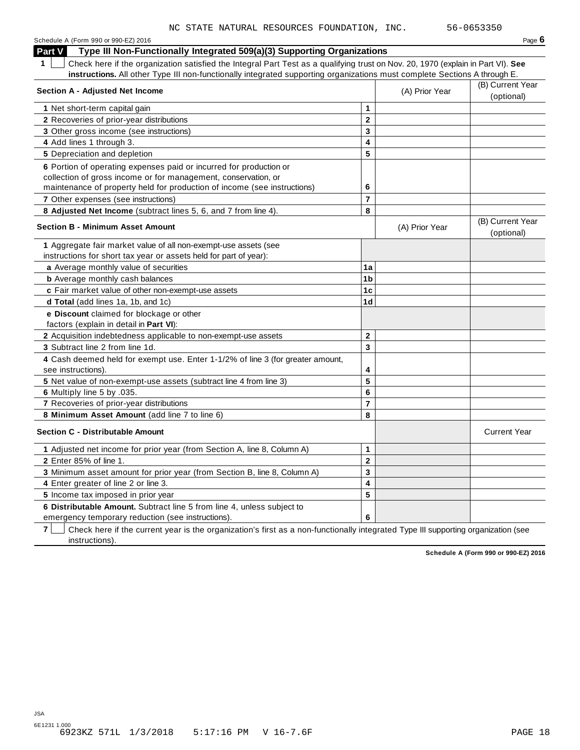| Schedule A (Form 990 or 990-EZ) 2016                                                                                                  |                |                | Page $6$                       |
|---------------------------------------------------------------------------------------------------------------------------------------|----------------|----------------|--------------------------------|
| Type III Non-Functionally Integrated 509(a)(3) Supporting Organizations<br>Part V                                                     |                |                |                                |
| 1<br>Check here if the organization satisfied the Integral Part Test as a qualifying trust on Nov. 20, 1970 (explain in Part VI). See |                |                |                                |
| instructions. All other Type III non-functionally integrated supporting organizations must complete Sections A through E.             |                |                |                                |
|                                                                                                                                       |                |                | (B) Current Year               |
| <b>Section A - Adjusted Net Income</b>                                                                                                |                | (A) Prior Year | (optional)                     |
| 1 Net short-term capital gain                                                                                                         | 1              |                |                                |
| 2 Recoveries of prior-year distributions                                                                                              | $\overline{2}$ |                |                                |
| 3 Other gross income (see instructions)                                                                                               | 3              |                |                                |
| 4 Add lines 1 through 3.                                                                                                              | 4              |                |                                |
| 5 Depreciation and depletion                                                                                                          | 5              |                |                                |
| 6 Portion of operating expenses paid or incurred for production or                                                                    |                |                |                                |
| collection of gross income or for management, conservation, or                                                                        |                |                |                                |
| maintenance of property held for production of income (see instructions)                                                              | 6              |                |                                |
| <b>7</b> Other expenses (see instructions)                                                                                            | $\overline{7}$ |                |                                |
| 8 Adjusted Net Income (subtract lines 5, 6, and 7 from line 4).                                                                       | 8              |                |                                |
| <b>Section B - Minimum Asset Amount</b>                                                                                               |                | (A) Prior Year | (B) Current Year<br>(optional) |
| 1 Aggregate fair market value of all non-exempt-use assets (see                                                                       |                |                |                                |
| instructions for short tax year or assets held for part of year):                                                                     |                |                |                                |
| a Average monthly value of securities                                                                                                 | 1a             |                |                                |
| <b>b</b> Average monthly cash balances                                                                                                | 1 <sub>b</sub> |                |                                |
| c Fair market value of other non-exempt-use assets                                                                                    | 1 <sub>c</sub> |                |                                |
| d Total (add lines 1a, 1b, and 1c)                                                                                                    | 1 <sub>d</sub> |                |                                |
| e Discount claimed for blockage or other                                                                                              |                |                |                                |
| factors (explain in detail in Part VI):                                                                                               |                |                |                                |
| 2 Acquisition indebtedness applicable to non-exempt-use assets                                                                        | $\mathbf 2$    |                |                                |
| 3 Subtract line 2 from line 1d.                                                                                                       | 3              |                |                                |
| 4 Cash deemed held for exempt use. Enter 1-1/2% of line 3 (for greater amount,<br>see instructions).                                  | 4              |                |                                |
| 5 Net value of non-exempt-use assets (subtract line 4 from line 3)                                                                    | 5              |                |                                |
| 6 Multiply line 5 by .035.                                                                                                            | 6              |                |                                |
| 7 Recoveries of prior-year distributions                                                                                              | $\overline{7}$ |                |                                |
| 8 Minimum Asset Amount (add line 7 to line 6)                                                                                         | 8              |                |                                |
| <b>Section C - Distributable Amount</b>                                                                                               |                |                | <b>Current Year</b>            |
| 1 Adjusted net income for prior year (from Section A, line 8, Column A)                                                               | 1              |                |                                |
| 2 Enter 85% of line 1.                                                                                                                | $\mathbf 2$    |                |                                |
| 3 Minimum asset amount for prior year (from Section B, line 8, Column A)                                                              | 3              |                |                                |
| 4 Enter greater of line 2 or line 3.                                                                                                  | 4              |                |                                |
| 5 Income tax imposed in prior year                                                                                                    | 5              |                |                                |
| 6 Distributable Amount. Subtract line 5 from line 4, unless subject to                                                                |                |                |                                |
| emergency temporary reduction (see instructions).                                                                                     | 6              |                |                                |

**7** | Check here if the current year is the organization's first as a non-functionally integrated Type III supporting organization (see instructions).

**Schedule A (Form 990 or 990-EZ) 2016**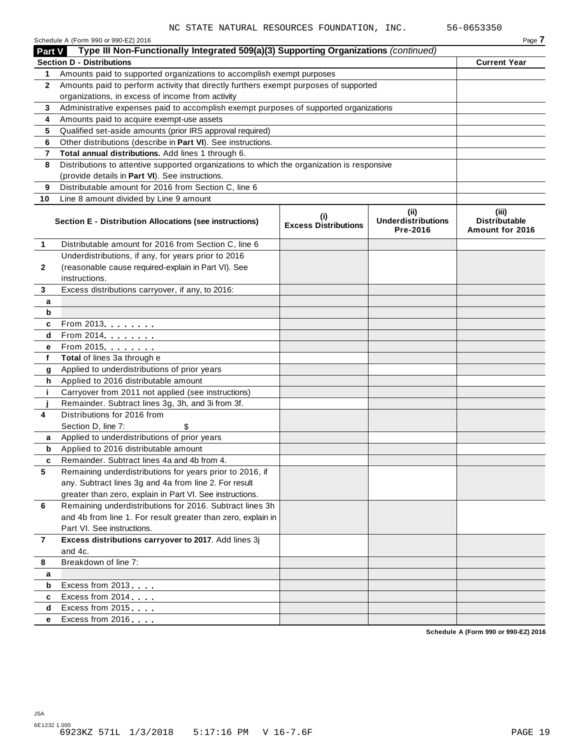| <b>Part V</b>  | Schedule A (Form 990 or 990-EZ) 2016<br>Type III Non-Functionally Integrated 509(a)(3) Supporting Organizations (continued) |                                    |                                                | Page 7                                    |
|----------------|-----------------------------------------------------------------------------------------------------------------------------|------------------------------------|------------------------------------------------|-------------------------------------------|
|                | <b>Section D - Distributions</b>                                                                                            |                                    |                                                | <b>Current Year</b>                       |
| 1.             | Amounts paid to supported organizations to accomplish exempt purposes                                                       |                                    |                                                |                                           |
| $\mathbf{2}$   | Amounts paid to perform activity that directly furthers exempt purposes of supported                                        |                                    |                                                |                                           |
|                | organizations, in excess of income from activity                                                                            |                                    |                                                |                                           |
| 3              | Administrative expenses paid to accomplish exempt purposes of supported organizations                                       |                                    |                                                |                                           |
| 4              | Amounts paid to acquire exempt-use assets                                                                                   |                                    |                                                |                                           |
| 5              | Qualified set-aside amounts (prior IRS approval required)                                                                   |                                    |                                                |                                           |
| 6              | Other distributions (describe in Part VI). See instructions.                                                                |                                    |                                                |                                           |
| 7              | Total annual distributions. Add lines 1 through 6.                                                                          |                                    |                                                |                                           |
| 8              | Distributions to attentive supported organizations to which the organization is responsive                                  |                                    |                                                |                                           |
|                | (provide details in Part VI). See instructions.                                                                             |                                    |                                                |                                           |
| 9              | Distributable amount for 2016 from Section C, line 6                                                                        |                                    |                                                |                                           |
| 10             | Line 8 amount divided by Line 9 amount                                                                                      |                                    |                                                |                                           |
|                | Section E - Distribution Allocations (see instructions)                                                                     | (i)<br><b>Excess Distributions</b> | (iii)<br><b>Underdistributions</b><br>Pre-2016 | (iii)<br>Distributable<br>Amount for 2016 |
| 1              | Distributable amount for 2016 from Section C, line 6                                                                        |                                    |                                                |                                           |
|                | Underdistributions, if any, for years prior to 2016                                                                         |                                    |                                                |                                           |
| 2              | (reasonable cause required-explain in Part VI). See                                                                         |                                    |                                                |                                           |
|                | instructions.                                                                                                               |                                    |                                                |                                           |
| 3              | Excess distributions carryover, if any, to 2016:                                                                            |                                    |                                                |                                           |
| а              |                                                                                                                             |                                    |                                                |                                           |
| b              |                                                                                                                             |                                    |                                                |                                           |
| c              |                                                                                                                             |                                    |                                                |                                           |
| d              | From 2014                                                                                                                   |                                    |                                                |                                           |
| e              | From 2015.                                                                                                                  |                                    |                                                |                                           |
| f              | Total of lines 3a through e                                                                                                 |                                    |                                                |                                           |
| g              | Applied to underdistributions of prior years                                                                                |                                    |                                                |                                           |
| h              | Applied to 2016 distributable amount                                                                                        |                                    |                                                |                                           |
| j.             | Carryover from 2011 not applied (see instructions)                                                                          |                                    |                                                |                                           |
| Ĵ              | Remainder. Subtract lines 3g, 3h, and 3i from 3f.                                                                           |                                    |                                                |                                           |
| 4              | Distributions for 2016 from                                                                                                 |                                    |                                                |                                           |
|                | Section D, line 7:<br>\$                                                                                                    |                                    |                                                |                                           |
| а              | Applied to underdistributions of prior years                                                                                |                                    |                                                |                                           |
| b              | Applied to 2016 distributable amount                                                                                        |                                    |                                                |                                           |
| c              | Remainder. Subtract lines 4a and 4b from 4.                                                                                 |                                    |                                                |                                           |
| 5              | Remaining underdistributions for years prior to 2016, if                                                                    |                                    |                                                |                                           |
|                | any. Subtract lines 3g and 4a from line 2. For result                                                                       |                                    |                                                |                                           |
|                | greater than zero, explain in Part VI. See instructions.                                                                    |                                    |                                                |                                           |
| 6              | Remaining underdistributions for 2016. Subtract lines 3h                                                                    |                                    |                                                |                                           |
|                | and 4b from line 1. For result greater than zero, explain in                                                                |                                    |                                                |                                           |
|                | Part VI. See instructions.                                                                                                  |                                    |                                                |                                           |
| $\overline{7}$ | Excess distributions carryover to 2017. Add lines 3j                                                                        |                                    |                                                |                                           |
|                | and 4c.                                                                                                                     |                                    |                                                |                                           |
| 8              | Breakdown of line 7:                                                                                                        |                                    |                                                |                                           |
| а              |                                                                                                                             |                                    |                                                |                                           |
| b              | Excess from 2013                                                                                                            |                                    |                                                |                                           |
| c              | Excess from 2014                                                                                                            |                                    |                                                |                                           |
| d              | Excess from 2015                                                                                                            |                                    |                                                |                                           |
| е              | Excess from 2016                                                                                                            |                                    |                                                |                                           |

**Schedule A (Form 990 or 990-EZ) 2016**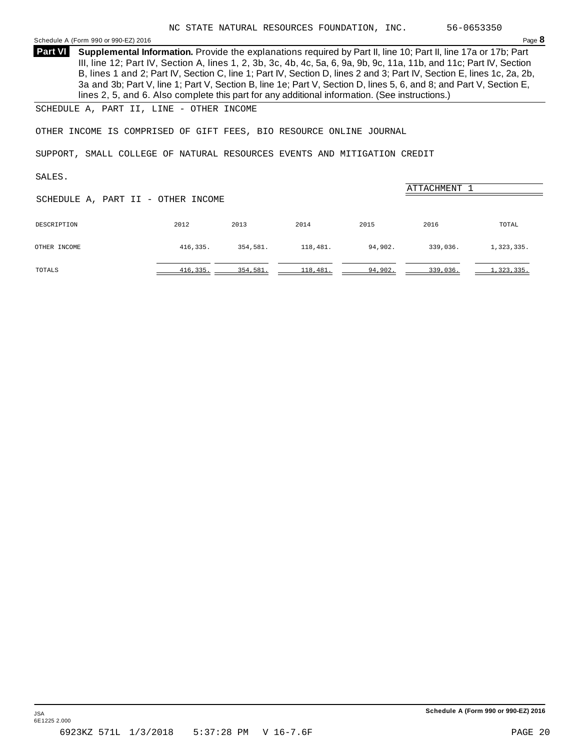| Page 8<br>Schedule A (Form 990 or 990-EZ) 2016                                                                                                                                                                                                                                                                                                                                                                                                                                                                                                                                                               |          |          |          |         |              |            |  |  |
|--------------------------------------------------------------------------------------------------------------------------------------------------------------------------------------------------------------------------------------------------------------------------------------------------------------------------------------------------------------------------------------------------------------------------------------------------------------------------------------------------------------------------------------------------------------------------------------------------------------|----------|----------|----------|---------|--------------|------------|--|--|
| <b>Part VI</b><br>Supplemental Information. Provide the explanations required by Part II, line 10; Part II, line 17a or 17b; Part<br>III, line 12; Part IV, Section A, lines 1, 2, 3b, 3c, 4b, 4c, 5a, 6, 9a, 9b, 9c, 11a, 11b, and 11c; Part IV, Section<br>B, lines 1 and 2; Part IV, Section C, line 1; Part IV, Section D, lines 2 and 3; Part IV, Section E, lines 1c, 2a, 2b,<br>3a and 3b; Part V, line 1; Part V, Section B, line 1e; Part V, Section D, lines 5, 6, and 8; and Part V, Section E,<br>lines 2, 5, and 6. Also complete this part for any additional information. (See instructions.) |          |          |          |         |              |            |  |  |
| SCHEDULE A, PART II, LINE - OTHER INCOME                                                                                                                                                                                                                                                                                                                                                                                                                                                                                                                                                                     |          |          |          |         |              |            |  |  |
| OTHER INCOME IS COMPRISED OF GIFT FEES, BIO RESOURCE ONLINE JOURNAL                                                                                                                                                                                                                                                                                                                                                                                                                                                                                                                                          |          |          |          |         |              |            |  |  |
| SUPPORT, SMALL COLLEGE OF NATURAL RESOURCES EVENTS AND MITIGATION CREDIT                                                                                                                                                                                                                                                                                                                                                                                                                                                                                                                                     |          |          |          |         |              |            |  |  |
| SALES.                                                                                                                                                                                                                                                                                                                                                                                                                                                                                                                                                                                                       |          |          |          |         | ATTACHMENT 1 |            |  |  |
| SCHEDULE A, PART II - OTHER INCOME                                                                                                                                                                                                                                                                                                                                                                                                                                                                                                                                                                           |          |          |          |         |              |            |  |  |
|                                                                                                                                                                                                                                                                                                                                                                                                                                                                                                                                                                                                              |          |          |          |         |              |            |  |  |
| DESCRIPTION                                                                                                                                                                                                                                                                                                                                                                                                                                                                                                                                                                                                  | 2012     | 2013     | 2014     | 2015    | 2016         | TOTAL      |  |  |
| OTHER INCOME                                                                                                                                                                                                                                                                                                                                                                                                                                                                                                                                                                                                 | 416,335. | 354,581. | 118,481. | 94,902. | 339,036.     | 1,323,335. |  |  |
| TOTALS                                                                                                                                                                                                                                                                                                                                                                                                                                                                                                                                                                                                       | 416,335. | 354,581. | 118,481. | 94,902. | 339,036.     | 1,323,335  |  |  |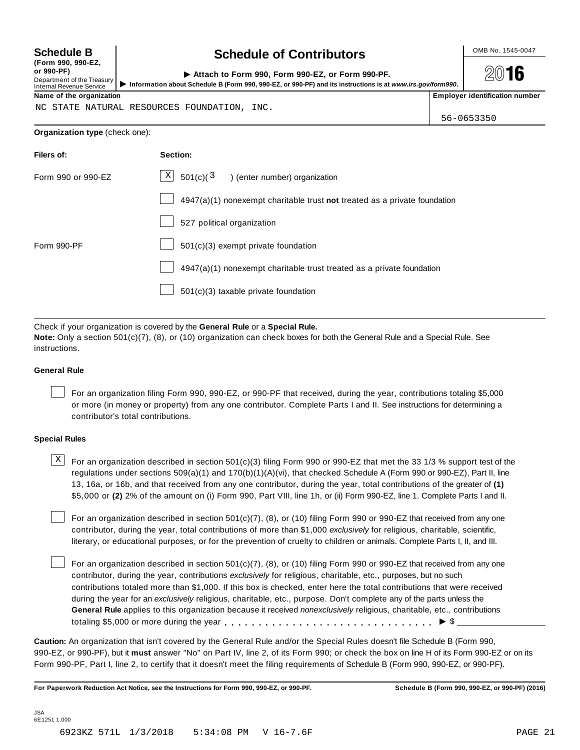**(Form 990, 990-EZ, or 990-PF)** Department of the Treasury<br>Internal Revenue Service

## **Schedule B chedule of Contributors**

**2016** 

| or 990-PF)<br>Department of the Treasury<br>Internal Revenue Service | Attach to Form 990. Form 990-EZ, or Form 990-PF.<br>Information about Schedule B (Form 990, 990-EZ, or 990-PF) and its instructions is at www.irs.gov/form990. | 2016                                  |
|----------------------------------------------------------------------|----------------------------------------------------------------------------------------------------------------------------------------------------------------|---------------------------------------|
| Name of the organization                                             |                                                                                                                                                                | <b>Employer identification number</b> |

NC STATE NATURAL RESOURCES FOUNDATION, INC.

56-0653350

### **Organization type** (check one):

| Filers of:         | Section:                                                                  |
|--------------------|---------------------------------------------------------------------------|
| Form 990 or 990-EZ | $X$ 501(c)( $3$ ) (enter number) organization                             |
|                    | 4947(a)(1) nonexempt charitable trust not treated as a private foundation |
|                    | 527 political organization                                                |
| Form 990-PF        | $501(c)(3)$ exempt private foundation                                     |
|                    | 4947(a)(1) nonexempt charitable trust treated as a private foundation     |
|                    | 501(c)(3) taxable private foundation                                      |
|                    |                                                                           |

Check if your organization is covered by the **General Rule** or a **Special Rule.**

**Note:** Only a section 501(c)(7), (8), or (10) organization can check boxes for both the General Rule and a Special Rule. See instructions.

### **General Rule**

For an organization filing Form 990, 990-EZ, or 990-PF that received, during the year, contributions totaling \$5,000 or more (in money or property) from any one contributor. Complete Parts I and II. See instructions for determining a contributor's total contributions.

### **Special Rules**

 $\text{X}$  For an organization described in section 501(c)(3) filing Form 990 or 990-EZ that met the 33 1/3 % support test of the regulations under sections 509(a)(1) and 170(b)(1)(A)(vi), that checked Schedule A (Form 990 or 990-EZ), Part II, line 13, 16a, or 16b, and that received from any one contributor, during the year, total contributions of the greater of **(1)** \$5,000 or **(2)** 2% of the amount on (i) Form 990, Part VIII, line 1h, or (ii) Form 990-EZ, line 1. Complete Parts I and II.

For an organization described in section 501(c)(7), (8), or (10) filing Form 990 or 990-EZ that received from any one contributor, during the year, total contributions of more than \$1,000 *exclusively* for religious, charitable, scientific, literary, or educational purposes, or for the prevention of cruelty to children or animals. Complete Parts I, II, and III.

For an organization described in section 501(c)(7), (8), or (10) filing Form 990 or 990-EZ that received from any one contributor, during the year, contributions *exclusively* for religious, charitable, etc., purposes, but no such contributions totaled more than \$1,000. If this box is checked, enter here the total contributions that were received during the year for an *exclusively* religious, charitable, etc., purpose. Don't complete any of the parts unless the **General Rule** applies to this organization because it received *nonexclusively* religious, charitable, etc., contributions totaling \$5,000 or more during the year m m m m m m m m m m m m m m m m m m m m m m m m m m m m m m m I \$

**Caution:** An organization that isn't covered by the General Rule and/or the Special Rules doesn't file Schedule B (Form 990, 990-EZ, or 990-PF), but it **must** answer "No" on Part IV, line 2, of its Form 990; or check the box on line H of its Form 990-EZ or on its Form 990-PF, Part I, line 2, to certify that it doesn't meet the filing requirements of Schedule B (Form 990, 990-EZ, or 990-PF).

For Paperwork Reduction Act Notice, see the Instructions for Form 990, 990-EZ, or 990-PF. Schedule B (Form 990, 990-EZ, or 990-PF) (2016)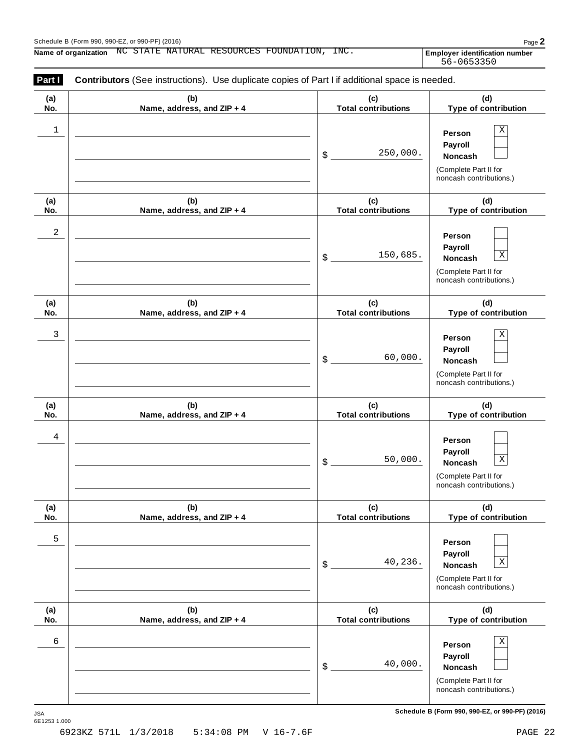Schedule B (Form 990, 990-EZ, or 990-PF) (2016)<br>
Name of organization NC STATE NATURAL RESOURCES FOUNDATION, INC. **Page 2**<br>
Page 2 **Name of organization NC STATE NATURAL RESOURCES FOUNDATION, INC. Employer identification number** 

56-0653350

| (a) | (b)                        | (c)                        | (d)                                                                                                         |
|-----|----------------------------|----------------------------|-------------------------------------------------------------------------------------------------------------|
| No. | Name, address, and ZIP + 4 | <b>Total contributions</b> | Type of contribution                                                                                        |
| 1   |                            | 250,000.<br>\$             | Χ<br>Person<br>Payroll<br>Noncash<br>(Complete Part II for<br>noncash contributions.)                       |
| (a) | (b)                        | (c)                        | (d)                                                                                                         |
| No. | Name, address, and ZIP + 4 | <b>Total contributions</b> | Type of contribution                                                                                        |
| 2   |                            | 150,685.<br>\$             | Person<br>Payroll<br>$\overline{\textbf{X}}$<br>Noncash<br>(Complete Part II for<br>noncash contributions.) |
| (a) | (b)                        | (c)                        | (d)                                                                                                         |
| No. | Name, address, and ZIP + 4 | <b>Total contributions</b> | Type of contribution                                                                                        |
| 3   |                            | 60,000.<br>\$              | Χ<br>Person<br>Payroll<br>Noncash<br>(Complete Part II for<br>noncash contributions.)                       |
| (a) | (b)                        | (c)                        | (d)                                                                                                         |
| No. | Name, address, and ZIP + 4 | <b>Total contributions</b> | Type of contribution                                                                                        |
| 4   |                            | 50,000.<br>\$              | Person<br>Payroll<br>$\overline{\textbf{X}}$<br>Noncash<br>(Complete Part II for<br>noncash contributions.) |
| (a) | (b)                        | (c)                        | (d)                                                                                                         |
| No. | Name, address, and ZIP + 4 | <b>Total contributions</b> | Type of contribution                                                                                        |
| 5   |                            | 40,236.<br>\$              | Person<br>Payroll<br>$\mathbf X$<br><b>Noncash</b><br>(Complete Part II for<br>noncash contributions.)      |
| (a) | (b)                        | (c)                        | (d)                                                                                                         |
| No. | Name, address, and ZIP + 4 | <b>Total contributions</b> | Type of contribution                                                                                        |
| 6   |                            | 40,000.<br>\$              | Χ<br>Person<br>Payroll<br><b>Noncash</b><br>(Complete Part II for<br>noncash contributions.)                |

 $S$ chedule B (Form 990, 990-EZ, or 990-PF) (2016)

JSA<br>6E1253 1.000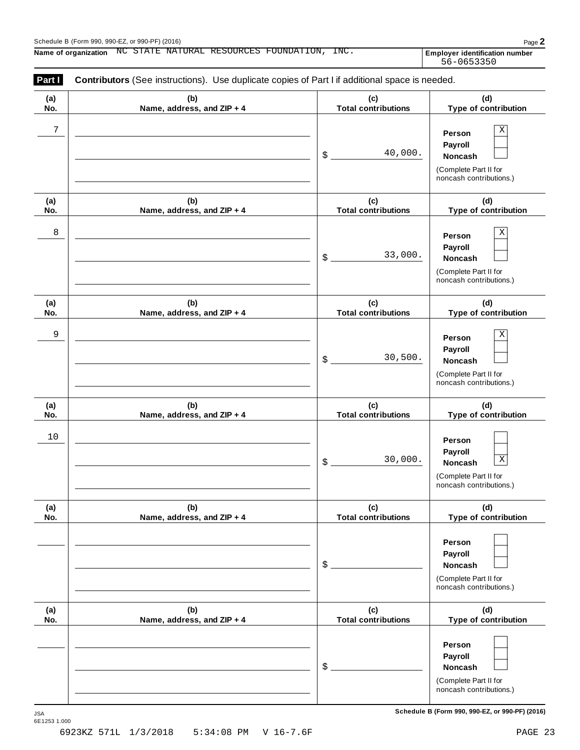**Name of organization NC STATE NATURAL RESOURCES FOUNDATION, INC. Employer identification number** 

Employer identification number<br>56-0653350

| (a)  | (b)                        | (c)                        | (d)                                                                                                         |
|------|----------------------------|----------------------------|-------------------------------------------------------------------------------------------------------------|
| No.  | Name, address, and ZIP + 4 | <b>Total contributions</b> | Type of contribution                                                                                        |
| 7    |                            | 40,000.<br>\$              | Χ<br>Person<br>Payroll<br>Noncash<br>(Complete Part II for<br>noncash contributions.)                       |
| (a)  | (b)                        | (c)                        | (d)                                                                                                         |
| No.  | Name, address, and ZIP + 4 | <b>Total contributions</b> | Type of contribution                                                                                        |
| 8    |                            | 33,000.<br>\$              | $\mathbf X$<br>Person<br>Payroll<br>Noncash<br>(Complete Part II for<br>noncash contributions.)             |
| (a)  | (b)                        | (c)                        | (d)                                                                                                         |
| No.  | Name, address, and ZIP + 4 | <b>Total contributions</b> | Type of contribution                                                                                        |
| 9    |                            | 30,500.<br>\$              | Χ<br>Person<br>Payroll<br>Noncash<br>(Complete Part II for<br>noncash contributions.)                       |
| (a)  | (b)                        | (c)                        | (d)                                                                                                         |
| No.  | Name, address, and ZIP + 4 | <b>Total contributions</b> | Type of contribution                                                                                        |
| $10$ |                            | 30,000.<br>\$              | Person<br>Payroll<br>$\overline{\mathbf{X}}$<br>Noncash<br>(Complete Part II for<br>noncash contributions.) |
| (a)  | (b)                        | (c)                        | (d)                                                                                                         |
| No.  | Name, address, and ZIP + 4 | <b>Total contributions</b> | Type of contribution                                                                                        |
|      |                            | \$                         | Person<br>Payroll<br>Noncash<br>(Complete Part II for<br>noncash contributions.)                            |
| (a)  | (b)                        | (c)                        | (d)                                                                                                         |
| No.  | Name, address, and ZIP + 4 | <b>Total contributions</b> | Type of contribution                                                                                        |
|      |                            | \$                         | Person<br>Payroll<br>Noncash<br>(Complete Part II for<br>noncash contributions.)                            |

 $S$ chedule B (Form 990, 990-EZ, or 990-PF) (2016)

JSA<br>6E1253 1.000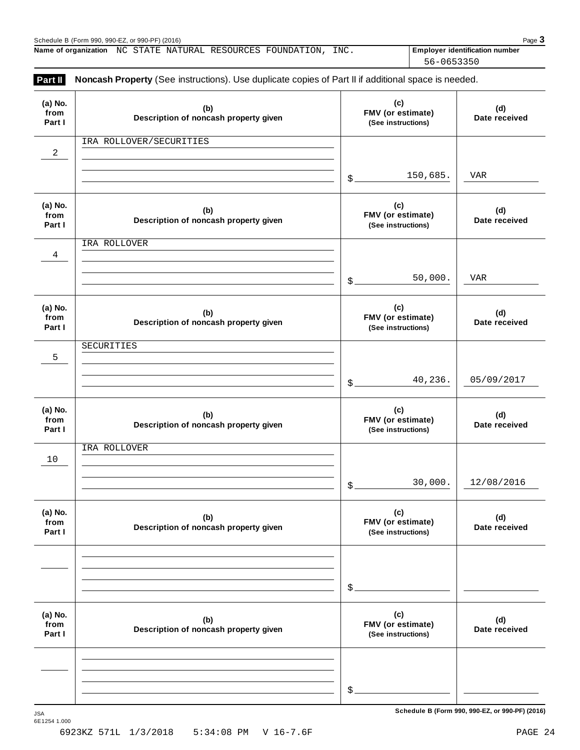56-0653350

| (a) No.<br>from<br>Part I | (b)<br>Description of noncash property given |             | (c)<br>FMV (or estimate)<br>(See instructions) | (d)<br>Date received |
|---------------------------|----------------------------------------------|-------------|------------------------------------------------|----------------------|
|                           | IRA ROLLOVER/SECURITIES                      |             |                                                |                      |
|                           |                                              | $$$ .       | 150,685.                                       | VAR                  |
| (a) No.<br>from<br>Part I | (b)<br>Description of noncash property given |             | (c)<br>FMV (or estimate)<br>(See instructions) | (d)<br>Date received |
|                           | IRA ROLLOVER                                 |             |                                                |                      |
|                           |                                              | $$^{\circ}$ | 50,000.                                        | VAR                  |
| (a) No.<br>from<br>Part I | (b)<br>Description of noncash property given |             | (c)<br>FMV (or estimate)<br>(See instructions) | (d)<br>Date received |
|                           | SECURITIES                                   |             |                                                |                      |
|                           |                                              | \$          | 40,236.                                        | 05/09/2017           |
| (a) No.<br>from<br>Part I | (b)<br>Description of noncash property given |             | (c)<br>FMV (or estimate)<br>(See instructions) | (d)<br>Date received |
|                           | IRA ROLLOVER                                 |             |                                                |                      |
|                           |                                              | \$          | 30,000.                                        | 12/08/2016           |
| (a) No.<br>from<br>Part I | (b)<br>Description of noncash property given |             | (c)<br>FMV (or estimate)<br>(See instructions) | (d)<br>Date received |
|                           |                                              |             |                                                |                      |
|                           |                                              | \$          |                                                |                      |
| (a) No.<br>from<br>Part I | (b)<br>Description of noncash property given |             | (c)<br>FMV (or estimate)<br>(See instructions) | (d)<br>Date received |
|                           |                                              |             |                                                |                      |
|                           |                                              |             |                                                |                      |
|                           |                                              | \$          |                                                |                      |

 $S$ chedule B (Form 990, 990-EZ, or 990-PF) (2016)

6E1254 1.000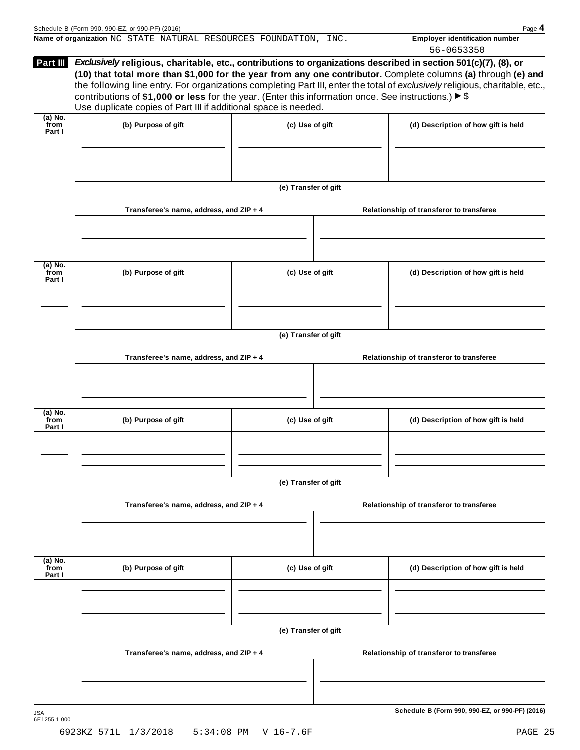| Schedule B (Form 990, 990-EZ, or 990-PF) (2016)            |  |      | Page                                  |
|------------------------------------------------------------|--|------|---------------------------------------|
| Name of organization NC STATE NATURAL RESOURCES FOUNDATION |  | INC. | <b>Employer identification number</b> |

|                                                            |                                                                                                                     |                      | 56-0653350                                                                                                                                                                                                                                                                                                                                                       |
|------------------------------------------------------------|---------------------------------------------------------------------------------------------------------------------|----------------------|------------------------------------------------------------------------------------------------------------------------------------------------------------------------------------------------------------------------------------------------------------------------------------------------------------------------------------------------------------------|
| Part III                                                   |                                                                                                                     |                      | Exclusively religious, charitable, etc., contributions to organizations described in section 501(c)(7), (8), or<br>(10) that total more than \$1,000 for the year from any one contributor. Complete columns (a) through (e) and<br>the following line entry. For organizations completing Part III, enter the total of exclusively religious, charitable, etc., |
|                                                            | contributions of \$1,000 or less for the year. (Enter this information once. See instructions.) $\triangleright$ \$ |                      |                                                                                                                                                                                                                                                                                                                                                                  |
|                                                            | Use duplicate copies of Part III if additional space is needed.                                                     |                      |                                                                                                                                                                                                                                                                                                                                                                  |
| (a) No.<br>from                                            | (b) Purpose of gift                                                                                                 | (c) Use of gift      | (d) Description of how gift is held                                                                                                                                                                                                                                                                                                                              |
| Part I                                                     |                                                                                                                     |                      |                                                                                                                                                                                                                                                                                                                                                                  |
|                                                            |                                                                                                                     |                      |                                                                                                                                                                                                                                                                                                                                                                  |
|                                                            |                                                                                                                     |                      |                                                                                                                                                                                                                                                                                                                                                                  |
|                                                            |                                                                                                                     |                      |                                                                                                                                                                                                                                                                                                                                                                  |
|                                                            |                                                                                                                     |                      |                                                                                                                                                                                                                                                                                                                                                                  |
|                                                            |                                                                                                                     | (e) Transfer of gift |                                                                                                                                                                                                                                                                                                                                                                  |
|                                                            |                                                                                                                     |                      |                                                                                                                                                                                                                                                                                                                                                                  |
|                                                            | Transferee's name, address, and ZIP + 4                                                                             |                      | Relationship of transferor to transferee                                                                                                                                                                                                                                                                                                                         |
|                                                            |                                                                                                                     |                      |                                                                                                                                                                                                                                                                                                                                                                  |
|                                                            |                                                                                                                     |                      |                                                                                                                                                                                                                                                                                                                                                                  |
|                                                            |                                                                                                                     |                      |                                                                                                                                                                                                                                                                                                                                                                  |
| (a) No.                                                    |                                                                                                                     |                      |                                                                                                                                                                                                                                                                                                                                                                  |
| from                                                       | (b) Purpose of gift                                                                                                 | (c) Use of gift      | (d) Description of how gift is held                                                                                                                                                                                                                                                                                                                              |
| Part I                                                     |                                                                                                                     |                      |                                                                                                                                                                                                                                                                                                                                                                  |
|                                                            |                                                                                                                     |                      |                                                                                                                                                                                                                                                                                                                                                                  |
|                                                            |                                                                                                                     |                      |                                                                                                                                                                                                                                                                                                                                                                  |
|                                                            |                                                                                                                     |                      |                                                                                                                                                                                                                                                                                                                                                                  |
|                                                            |                                                                                                                     | (e) Transfer of gift |                                                                                                                                                                                                                                                                                                                                                                  |
|                                                            |                                                                                                                     |                      |                                                                                                                                                                                                                                                                                                                                                                  |
|                                                            | Transferee's name, address, and ZIP + 4                                                                             |                      | Relationship of transferor to transferee                                                                                                                                                                                                                                                                                                                         |
|                                                            |                                                                                                                     |                      |                                                                                                                                                                                                                                                                                                                                                                  |
|                                                            |                                                                                                                     |                      |                                                                                                                                                                                                                                                                                                                                                                  |
|                                                            |                                                                                                                     |                      |                                                                                                                                                                                                                                                                                                                                                                  |
|                                                            |                                                                                                                     |                      |                                                                                                                                                                                                                                                                                                                                                                  |
|                                                            |                                                                                                                     |                      |                                                                                                                                                                                                                                                                                                                                                                  |
|                                                            |                                                                                                                     |                      |                                                                                                                                                                                                                                                                                                                                                                  |
|                                                            | (b) Purpose of gift                                                                                                 | (c) Use of gift      | (d) Description of how gift is held                                                                                                                                                                                                                                                                                                                              |
|                                                            |                                                                                                                     |                      |                                                                                                                                                                                                                                                                                                                                                                  |
|                                                            |                                                                                                                     |                      |                                                                                                                                                                                                                                                                                                                                                                  |
|                                                            |                                                                                                                     |                      |                                                                                                                                                                                                                                                                                                                                                                  |
|                                                            |                                                                                                                     |                      |                                                                                                                                                                                                                                                                                                                                                                  |
|                                                            |                                                                                                                     | (e) Transfer of gift |                                                                                                                                                                                                                                                                                                                                                                  |
|                                                            |                                                                                                                     |                      |                                                                                                                                                                                                                                                                                                                                                                  |
|                                                            | Transferee's name, address, and ZIP + 4                                                                             |                      | Relationship of transferor to transferee                                                                                                                                                                                                                                                                                                                         |
|                                                            |                                                                                                                     |                      |                                                                                                                                                                                                                                                                                                                                                                  |
|                                                            |                                                                                                                     |                      |                                                                                                                                                                                                                                                                                                                                                                  |
|                                                            |                                                                                                                     |                      |                                                                                                                                                                                                                                                                                                                                                                  |
|                                                            |                                                                                                                     |                      |                                                                                                                                                                                                                                                                                                                                                                  |
|                                                            |                                                                                                                     |                      |                                                                                                                                                                                                                                                                                                                                                                  |
|                                                            | (b) Purpose of gift                                                                                                 | (c) Use of gift      | (d) Description of how gift is held                                                                                                                                                                                                                                                                                                                              |
|                                                            |                                                                                                                     |                      |                                                                                                                                                                                                                                                                                                                                                                  |
|                                                            |                                                                                                                     |                      |                                                                                                                                                                                                                                                                                                                                                                  |
|                                                            |                                                                                                                     |                      |                                                                                                                                                                                                                                                                                                                                                                  |
|                                                            |                                                                                                                     |                      |                                                                                                                                                                                                                                                                                                                                                                  |
|                                                            |                                                                                                                     | (e) Transfer of gift |                                                                                                                                                                                                                                                                                                                                                                  |
|                                                            |                                                                                                                     |                      |                                                                                                                                                                                                                                                                                                                                                                  |
|                                                            | Transferee's name, address, and ZIP + 4                                                                             |                      | Relationship of transferor to transferee                                                                                                                                                                                                                                                                                                                         |
|                                                            |                                                                                                                     |                      |                                                                                                                                                                                                                                                                                                                                                                  |
|                                                            |                                                                                                                     |                      |                                                                                                                                                                                                                                                                                                                                                                  |
| $(a)$ No.<br>from<br>Part I<br>$(a)$ No.<br>from<br>Part I |                                                                                                                     |                      |                                                                                                                                                                                                                                                                                                                                                                  |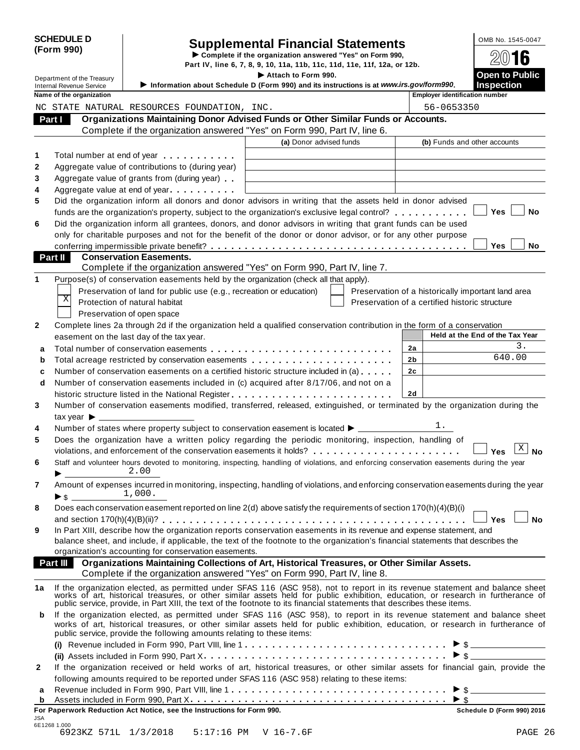|        | <b>SCHEDULE D</b><br>(Form 990)                             |                                                                        | Supplemental Financial Statements<br>Complete if the organization answered "Yes" on Form 990,<br>Part IV, line 6, 7, 8, 9, 10, 11a, 11b, 11c, 11d, 11e, 11f, 12a, or 12b.                                                                                                                                                                                 |    | OMB No. 1545-0047<br>16                            |
|--------|-------------------------------------------------------------|------------------------------------------------------------------------|-----------------------------------------------------------------------------------------------------------------------------------------------------------------------------------------------------------------------------------------------------------------------------------------------------------------------------------------------------------|----|----------------------------------------------------|
|        | Department of the Treasury                                  |                                                                        | Attach to Form 990.<br>Information about Schedule D (Form 990) and its instructions is at www.irs.gov/form990.                                                                                                                                                                                                                                            |    | <b>Open to Public</b><br><b>Inspection</b>         |
|        | <b>Internal Revenue Service</b><br>Name of the organization |                                                                        |                                                                                                                                                                                                                                                                                                                                                           |    | <b>Employer identification number</b>              |
|        |                                                             | NC STATE NATURAL RESOURCES FOUNDATION, INC.                            |                                                                                                                                                                                                                                                                                                                                                           |    | 56-0653350                                         |
| Part I |                                                             |                                                                        | Organizations Maintaining Donor Advised Funds or Other Similar Funds or Accounts.                                                                                                                                                                                                                                                                         |    |                                                    |
|        |                                                             |                                                                        | Complete if the organization answered "Yes" on Form 990, Part IV, line 6.                                                                                                                                                                                                                                                                                 |    |                                                    |
|        |                                                             |                                                                        | (a) Donor advised funds                                                                                                                                                                                                                                                                                                                                   |    | (b) Funds and other accounts                       |
| 1      |                                                             | Total number at end of year manufacturers.                             |                                                                                                                                                                                                                                                                                                                                                           |    |                                                    |
| 2      |                                                             | Aggregate value of contributions to (during year)                      |                                                                                                                                                                                                                                                                                                                                                           |    |                                                    |
| 3      |                                                             | Aggregate value of grants from (during year)                           |                                                                                                                                                                                                                                                                                                                                                           |    |                                                    |
| 4      |                                                             | Aggregate value at end of year                                         |                                                                                                                                                                                                                                                                                                                                                           |    |                                                    |
| 5      |                                                             |                                                                        | Did the organization inform all donors and donor advisors in writing that the assets held in donor advised                                                                                                                                                                                                                                                |    |                                                    |
|        |                                                             |                                                                        | funds are the organization's property, subject to the organization's exclusive legal control?                                                                                                                                                                                                                                                             |    | <b>No</b><br><b>Yes</b>                            |
| 6      |                                                             |                                                                        | Did the organization inform all grantees, donors, and donor advisors in writing that grant funds can be used                                                                                                                                                                                                                                              |    |                                                    |
|        |                                                             |                                                                        | only for charitable purposes and not for the benefit of the donor or donor advisor, or for any other purpose                                                                                                                                                                                                                                              |    |                                                    |
|        |                                                             |                                                                        |                                                                                                                                                                                                                                                                                                                                                           |    | <b>Yes</b><br>No                                   |
|        | Part II                                                     | <b>Conservation Easements.</b>                                         |                                                                                                                                                                                                                                                                                                                                                           |    |                                                    |
|        |                                                             |                                                                        | Complete if the organization answered "Yes" on Form 990, Part IV, line 7.                                                                                                                                                                                                                                                                                 |    |                                                    |
| 1      |                                                             |                                                                        | Purpose(s) of conservation easements held by the organization (check all that apply).                                                                                                                                                                                                                                                                     |    |                                                    |
|        |                                                             | Preservation of land for public use (e.g., recreation or education)    |                                                                                                                                                                                                                                                                                                                                                           |    | Preservation of a historically important land area |
|        | Χ                                                           | Protection of natural habitat                                          |                                                                                                                                                                                                                                                                                                                                                           |    | Preservation of a certified historic structure     |
|        |                                                             | Preservation of open space                                             |                                                                                                                                                                                                                                                                                                                                                           |    |                                                    |
| 2      |                                                             |                                                                        | Complete lines 2a through 2d if the organization held a qualified conservation contribution in the form of a conservation                                                                                                                                                                                                                                 |    |                                                    |
|        |                                                             | easement on the last day of the tax year.                              |                                                                                                                                                                                                                                                                                                                                                           |    | Held at the End of the Tax Year                    |
| a      |                                                             |                                                                        | Total number of conservation easements quantum or example $\mathbf{r}$ . The sum of the set of $\mathbf{r}$                                                                                                                                                                                                                                               | 2a | 3.                                                 |
| b      |                                                             |                                                                        | Total acreage restricted by conservation easements                                                                                                                                                                                                                                                                                                        | 2b | 640.00                                             |
| c      |                                                             |                                                                        | Number of conservation easements on a certified historic structure included in (a)                                                                                                                                                                                                                                                                        | 2c |                                                    |
| d      |                                                             |                                                                        | Number of conservation easements included in (c) acquired after 8/17/06, and not on a                                                                                                                                                                                                                                                                     |    |                                                    |
|        |                                                             |                                                                        | historic structure listed in the National Register                                                                                                                                                                                                                                                                                                        | 2d |                                                    |
| 3      |                                                             |                                                                        | Number of conservation easements modified, transferred, released, extinguished, or terminated by the organization during the                                                                                                                                                                                                                              |    |                                                    |
|        | tax year $\blacktriangleright$ $\_\_$                       |                                                                        |                                                                                                                                                                                                                                                                                                                                                           |    |                                                    |
| 4      |                                                             |                                                                        | Number of states where property subject to conservation easement is located >                                                                                                                                                                                                                                                                             |    | 1.                                                 |
| 5      |                                                             |                                                                        | Does the organization have a written policy regarding the periodic monitoring, inspection, handling of                                                                                                                                                                                                                                                    |    |                                                    |
|        |                                                             |                                                                        | violations, and enforcement of the conservation easements it holds?                                                                                                                                                                                                                                                                                       |    | $\vert x \vert$<br><b>No</b><br><b>Yes</b>         |
| 6      |                                                             |                                                                        | Staff and volunteer hours devoted to monitoring, inspecting, handling of violations, and enforcing conservation easements during the year                                                                                                                                                                                                                 |    |                                                    |
|        |                                                             | 2.00                                                                   |                                                                                                                                                                                                                                                                                                                                                           |    |                                                    |
| 7      |                                                             | 1,000.                                                                 | Amount of expenses incurred in monitoring, inspecting, handling of violations, and enforcing conservation easements during the year                                                                                                                                                                                                                       |    |                                                    |
|        | $\blacktriangleright$ \$                                    |                                                                        |                                                                                                                                                                                                                                                                                                                                                           |    |                                                    |
| 8      |                                                             |                                                                        | Does each conservation easement reported on line 2(d) above satisfy the requirements of section 170(h)(4)(B)(i)                                                                                                                                                                                                                                           |    |                                                    |
|        |                                                             |                                                                        |                                                                                                                                                                                                                                                                                                                                                           |    | Yes<br><b>No</b>                                   |
| 9      |                                                             |                                                                        | In Part XIII, describe how the organization reports conservation easements in its revenue and expense statement, and<br>balance sheet, and include, if applicable, the text of the footnote to the organization's financial statements that describes the                                                                                                 |    |                                                    |
|        |                                                             | organization's accounting for conservation easements.                  |                                                                                                                                                                                                                                                                                                                                                           |    |                                                    |
|        | Part III                                                    |                                                                        | Organizations Maintaining Collections of Art, Historical Treasures, or Other Similar Assets.                                                                                                                                                                                                                                                              |    |                                                    |
|        |                                                             |                                                                        | Complete if the organization answered "Yes" on Form 990, Part IV, line 8.                                                                                                                                                                                                                                                                                 |    |                                                    |
| 1a     |                                                             |                                                                        |                                                                                                                                                                                                                                                                                                                                                           |    |                                                    |
|        |                                                             |                                                                        | If the organization elected, as permitted under SFAS 116 (ASC 958), not to report in its revenue statement and balance sheet works of art, historical treasures, or other similar assets held for public exhibition, education<br>public service, provide, in Part XIII, the text of the footnote to its financial statements that describes these items. |    |                                                    |
| b      |                                                             | public service, provide the following amounts relating to these items: | If the organization elected, as permitted under SFAS 116 (ASC 958), to report in its revenue statement and balance sheet<br>works of art, historical treasures, or other similar assets held for public exhibition, education, or research in furtherance of                                                                                              |    |                                                    |
|        |                                                             |                                                                        |                                                                                                                                                                                                                                                                                                                                                           |    | $\triangleright$ \$                                |
|        |                                                             |                                                                        |                                                                                                                                                                                                                                                                                                                                                           |    | $\triangleright$ \$                                |
|        |                                                             |                                                                        |                                                                                                                                                                                                                                                                                                                                                           |    |                                                    |
| 2      |                                                             |                                                                        | If the organization received or held works of art, historical treasures, or other similar assets for financial gain, provide the                                                                                                                                                                                                                          |    |                                                    |
|        |                                                             |                                                                        | following amounts required to be reported under SFAS 116 (ASC 958) relating to these items:                                                                                                                                                                                                                                                               |    |                                                    |
| a      |                                                             |                                                                        |                                                                                                                                                                                                                                                                                                                                                           |    |                                                    |

| JSA          |                                           |         |
|--------------|-------------------------------------------|---------|
| 6E1268 1.000 |                                           |         |
|              | 6923KZ 571L 1/3/2018 5:17:16 PM V 16-7.6F | PAGE 26 |
|              |                                           |         |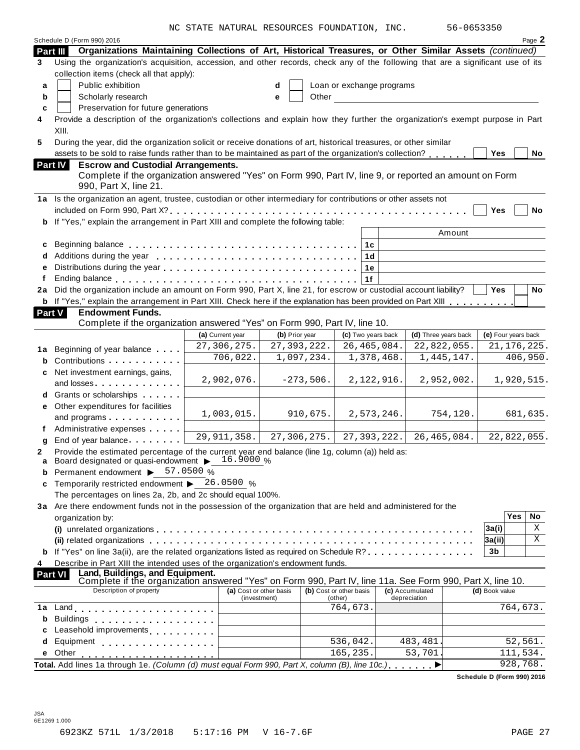NC STATE NATURAL RESOURCES FOUNDATION, INC. 56-0653350

|                | Schedule D (Form 990) 2016                                                                                                       | NC SIAIL NAIURAL RESUURCES FUUNDAIIUN, INC. |                                         |                                    |                           |                 | po-uppsspu           |                | Page 2                     |
|----------------|----------------------------------------------------------------------------------------------------------------------------------|---------------------------------------------|-----------------------------------------|------------------------------------|---------------------------|-----------------|----------------------|----------------|----------------------------|
|                | Organizations Maintaining Collections of Art, Historical Treasures, or Other Similar Assets (continued)<br>Part III              |                                             |                                         |                                    |                           |                 |                      |                |                            |
| 3              | Using the organization's acquisition, accession, and other records, check any of the following that are a significant use of its |                                             |                                         |                                    |                           |                 |                      |                |                            |
|                | collection items (check all that apply):                                                                                         |                                             |                                         |                                    |                           |                 |                      |                |                            |
| a              | Public exhibition                                                                                                                |                                             | d                                       |                                    | Loan or exchange programs |                 |                      |                |                            |
| b              | Scholarly research                                                                                                               |                                             | е                                       | Other                              |                           |                 |                      |                |                            |
| c              | Preservation for future generations                                                                                              |                                             |                                         |                                    |                           |                 |                      |                |                            |
| 4              | Provide a description of the organization's collections and explain how they further the organization's exempt purpose in Part   |                                             |                                         |                                    |                           |                 |                      |                |                            |
|                | XIII.                                                                                                                            |                                             |                                         |                                    |                           |                 |                      |                |                            |
| 5              | During the year, did the organization solicit or receive donations of art, historical treasures, or other similar                |                                             |                                         |                                    |                           |                 |                      |                |                            |
|                | assets to be sold to raise funds rather than to be maintained as part of the organization's collection?                          |                                             |                                         |                                    |                           |                 |                      | <b>Yes</b>     | No                         |
| <b>Part IV</b> | <b>Escrow and Custodial Arrangements.</b>                                                                                        |                                             |                                         |                                    |                           |                 |                      |                |                            |
|                | Complete if the organization answered "Yes" on Form 990, Part IV, line 9, or reported an amount on Form                          |                                             |                                         |                                    |                           |                 |                      |                |                            |
|                | 990, Part X, line 21.                                                                                                            |                                             |                                         |                                    |                           |                 |                      |                |                            |
|                | 1a Is the organization an agent, trustee, custodian or other intermediary for contributions or other assets not                  |                                             |                                         |                                    |                           |                 |                      |                |                            |
|                |                                                                                                                                  |                                             |                                         |                                    |                           |                 |                      | Yes            | <b>No</b>                  |
|                | <b>b</b> If "Yes," explain the arrangement in Part XIII and complete the following table:                                        |                                             |                                         |                                    |                           |                 |                      |                |                            |
|                |                                                                                                                                  |                                             |                                         |                                    |                           |                 | Amount               |                |                            |
| c              |                                                                                                                                  |                                             |                                         |                                    | 1 <sub>c</sub>            |                 |                      |                |                            |
|                |                                                                                                                                  |                                             |                                         |                                    | 1 <sub>d</sub>            |                 |                      |                |                            |
|                |                                                                                                                                  |                                             |                                         |                                    | 1e                        |                 |                      |                |                            |
| f              |                                                                                                                                  |                                             |                                         |                                    | 1f                        |                 |                      |                |                            |
| 2a             | Did the organization include an amount on Form 990, Part X, line 21, for escrow or custodial account liability?                  |                                             |                                         |                                    |                           |                 |                      | <b>Yes</b>     | <b>No</b>                  |
|                | <b>b</b> If "Yes," explain the arrangement in Part XIII. Check here if the explanation has been provided on Part XIII            |                                             |                                         |                                    |                           |                 |                      |                |                            |
| <b>Part V</b>  | <b>Endowment Funds.</b>                                                                                                          |                                             |                                         |                                    |                           |                 |                      |                |                            |
|                | Complete if the organization answered "Yes" on Form 990, Part IV, line 10.                                                       |                                             |                                         |                                    |                           |                 |                      |                |                            |
|                |                                                                                                                                  | (a) Current year                            | (b) Prior year                          |                                    | (c) Two years back        |                 | (d) Three years back |                | (e) Four years back        |
|                | 1a Beginning of year balance                                                                                                     | 27,306,275.                                 | 27, 393, 222.                           |                                    | 26, 465, 084.             |                 | 22,822,055.          |                | 21, 176, 225.              |
| b              | Contributions                                                                                                                    | 706,022.                                    | 1,097,234.                              |                                    | 1,378,468.                |                 | 1,445,147.           |                | 406,950.                   |
| c              | Net investment earnings, gains,                                                                                                  |                                             |                                         |                                    |                           |                 |                      |                |                            |
|                | and losses                                                                                                                       | 2,902,076.                                  |                                         | $-273,506.$                        | 2,122,916.                |                 | 2,952,002.           |                | 1,920,515.                 |
|                | d Grants or scholarships                                                                                                         |                                             |                                         |                                    |                           |                 |                      |                |                            |
| е              | Other expenditures for facilities                                                                                                | 1,003,015.                                  |                                         |                                    |                           |                 |                      |                | 681,635.                   |
|                | and programs                                                                                                                     |                                             |                                         | 910,675.                           | 2,573,246.                |                 | 754,120.             |                |                            |
|                | Administrative expenses                                                                                                          | 29,911,358.                                 | 27,306,275.                             |                                    |                           |                 |                      |                |                            |
| g              | End of year balance                                                                                                              |                                             |                                         |                                    | 27, 393, 222.             |                 | 26,465,084.          |                | 22,822,055.                |
| 2              | Provide the estimated percentage of the current year end balance (line 1g, column (a)) held as:                                  |                                             |                                         |                                    |                           |                 |                      |                |                            |
| a              | Board designated or quasi-endowment $\blacktriangleright$ 16.9000 %<br>Permanent endowment > 57.0500 %                           |                                             |                                         |                                    |                           |                 |                      |                |                            |
| b              | Temporarily restricted endowment ▶ 26.0500 %                                                                                     |                                             |                                         |                                    |                           |                 |                      |                |                            |
| c              | The percentages on lines 2a, 2b, and 2c should equal 100%.                                                                       |                                             |                                         |                                    |                           |                 |                      |                |                            |
|                | 3a Are there endowment funds not in the possession of the organization that are held and administered for the                    |                                             |                                         |                                    |                           |                 |                      |                |                            |
|                | organization by:                                                                                                                 |                                             |                                         |                                    |                           |                 |                      |                | <b>Yes</b><br>No           |
|                |                                                                                                                                  |                                             |                                         |                                    |                           |                 |                      | 3a(i)          | Χ                          |
|                |                                                                                                                                  |                                             |                                         |                                    |                           |                 |                      | 3a(ii)         | Χ                          |
|                | If "Yes" on line 3a(ii), are the related organizations listed as required on Schedule R?, , , , ,                                |                                             |                                         |                                    |                           |                 |                      | 3b             |                            |
| 4              | Describe in Part XIII the intended uses of the organization's endowment funds.                                                   |                                             |                                         |                                    |                           |                 |                      |                |                            |
| <b>Part VI</b> | Land, Buildings, and Equipment.                                                                                                  |                                             |                                         |                                    |                           |                 |                      |                |                            |
|                | Complete if the organization answered "Yes" on Form 990, Part IV, line 11a. See Form 990, Part X, line 10.                       |                                             |                                         |                                    |                           |                 |                      |                |                            |
|                | Description of property                                                                                                          |                                             | (a) Cost or other basis<br>(investment) | (b) Cost or other basis<br>(other) |                           | (c) Accumulated | depreciation         | (d) Book value |                            |
| 1a             |                                                                                                                                  |                                             |                                         |                                    | 764,673.                  |                 |                      |                | 764,673.                   |
| b              | <b>Buildings</b><br>.                                                                                                            |                                             |                                         |                                    |                           |                 |                      |                |                            |
| c              | Leasehold improvements <b>Leasehold</b> improvements                                                                             |                                             |                                         |                                    |                           |                 |                      |                |                            |
| d              | Equipment                                                                                                                        |                                             |                                         |                                    | 536,042.                  |                 | 483, 481.            |                | 52,561.                    |
| е              | Other<br>.                                                                                                                       |                                             |                                         |                                    | 165,235.                  |                 | 53,701.              |                | 111,534.                   |
|                | Total. Add lines 1a through 1e. (Column (d) must equal Form 990, Part X, column (B), line 10c.).                                 |                                             |                                         |                                    |                           |                 |                      |                | 928,768.                   |
|                |                                                                                                                                  |                                             |                                         |                                    |                           |                 |                      |                | Schedule D (Form 990) 2016 |

JSA 6E1269 1.000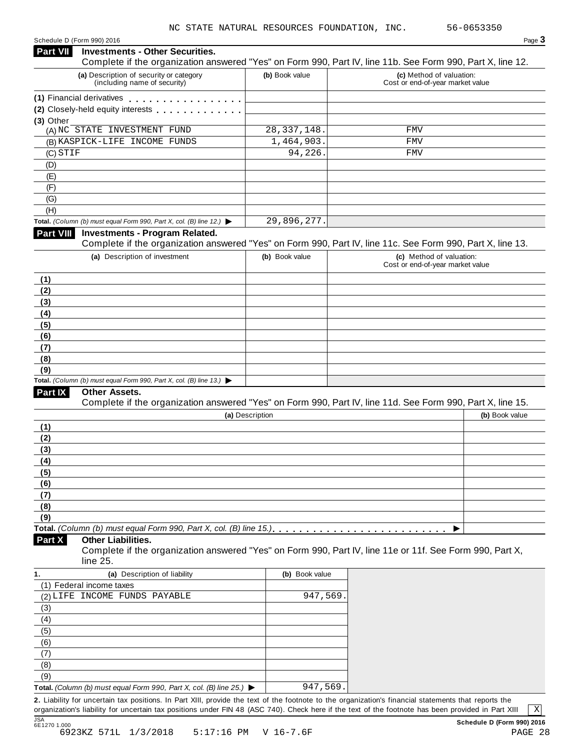### Schedule <sup>D</sup> (Form 990) <sup>2016</sup> Page **3 Investments - Other Securities. Part VII** Investments - Other Securities.<br>Complete if the organization answered "Yes" on Form 990, Part IV, line 11b. See Form 990, Part X, line 12. **(a)** Description of security or category (including name of security) **(b)** Book value **(c)** Method of valuation: Cost or end-of-year market value **(1)** Financial derivatives **(2)** Closely-held equity interests **(3)** Other (A) NC STATE INVESTMENT FUND 28,337,148. FMV (B) KASPICK-LIFE INCOME FUNDS 1,464,903. FMV  $(C)$  STIF (D) (E) (F) (G) (H) **Total.** *(Column (b) must equal Form 990, Part X, col. (B) line 12.)* I **Investments - Program Related.** Complete if the organization answered "Yes" on Form 990, Part IV, line 11c. See Form 990, Part X, line 13. **(a)** Description of investment **(b)** Book value **(c)** Method of valuation: Cost or end-of-year market value **(1) (2) (3) (4) (5) (6) (7) (8) (9) Total.** *(Column (b) must equal Form 990, Part X, col. (B) line 13.)* I **Other Assets.** Complete if the organization answered "Yes" on Form 990, Part IV, line 11d. See Form 990, Part X, line 15. **(a)** Description **(b)** Book value **(1) (2) (3) (4) (5) (6) (7) (8) (9)**  $\blacksquare$   $\blacksquare$   $\blacksquare$   $\blacksquare$   $\lozenge$   $\lozenge$   $\blacksquare$   $\blacksquare$   $\blacksquare$   $\blacksquare$   $\blacksquare$   $\blacksquare$   $\blacksquare$   $\blacksquare$   $\blacksquare$   $\blacksquare$   $\blacksquare$   $\blacksquare$   $\blacksquare$   $\blacksquare$   $\blacksquare$   $\blacksquare$   $\blacksquare$   $\blacksquare$   $\blacksquare$   $\blacksquare$   $\blacksquare$   $\blacksquare$   $\blacksquare$   $\blacksquare$   $\blacksquare$   $\blacks$ **Other Liabilities.** Complete if the organization answered "Yes" on Form 990, Part IV, line 11e or 11f. See Form 990, Part X, line 25. **Part X 1. (a)** Description of liability **(b)** Book value (1) Federal income taxes (2) LIFE INCOME FUNDS PAYABLE 947,569. (3) (4) (5) (6) (7) (8) (9) **Total.** *(Column (b) must equal Form 990, Part X, col. (B) line 25.)* I  $STIF$  FMV 29,896,277. 947,569.

**2.** Liability for uncertain tax positions. In Part XIII, provide the text of the footnote to the organization's financial statements that reports the organization's liability for uncertain tax positions under FIN 48 (ASC 740). Check here if the text of the footnote has been provided in Part XIII

X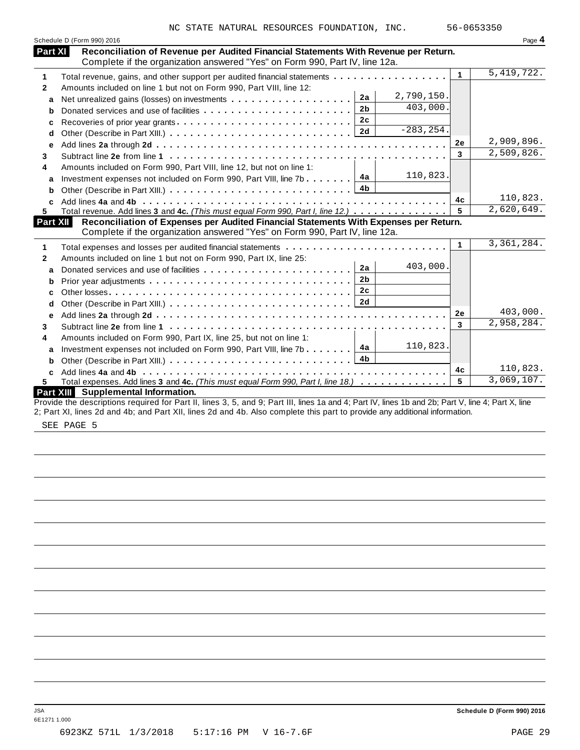|                | Schedule D (Form 990) 2016                                                                                                                                         |                      | Page 4       |
|----------------|--------------------------------------------------------------------------------------------------------------------------------------------------------------------|----------------------|--------------|
| <b>Part XI</b> | Reconciliation of Revenue per Audited Financial Statements With Revenue per Return.<br>Complete if the organization answered "Yes" on Form 990, Part IV, line 12a. |                      |              |
| 1              | Total revenue, gains, and other support per audited financial statements                                                                                           | $\blacktriangleleft$ | 5, 419, 722. |
| 2              | Amounts included on line 1 but not on Form 990, Part VIII, line 12:                                                                                                |                      |              |
| a              | 2,790,150.<br>2a<br>Net unrealized gains (losses) on investments                                                                                                   |                      |              |
| b              | 403,000.<br>2 <sub>b</sub>                                                                                                                                         |                      |              |
| c              | 2c<br>Recoveries of prior year grants                                                                                                                              |                      |              |
| d              | $-283, 254.$<br>2d                                                                                                                                                 |                      |              |
| е              |                                                                                                                                                                    | 2e                   | 2,909,896.   |
| 3              |                                                                                                                                                                    | 3                    | 2,509,826.   |
| 4              | Amounts included on Form 990, Part VIII, line 12, but not on line 1:                                                                                               |                      |              |
| a              | 110,823.<br>Investment expenses not included on Form 990, Part VIII, line 7b 4a                                                                                    |                      |              |
| b              | 4b                                                                                                                                                                 |                      |              |
| c              |                                                                                                                                                                    | 4c                   | 110,823.     |
| 5.             | Total revenue. Add lines 3 and 4c. (This must equal Form 990, Part I, line 12.)                                                                                    | 5                    | 2,620,649.   |
|                | Reconciliation of Expenses per Audited Financial Statements With Expenses per Return.<br><b>Part XII</b>                                                           |                      |              |
|                | Complete if the organization answered "Yes" on Form 990, Part IV, line 12a.                                                                                        |                      |              |
| 1              |                                                                                                                                                                    | $\mathbf 1$          | 3,361,284.   |
| $\mathbf{2}$   | Amounts included on line 1 but not on Form 990, Part IX, line 25:                                                                                                  |                      |              |
| a              | 403,000.<br>2a                                                                                                                                                     |                      |              |
| b              | 2 <sub>b</sub>                                                                                                                                                     |                      |              |
| c              | 2c                                                                                                                                                                 |                      |              |
| d              | 2d                                                                                                                                                                 |                      |              |
| е              |                                                                                                                                                                    | <b>2e</b>            | 403,000.     |
| 3              |                                                                                                                                                                    | 3                    | 2,958,284.   |
| 4              | Amounts included on Form 990, Part IX, line 25, but not on line 1:                                                                                                 |                      |              |
| a              | 110,823.<br>4a<br>Investment expenses not included on Form 990, Part VIII, line 7b                                                                                 |                      |              |
| b              | 4b.                                                                                                                                                                |                      |              |
| C              |                                                                                                                                                                    | 4c                   | 110,823.     |
| 5.             | Total expenses. Add lines 3 and 4c. (This must equal Form 990, Part I, line 18.)                                                                                   | 5                    | 3,069,107.   |
|                |                                                                                                                                                                    |                      |              |
|                | <b>Part XIII</b> Supplemental Information.                                                                                                                         |                      |              |

SEE PAGE 5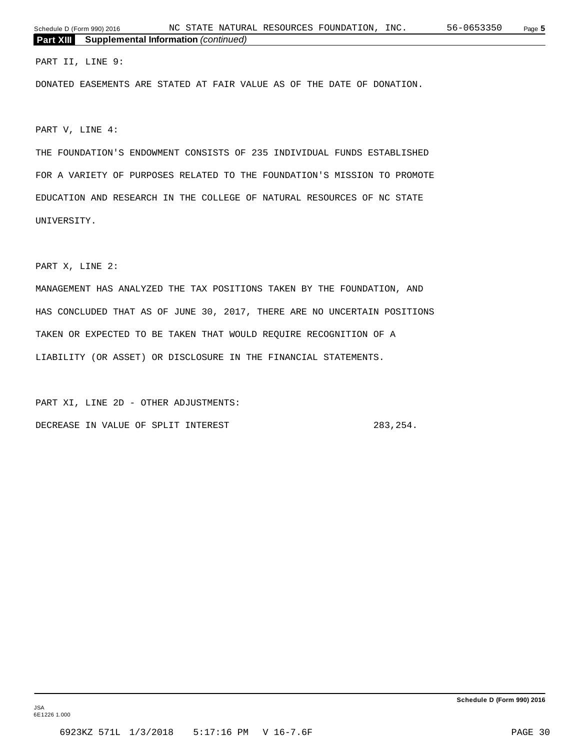### PART II, LINE 9:

DONATED EASEMENTS ARE STATED AT FAIR VALUE AS OF THE DATE OF DONATION.

PART V, LINE 4:

THE FOUNDATION'S ENDOWMENT CONSISTS OF 235 INDIVIDUAL FUNDS ESTABLISHED FOR A VARIETY OF PURPOSES RELATED TO THE FOUNDATION'S MISSION TO PROMOTE EDUCATION AND RESEARCH IN THE COLLEGE OF NATURAL RESOURCES OF NC STATE UNIVERSITY.

PART X, LINE 2:

MANAGEMENT HAS ANALYZED THE TAX POSITIONS TAKEN BY THE FOUNDATION, AND HAS CONCLUDED THAT AS OF JUNE 30, 2017, THERE ARE NO UNCERTAIN POSITIONS TAKEN OR EXPECTED TO BE TAKEN THAT WOULD REQUIRE RECOGNITION OF A LIABILITY (OR ASSET) OR DISCLOSURE IN THE FINANCIAL STATEMENTS.

PART XI, LINE 2D - OTHER ADJUSTMENTS: DECREASE IN VALUE OF SPLIT INTEREST 283,254.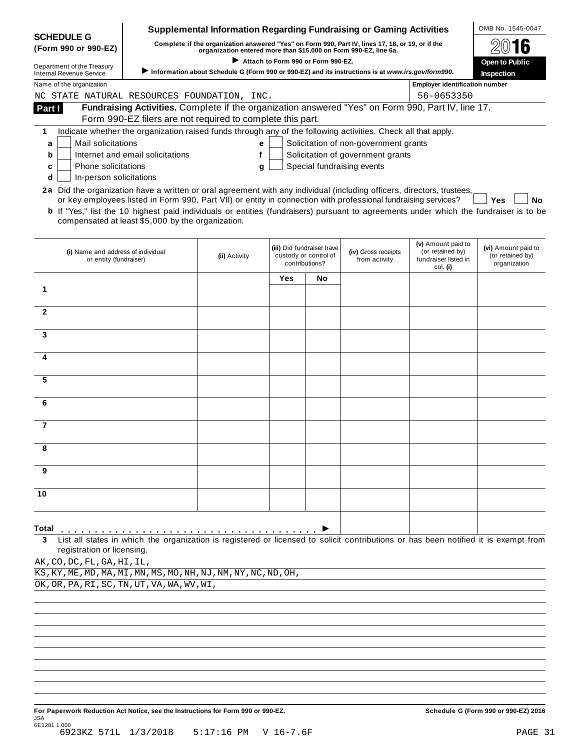| <b>SCHEDULE G</b><br>(Form 990 or 990-EZ)<br>Department of the Treasury                                                                      |                                                                                                                                                                      |                                    |     |                                                                      |                                       |                                                                            |                                                         |  |
|----------------------------------------------------------------------------------------------------------------------------------------------|----------------------------------------------------------------------------------------------------------------------------------------------------------------------|------------------------------------|-----|----------------------------------------------------------------------|---------------------------------------|----------------------------------------------------------------------------|---------------------------------------------------------|--|
|                                                                                                                                              | Complete if the organization answered "Yes" on Form 990, Part IV, lines 17, 18, or 19, or if the<br>organization entered more than \$15,000 on Form 990-EZ, line 6a. |                                    |     |                                                                      |                                       |                                                                            |                                                         |  |
|                                                                                                                                              |                                                                                                                                                                      | Attach to Form 990 or Form 990-EZ. |     |                                                                      |                                       |                                                                            | Open to Public                                          |  |
| <b>Internal Revenue Service</b>                                                                                                              | Information about Schedule G (Form 990 or 990-EZ) and its instructions is at www.irs.gov/form990.                                                                    |                                    |     |                                                                      |                                       |                                                                            |                                                         |  |
| Name of the organization                                                                                                                     |                                                                                                                                                                      |                                    |     |                                                                      |                                       | <b>Employer identification number</b>                                      |                                                         |  |
| NC STATE NATURAL RESOURCES FOUNDATION, INC.                                                                                                  |                                                                                                                                                                      |                                    |     |                                                                      |                                       | 56-0653350                                                                 |                                                         |  |
| Part I                                                                                                                                       | Fundraising Activities. Complete if the organization answered "Yes" on Form 990, Part IV, line 17.                                                                   |                                    |     |                                                                      |                                       |                                                                            |                                                         |  |
|                                                                                                                                              | Form 990-EZ filers are not required to complete this part.                                                                                                           |                                    |     |                                                                      |                                       |                                                                            |                                                         |  |
| 1                                                                                                                                            | Indicate whether the organization raised funds through any of the following activities. Check all that apply.                                                        |                                    |     |                                                                      |                                       |                                                                            |                                                         |  |
| Mail solicitations<br>a                                                                                                                      |                                                                                                                                                                      | е                                  |     |                                                                      | Solicitation of non-government grants |                                                                            |                                                         |  |
| b                                                                                                                                            | Internet and email solicitations                                                                                                                                     | f                                  |     |                                                                      | Solicitation of government grants     |                                                                            |                                                         |  |
| <b>Phone solicitations</b><br>c                                                                                                              |                                                                                                                                                                      | g                                  |     |                                                                      | Special fundraising events            |                                                                            |                                                         |  |
| In-person solicitations<br>d                                                                                                                 |                                                                                                                                                                      |                                    |     |                                                                      |                                       |                                                                            |                                                         |  |
| 2a Did the organization have a written or oral agreement with any individual (including officers, directors, trustees,                       |                                                                                                                                                                      |                                    |     |                                                                      |                                       |                                                                            |                                                         |  |
|                                                                                                                                              | or key employees listed in Form 990, Part VII) or entity in connection with professional fundraising services?                                                       |                                    |     |                                                                      |                                       |                                                                            | <b>No</b><br><b>Yes</b>                                 |  |
| <b>b</b> If "Yes," list the 10 highest paid individuals or entities (fundraisers) pursuant to agreements under which the fundraiser is to be |                                                                                                                                                                      |                                    |     |                                                                      |                                       |                                                                            |                                                         |  |
|                                                                                                                                              | compensated at least \$5,000 by the organization.                                                                                                                    |                                    |     |                                                                      |                                       |                                                                            |                                                         |  |
|                                                                                                                                              |                                                                                                                                                                      |                                    |     |                                                                      |                                       |                                                                            |                                                         |  |
| (i) Name and address of individual<br>or entity (fundraiser)                                                                                 |                                                                                                                                                                      | (ii) Activity                      |     | (iii) Did fundraiser have<br>custody or control of<br>contributions? | (iv) Gross receipts<br>from activity  | (v) Amount paid to<br>(or retained by)<br>fundraiser listed in<br>col. (i) | (vi) Amount paid to<br>(or retained by)<br>organization |  |
|                                                                                                                                              |                                                                                                                                                                      |                                    | Yes | No                                                                   |                                       |                                                                            |                                                         |  |
| 1                                                                                                                                            |                                                                                                                                                                      |                                    |     |                                                                      |                                       |                                                                            |                                                         |  |
|                                                                                                                                              |                                                                                                                                                                      |                                    |     |                                                                      |                                       |                                                                            |                                                         |  |
| $\mathbf{2}$                                                                                                                                 |                                                                                                                                                                      |                                    |     |                                                                      |                                       |                                                                            |                                                         |  |
|                                                                                                                                              |                                                                                                                                                                      |                                    |     |                                                                      |                                       |                                                                            |                                                         |  |
| 3                                                                                                                                            |                                                                                                                                                                      |                                    |     |                                                                      |                                       |                                                                            |                                                         |  |
|                                                                                                                                              |                                                                                                                                                                      |                                    |     |                                                                      |                                       |                                                                            |                                                         |  |
| 4                                                                                                                                            |                                                                                                                                                                      |                                    |     |                                                                      |                                       |                                                                            |                                                         |  |
|                                                                                                                                              |                                                                                                                                                                      |                                    |     |                                                                      |                                       |                                                                            |                                                         |  |
| 5                                                                                                                                            |                                                                                                                                                                      |                                    |     |                                                                      |                                       |                                                                            |                                                         |  |
|                                                                                                                                              |                                                                                                                                                                      |                                    |     |                                                                      |                                       |                                                                            |                                                         |  |
| 6                                                                                                                                            |                                                                                                                                                                      |                                    |     |                                                                      |                                       |                                                                            |                                                         |  |
|                                                                                                                                              |                                                                                                                                                                      |                                    |     |                                                                      |                                       |                                                                            |                                                         |  |
| $\overline{7}$                                                                                                                               |                                                                                                                                                                      |                                    |     |                                                                      |                                       |                                                                            |                                                         |  |
|                                                                                                                                              |                                                                                                                                                                      |                                    |     |                                                                      |                                       |                                                                            |                                                         |  |
| я                                                                                                                                            |                                                                                                                                                                      |                                    |     |                                                                      |                                       |                                                                            |                                                         |  |
|                                                                                                                                              |                                                                                                                                                                      |                                    |     |                                                                      |                                       |                                                                            |                                                         |  |
| 9                                                                                                                                            |                                                                                                                                                                      |                                    |     |                                                                      |                                       |                                                                            |                                                         |  |
|                                                                                                                                              |                                                                                                                                                                      |                                    |     |                                                                      |                                       |                                                                            |                                                         |  |
| 10                                                                                                                                           |                                                                                                                                                                      |                                    |     |                                                                      |                                       |                                                                            |                                                         |  |
|                                                                                                                                              |                                                                                                                                                                      |                                    |     |                                                                      |                                       |                                                                            |                                                         |  |
|                                                                                                                                              |                                                                                                                                                                      |                                    |     |                                                                      |                                       |                                                                            |                                                         |  |
| Total                                                                                                                                        |                                                                                                                                                                      |                                    |     |                                                                      |                                       |                                                                            |                                                         |  |

**3** List all states in which the organization is registered or licensed to solicit contributions or has been notified it is exempt from registration or licensing.

AK,CO,DC,FL,GA,HI,IL,

 $\overline{\texttt{KS,KY,NE}}$  , MD , MA , MI , MN , MS , MO , NH , NJ , NM , NY , NC , ND , OH ,

OK,OR,PA,RI,SC,TN,UT,VA,WA,WV,WI,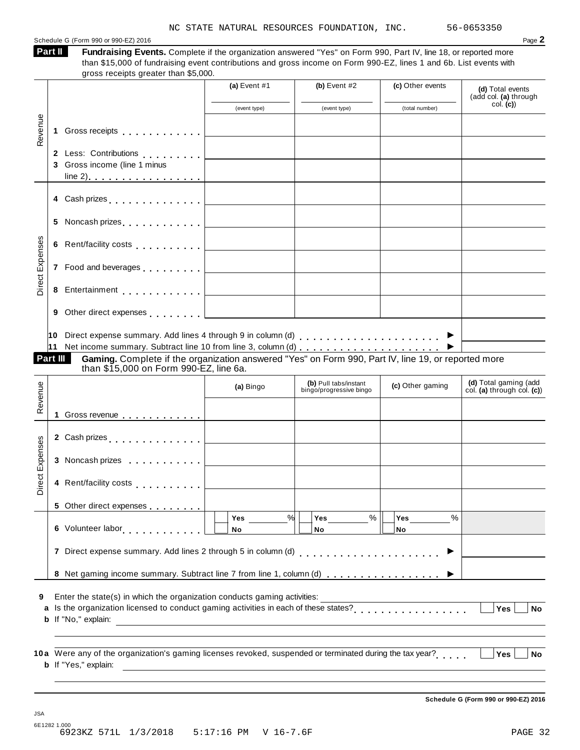### Schedule <sup>G</sup> (Form <sup>990</sup> or 990-EZ) <sup>2016</sup> Page **2**

Fundraising Events. Complete if the organization answered "Yes" on Form 990, Part IV, line 18, or reported more than \$15,000 of fundraising event contributions and gross income on Form 990-EZ, lines 1 and 6b. List events with gross receipts greater than \$5,000. **Part II**

|                 |    |                                                                                                                                                                                                                                                                      | (a) Event $#1$ | (b) Event $#2$                                   | (c) Other events  | (d) Total events<br>(add col. (a) through           |
|-----------------|----|----------------------------------------------------------------------------------------------------------------------------------------------------------------------------------------------------------------------------------------------------------------------|----------------|--------------------------------------------------|-------------------|-----------------------------------------------------|
|                 |    |                                                                                                                                                                                                                                                                      | (event type)   | (event type)                                     | (total number)    | col. (c)                                            |
| Revenue         |    |                                                                                                                                                                                                                                                                      |                |                                                  |                   |                                                     |
|                 |    | 2 Less: Contributions <u>  _ _ _ _ _ _ _ _ _ _ _ _ _</u><br>3 Gross income (line 1 minus                                                                                                                                                                             |                |                                                  |                   |                                                     |
|                 |    | <u>line 2).  </u>                                                                                                                                                                                                                                                    |                |                                                  |                   |                                                     |
|                 |    |                                                                                                                                                                                                                                                                      |                |                                                  |                   |                                                     |
|                 | 5  | Noncash prizes $\begin{array}{ c c c }\n\hline\n\hline\n\end{array}$                                                                                                                                                                                                 |                |                                                  |                   |                                                     |
|                 | 6  | Rent/facility costs entertainment of the state of the state of the state of the state of the state of the state of the state of the state of the state of the state of the state of the state of the state of the state of the                                       |                |                                                  |                   |                                                     |
|                 |    | 7 Food and beverages entertainment and the set of the set of the set of the set of the set of the set of the set of the set of the set of the set of the set of the set of the set of the set of the set of the set of the set                                       |                |                                                  |                   |                                                     |
| Direct Expenses | 8  |                                                                                                                                                                                                                                                                      |                |                                                  |                   |                                                     |
|                 | 9  | Other direct expenses example and the contract of the contract of the contract of the contract of the contract of the contract of the contract of the contract of the contract of the contract of the contract of the contract                                       |                |                                                  |                   |                                                     |
|                 | 10 | 11 Net income summary. Subtract line 10 from line 3, column (d)<br>Part III<br>Gaming. Complete if the organization answered "Yes" on Form 990, Part IV, line 19, or reported more<br>than \$15,000 on Form 990-EZ, line 6a.                                         |                |                                                  | ▶                 |                                                     |
|                 |    |                                                                                                                                                                                                                                                                      |                |                                                  |                   |                                                     |
|                 |    |                                                                                                                                                                                                                                                                      | (a) Bingo      | (b) Pull tabs/instant<br>bingo/progressive bingo | (c) Other gaming  | (d) Total gaming (add<br>col. (a) through col. (c)) |
| Revenue         |    | 1 Gross revenue                                                                                                                                                                                                                                                      |                |                                                  |                   |                                                     |
|                 |    | 2 Cash prizes <u>  _ _ _ _ _ _ _ _ _ _ _ _ _</u>                                                                                                                                                                                                                     |                |                                                  |                   |                                                     |
|                 |    | 3 Noncash prizes <u>  _ _ _ _ _ _ _ _ _ _</u> _ _ _ _ _ _ _ _                                                                                                                                                                                                        |                |                                                  |                   |                                                     |
| Direct Expenses |    |                                                                                                                                                                                                                                                                      |                |                                                  |                   |                                                     |
|                 |    | 5 Other direct expenses                                                                                                                                                                                                                                              |                |                                                  |                   |                                                     |
|                 |    |                                                                                                                                                                                                                                                                      | %<br>Yes<br>No | %<br>Yes<br>No                                   | $\%$<br>Yes<br>No |                                                     |
|                 |    |                                                                                                                                                                                                                                                                      |                |                                                  | ▶                 |                                                     |
|                 |    | 8 Net gaming income summary. Subtract line 7 from line 1, column (d)                                                                                                                                                                                                 |                |                                                  |                   |                                                     |
| 9<br>a<br>b     |    | Enter the state(s) in which the organization conducts gaming activities:<br>International conductor in which the organization conducts gaming activities.<br>Is the organization licensed to conduct gaming activities in each of these states?<br>If "No," explain: |                |                                                  |                   | Yes<br><b>No</b>                                    |
|                 |    |                                                                                                                                                                                                                                                                      |                |                                                  |                   |                                                     |

JSA 6E1282 1.000 6923KZ 571L 1/3/2018 5:17:16 PM V 16-7.6F PAGE 32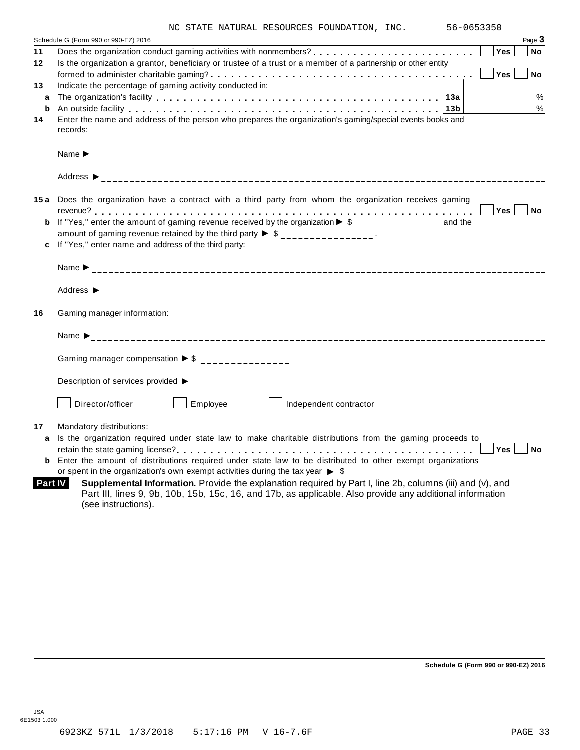|    | NC STATE NATURAL RESOURCES FOUNDATION, INC.                                                                                                                                                                                                                     | 56-0653350                |
|----|-----------------------------------------------------------------------------------------------------------------------------------------------------------------------------------------------------------------------------------------------------------------|---------------------------|
|    | Schedule G (Form 990 or 990-EZ) 2016                                                                                                                                                                                                                            | Page 3                    |
| 11 |                                                                                                                                                                                                                                                                 | Yes<br>  No               |
| 12 | Is the organization a grantor, beneficiary or trustee of a trust or a member of a partnership or other entity                                                                                                                                                   |                           |
|    |                                                                                                                                                                                                                                                                 | No                        |
| 13 | Indicate the percentage of gaming activity conducted in:                                                                                                                                                                                                        |                           |
| a  | The organization's facility enterpreened and according to the organization's facility of the set of the original $\mathbf{a}$                                                                                                                                   | %                         |
| b  | An outside facility enterpreenence in the series of the series of the series of the series of the series of th                                                                                                                                                  | $\%$                      |
| 14 | Enter the name and address of the person who prepares the organization's gaming/special events books and                                                                                                                                                        |                           |
|    | records:                                                                                                                                                                                                                                                        |                           |
|    |                                                                                                                                                                                                                                                                 |                           |
|    |                                                                                                                                                                                                                                                                 |                           |
|    |                                                                                                                                                                                                                                                                 |                           |
|    |                                                                                                                                                                                                                                                                 |                           |
|    | 15a Does the organization have a contract with a third party from whom the organization receives gaming                                                                                                                                                         |                           |
|    |                                                                                                                                                                                                                                                                 |                           |
|    | <b>b</b> If "Yes," enter the amount of gaming revenue received by the organization $\triangleright$ \$______________ and the                                                                                                                                    |                           |
|    | amount of gaming revenue retained by the third party $\triangleright$ \$ _______________.                                                                                                                                                                       |                           |
|    | c If "Yes," enter name and address of the third party:                                                                                                                                                                                                          |                           |
|    |                                                                                                                                                                                                                                                                 |                           |
|    |                                                                                                                                                                                                                                                                 |                           |
|    |                                                                                                                                                                                                                                                                 |                           |
| 16 | Gaming manager information:                                                                                                                                                                                                                                     |                           |
|    |                                                                                                                                                                                                                                                                 |                           |
|    |                                                                                                                                                                                                                                                                 |                           |
|    |                                                                                                                                                                                                                                                                 |                           |
|    | Gaming manager compensation $\triangleright$ \$ _______________                                                                                                                                                                                                 |                           |
|    |                                                                                                                                                                                                                                                                 |                           |
|    |                                                                                                                                                                                                                                                                 |                           |
|    | Director/officer<br>Employee     Independent contractor                                                                                                                                                                                                         |                           |
| 17 | Mandatory distributions:                                                                                                                                                                                                                                        |                           |
|    | a Is the organization required under state law to make charitable distributions from the gaming proceeds to                                                                                                                                                     |                           |
|    |                                                                                                                                                                                                                                                                 | $\Box$ Yes $\Box$<br>∣ No |
|    | <b>b</b> Enter the amount of distributions required under state law to be distributed to other exempt organizations                                                                                                                                             |                           |
|    | or spent in the organization's own exempt activities during the tax year $\triangleright$ \$                                                                                                                                                                    |                           |
|    | Supplemental Information. Provide the explanation required by Part I, line 2b, columns (iii) and (v), and<br><b>Part IV</b><br>Part III, lines 9, 9b, 10b, 15b, 15c, 16, and 17b, as applicable. Also provide any additional information<br>(see instructions). |                           |
|    |                                                                                                                                                                                                                                                                 |                           |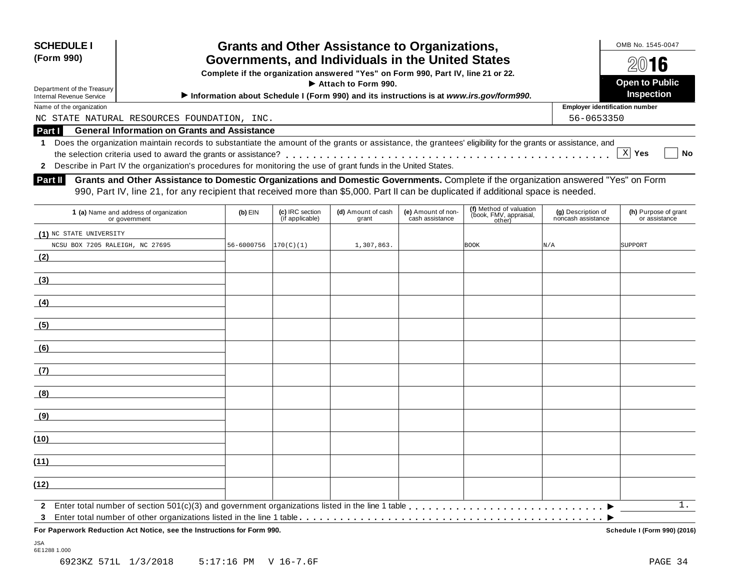| <b>SCHEDULE I</b><br>(Form 990)<br>Department of the Treasury<br>Internal Revenue Service                                                                               | <b>Grants and Other Assistance to Organizations,</b><br>Governments, and Individuals in the United States<br>Complete if the organization answered "Yes" on Form 990, Part IV, line 21 or 22.<br>$\triangleright$ Attach to Form 990.<br>Information about Schedule I (Form 990) and its instructions is at www.irs.gov/form990. | OMB No. 1545-0047<br>2016<br><b>Open to Public</b><br><b>Inspection</b> |  |  |  |  |
|-------------------------------------------------------------------------------------------------------------------------------------------------------------------------|----------------------------------------------------------------------------------------------------------------------------------------------------------------------------------------------------------------------------------------------------------------------------------------------------------------------------------|-------------------------------------------------------------------------|--|--|--|--|
| Name of the organization                                                                                                                                                |                                                                                                                                                                                                                                                                                                                                  | <b>Employer identification number</b>                                   |  |  |  |  |
| NC STATE NATURAL RESOURCES FOUNDATION, INC.<br>56-0653350                                                                                                               |                                                                                                                                                                                                                                                                                                                                  |                                                                         |  |  |  |  |
| Part I                                                                                                                                                                  | <b>General Information on Grants and Assistance</b>                                                                                                                                                                                                                                                                              |                                                                         |  |  |  |  |
| Does the organization maintain records to substantiate the amount of the grants or assistance, the grantees' eligibility for the grants or assistance, and<br>No<br>Yes |                                                                                                                                                                                                                                                                                                                                  |                                                                         |  |  |  |  |

**2** Describe in Part IV the organization's procedures for monitoring the use of grant funds in the United States.

**Grants and Other Assistance to Domestic Organizations and Domestic Governments.** Complete if the organization answered "Yes" on Form 990, Part IV, line 21, for any recipient that received more than \$5,000. Part II can be duplicated if additional space is needed. **Part II**

| 1 (a) Name and address of organization<br>or government | $(b)$ EIN                              | (c) IRC section<br>(if applicable) | (d) Amount of cash<br>grant | (e) Amount of non-<br>cash assistance | (f) Method of valuation<br>(book, FMV, appraisal,<br>other) | (g) Description of<br>noncash assistance | (h) Purpose of grant<br>or assistance |
|---------------------------------------------------------|----------------------------------------|------------------------------------|-----------------------------|---------------------------------------|-------------------------------------------------------------|------------------------------------------|---------------------------------------|
| (1) NC STATE UNIVERSITY                                 |                                        |                                    |                             |                                       |                                                             |                                          |                                       |
| NCSU BOX 7205 RALEIGH, NC 27695                         | $56 - 6000756$ $\vert 170(C)(1) \vert$ |                                    | 1,307,863.                  |                                       | <b>BOOK</b>                                                 | N/A                                      | SUPPORT                               |
| (2)                                                     |                                        |                                    |                             |                                       |                                                             |                                          |                                       |
| (3)                                                     |                                        |                                    |                             |                                       |                                                             |                                          |                                       |
| (4)                                                     |                                        |                                    |                             |                                       |                                                             |                                          |                                       |
| (5)                                                     |                                        |                                    |                             |                                       |                                                             |                                          |                                       |
| (6)                                                     |                                        |                                    |                             |                                       |                                                             |                                          |                                       |
| (7)                                                     |                                        |                                    |                             |                                       |                                                             |                                          |                                       |
| (8)                                                     |                                        |                                    |                             |                                       |                                                             |                                          |                                       |
| (9)                                                     |                                        |                                    |                             |                                       |                                                             |                                          |                                       |
| (10)                                                    |                                        |                                    |                             |                                       |                                                             |                                          |                                       |
| (11)                                                    |                                        |                                    |                             |                                       |                                                             |                                          |                                       |
| (12)                                                    |                                        |                                    |                             |                                       |                                                             |                                          |                                       |
| $\overline{2}$<br>$3^{\circ}$                           |                                        |                                    |                             |                                       |                                                             |                                          | 1.                                    |

**For Paperwork Reduction Act Notice, see the Instructions for Form 990. Schedule I (Form 990) (2016)**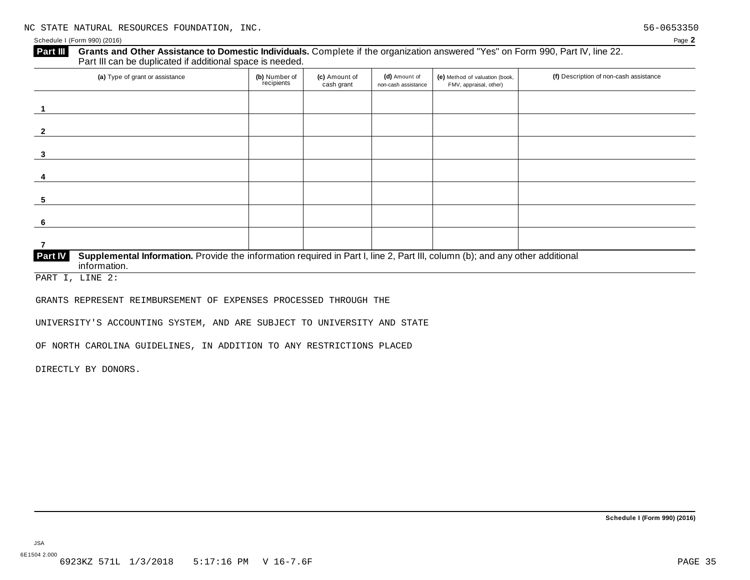### **Grants and Other Assistance to Domestic Individuals.** Complete ifthe organization answered "Yes" on Form 990, Part IV, line 22. **Part III** Grants and Other Assistance to Domestic Individuals<br>Part III can be duplicated if additional space is needed.

| (a) Type of grant or assistance                                                                                                                         | (b) Number of<br>recipients | (c) Amount of<br>cash grant | (d) Amount of<br>non-cash assistance | (e) Method of valuation (book,<br>FMV, appraisal, other) | (f) Description of non-cash assistance |
|---------------------------------------------------------------------------------------------------------------------------------------------------------|-----------------------------|-----------------------------|--------------------------------------|----------------------------------------------------------|----------------------------------------|
|                                                                                                                                                         |                             |                             |                                      |                                                          |                                        |
|                                                                                                                                                         |                             |                             |                                      |                                                          |                                        |
| 3                                                                                                                                                       |                             |                             |                                      |                                                          |                                        |
| 4                                                                                                                                                       |                             |                             |                                      |                                                          |                                        |
| 5                                                                                                                                                       |                             |                             |                                      |                                                          |                                        |
| -6                                                                                                                                                      |                             |                             |                                      |                                                          |                                        |
|                                                                                                                                                         |                             |                             |                                      |                                                          |                                        |
| Part IV<br>Supplemental Information. Provide the information required in Part I, line 2, Part III, column (b); and any other additional<br>information. |                             |                             |                                      |                                                          |                                        |

PART I, LINE 2:

GRANTS REPRESENT REIMBURSEMENT OF EXPENSES PROCESSED THROUGH THE

UNIVERSITY'S ACCOUNTING SYSTEM, AND ARE SUBJECT TO UNIVERSITY AND STATE

OF NORTH CAROLINA GUIDELINES, IN ADDITION TO ANY RESTRICTIONS PLACED

DIRECTLY BY DONORS.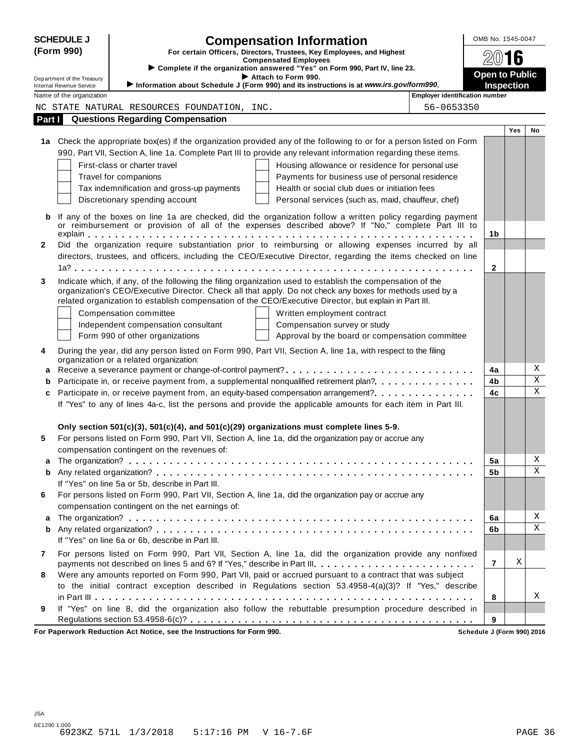|              | <b>SCHEDULE J</b>                                                                   | <b>Compensation Information</b>                                                                                                                                                                                   | OMB No. 1545-0047     |                   |             |
|--------------|-------------------------------------------------------------------------------------|-------------------------------------------------------------------------------------------------------------------------------------------------------------------------------------------------------------------|-----------------------|-------------------|-------------|
|              | (Form 990)<br>For certain Officers, Directors, Trustees, Key Employees, and Highest |                                                                                                                                                                                                                   |                       |                   |             |
|              |                                                                                     | <b>Compensated Employees</b><br>Complete if the organization answered "Yes" on Form 990, Part IV, line 23.                                                                                                        |                       | 16                |             |
|              | Department of the Treasury                                                          | Attach to Form 990.                                                                                                                                                                                               | <b>Open to Public</b> |                   |             |
|              | <b>Internal Revenue Service</b>                                                     | Information about Schedule J (Form 990) and its instructions is at www.irs.gov/form990.                                                                                                                           |                       | <b>Inspection</b> |             |
|              | Name of the organization                                                            | <b>Employer identification number</b>                                                                                                                                                                             |                       |                   |             |
|              |                                                                                     | 56-0653350<br>NC STATE NATURAL RESOURCES FOUNDATION, INC.                                                                                                                                                         |                       |                   |             |
| Part I       |                                                                                     | <b>Questions Regarding Compensation</b>                                                                                                                                                                           |                       |                   |             |
|              |                                                                                     | 1a Check the appropriate box(es) if the organization provided any of the following to or for a person listed on Form                                                                                              |                       | <b>Yes</b>        | <b>No</b>   |
|              |                                                                                     | 990, Part VII, Section A, line 1a. Complete Part III to provide any relevant information regarding these items.                                                                                                   |                       |                   |             |
|              |                                                                                     | First-class or charter travel<br>Housing allowance or residence for personal use                                                                                                                                  |                       |                   |             |
|              |                                                                                     | Payments for business use of personal residence<br>Travel for companions                                                                                                                                          |                       |                   |             |
|              |                                                                                     | Tax indemnification and gross-up payments<br>Health or social club dues or initiation fees                                                                                                                        |                       |                   |             |
|              |                                                                                     | Discretionary spending account<br>Personal services (such as, maid, chauffeur, chef)                                                                                                                              |                       |                   |             |
|              |                                                                                     |                                                                                                                                                                                                                   |                       |                   |             |
| b            |                                                                                     | If any of the boxes on line 1a are checked, did the organization follow a written policy regarding payment<br>or reimbursement or provision of all of the expenses described above? If "No," complete Part III to |                       |                   |             |
|              |                                                                                     |                                                                                                                                                                                                                   | 1 <sub>b</sub>        |                   |             |
| $\mathbf{2}$ |                                                                                     | Did the organization require substantiation prior to reimbursing or allowing expenses incurred by all                                                                                                             |                       |                   |             |
|              |                                                                                     | directors, trustees, and officers, including the CEO/Executive Director, regarding the items checked on line                                                                                                      |                       |                   |             |
|              |                                                                                     |                                                                                                                                                                                                                   | $\mathbf{2}$          |                   |             |
| 3            |                                                                                     | Indicate which, if any, of the following the filing organization used to establish the compensation of the                                                                                                        |                       |                   |             |
|              |                                                                                     | organization's CEO/Executive Director. Check all that apply. Do not check any boxes for methods used by a                                                                                                         |                       |                   |             |
|              |                                                                                     | related organization to establish compensation of the CEO/Executive Director, but explain in Part III.                                                                                                            |                       |                   |             |
|              |                                                                                     | Compensation committee<br>Written employment contract                                                                                                                                                             |                       |                   |             |
|              |                                                                                     | Independent compensation consultant<br>Compensation survey or study                                                                                                                                               |                       |                   |             |
|              |                                                                                     | Form 990 of other organizations<br>Approval by the board or compensation committee                                                                                                                                |                       |                   |             |
| 4            |                                                                                     | During the year, did any person listed on Form 990, Part VII, Section A, line 1a, with respect to the filing                                                                                                      |                       |                   |             |
|              |                                                                                     | organization or a related organization:                                                                                                                                                                           |                       |                   | Χ           |
| а            |                                                                                     | Receive a severance payment or change-of-control payment?<br>Participate in, or receive payment from, a supplemental nonqualified retirement plan?.                                                               | 4a<br>4b              |                   | $\mathbf X$ |
| b<br>c       |                                                                                     | Participate in, or receive payment from, an equity-based compensation arrangement?                                                                                                                                | 4c                    |                   | X           |
|              |                                                                                     | If "Yes" to any of lines 4a-c, list the persons and provide the applicable amounts for each item in Part III.                                                                                                     |                       |                   |             |
|              |                                                                                     |                                                                                                                                                                                                                   |                       |                   |             |
|              |                                                                                     | Only section $501(c)(3)$ , $501(c)(4)$ , and $501(c)(29)$ organizations must complete lines 5-9.                                                                                                                  |                       |                   |             |
| 5            |                                                                                     | For persons listed on Form 990, Part VII, Section A, line 1a, did the organization pay or accrue any                                                                                                              |                       |                   |             |
|              |                                                                                     | compensation contingent on the revenues of:                                                                                                                                                                       |                       |                   |             |
| а            |                                                                                     |                                                                                                                                                                                                                   | 5a                    |                   | Χ           |
| b            |                                                                                     |                                                                                                                                                                                                                   | 5b                    |                   | Χ           |
|              |                                                                                     | If "Yes" on line 5a or 5b, describe in Part III.                                                                                                                                                                  |                       |                   |             |
| 6            |                                                                                     | For persons listed on Form 990, Part VII, Section A, line 1a, did the organization pay or accrue any                                                                                                              |                       |                   |             |
|              |                                                                                     | compensation contingent on the net earnings of:                                                                                                                                                                   |                       |                   |             |
| а            |                                                                                     |                                                                                                                                                                                                                   | 6a                    |                   | Χ           |
| b            |                                                                                     |                                                                                                                                                                                                                   | 6b                    |                   | X           |
|              |                                                                                     | If "Yes" on line 6a or 6b, describe in Part III.                                                                                                                                                                  |                       |                   |             |
| 7            |                                                                                     | For persons listed on Form 990, Part VII, Section A, line 1a, did the organization provide any nonfixed                                                                                                           |                       |                   |             |
|              |                                                                                     | payments not described on lines 5 and 6? If "Yes," describe in Part III.                                                                                                                                          | $\overline{7}$        | X                 |             |
| 8            |                                                                                     | Were any amounts reported on Form 990, Part VII, paid or accrued pursuant to a contract that was subject                                                                                                          |                       |                   |             |
|              |                                                                                     | to the initial contract exception described in Regulations section 53.4958-4(a)(3)? If "Yes," describe                                                                                                            |                       |                   | Χ           |
| 9            |                                                                                     | If "Yes" on line 8, did the organization also follow the rebuttable presumption procedure described in                                                                                                            | 8                     |                   |             |
|              |                                                                                     |                                                                                                                                                                                                                   | 9                     |                   |             |
|              |                                                                                     |                                                                                                                                                                                                                   |                       |                   |             |

**For Paperwork Reduction Act Notice, see the Instructions for Form 990. Schedule J (Form 990) 2016**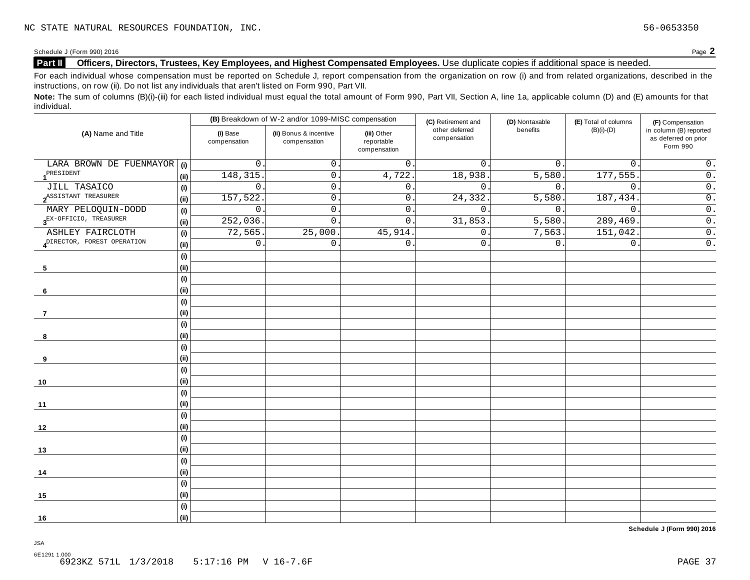### **Part II Officers, Directors, Trustees, Key Employees, and Highest Compensated Employees.** Use duplicate copies ifadditional space is needed.

For each individual whose compensation must be reported on Schedule J, report compensation from the organization on row (i) and from related organizations, described in the instructions, on row (ii). Do not list any individuals that aren't listed on Form 990, Part VII.

Note: The sum of columns (B)(i)-(iii) for each listed individual must equal the total amount of Form 990, Part VII, Section A, line 1a, applicable column (D) and (E) amounts for that individual.

|                                  |     |                          | (B) Breakdown of W-2 and/or 1099-MISC compensation |                                           | (C) Retirement and             | (D) Nontaxable   | (E) Total of columns | (F) Compensation                                           |
|----------------------------------|-----|--------------------------|----------------------------------------------------|-------------------------------------------|--------------------------------|------------------|----------------------|------------------------------------------------------------|
| (A) Name and Title               |     | (i) Base<br>compensation | (ii) Bonus & incentive<br>compensation             | (iii) Other<br>reportable<br>compensation | other deferred<br>compensation | benefits         | $(B)(i)-(D)$         | in column (B) reported<br>as deferred on prior<br>Form 990 |
| LARA BROWN DE FUENMAYOR (i)      |     | $\mathsf{O}$             | $\mathsf{O}$ .                                     | $\overline{0}$ .                          | $\mathsf{O}$ .                 | 0.               | $\mathbf{0}$ .       | $\overline{0}$ .                                           |
| PRESIDENT                        | (i) | 148, 315                 | $\mathbf 0$ .                                      | 4,722.                                    | 18,938.                        | 5,580.           | 177,555.             | $\overline{0}$ .                                           |
| JILL TASAICO                     | (i) | $\mathsf{O}$             | $\mathbf{0}$ .                                     | $\overline{0}$ .                          | $\mathbf{0}$ .                 | 0.               | $\mathbf{0}$ .       | $\overline{0}$ .                                           |
| 2 <sup>ASSISTANT</sup> TREASURER | (i) | 157,522                  | $0\,$ .                                            | $\mathsf 0$ .                             | 24,332.                        | 5,580.           | 187,434              | $\overline{0}$ .                                           |
| MARY PELOQUIN-DODD               | (i) | $\mathsf{O}$             | $\mathsf{O}$ .                                     | $\mathsf 0$ .                             | $\mathbf{0}$ .                 | 0.               | $\mathbf{0}$ .       | $\overline{0}$ .                                           |
| $3^{EX-OFFICIO}$ , TREASURER     | (i) | 252,036.                 | $\mathsf{O}$                                       | $\overline{0}$ .                          | 31,853.                        | 5,580.           | 289,469              | $\overline{0}$ .                                           |
| <b>ASHLEY FAIRCLOTH</b>          | (i) | 72,565.                  | 25,000                                             | 45,914.                                   | 0.                             | 7,563.           | 151,042              | $\overline{0}$ .                                           |
| ADIRECTOR, FOREST OPERATION      | (i) | $\mathsf{O}$             | 0                                                  | $\mathbf{0}$ .                            | $0$ .                          | $\overline{0}$ . | $\mathsf{O}$ .       | $\overline{0}$ .                                           |
|                                  | (i) |                          |                                                    |                                           |                                |                  |                      |                                                            |
| 5                                | (i) |                          |                                                    |                                           |                                |                  |                      |                                                            |
|                                  | (i) |                          |                                                    |                                           |                                |                  |                      |                                                            |
| 6                                | (i) |                          |                                                    |                                           |                                |                  |                      |                                                            |
|                                  | (i) |                          |                                                    |                                           |                                |                  |                      |                                                            |
| $\overline{7}$                   | (i) |                          |                                                    |                                           |                                |                  |                      |                                                            |
|                                  | (i) |                          |                                                    |                                           |                                |                  |                      |                                                            |
| 8                                | (i) |                          |                                                    |                                           |                                |                  |                      |                                                            |
|                                  | (i) |                          |                                                    |                                           |                                |                  |                      |                                                            |
| 9                                | (i) |                          |                                                    |                                           |                                |                  |                      |                                                            |
|                                  | (i) |                          |                                                    |                                           |                                |                  |                      |                                                            |
| 10                               | (i) |                          |                                                    |                                           |                                |                  |                      |                                                            |
|                                  | (i) |                          |                                                    |                                           |                                |                  |                      |                                                            |
| 11                               | (i) |                          |                                                    |                                           |                                |                  |                      |                                                            |
|                                  | (i) |                          |                                                    |                                           |                                |                  |                      |                                                            |
| 12                               | (i) |                          |                                                    |                                           |                                |                  |                      |                                                            |
|                                  | (i) |                          |                                                    |                                           |                                |                  |                      |                                                            |
| 13                               | (i) |                          |                                                    |                                           |                                |                  |                      |                                                            |
|                                  | (i) |                          |                                                    |                                           |                                |                  |                      |                                                            |
| 14                               | (i) |                          |                                                    |                                           |                                |                  |                      |                                                            |
|                                  | (i) |                          |                                                    |                                           |                                |                  |                      |                                                            |
| 15                               | (i) |                          |                                                    |                                           |                                |                  |                      |                                                            |
|                                  | (i) |                          |                                                    |                                           |                                |                  |                      |                                                            |
| 16                               | (i) |                          |                                                    |                                           |                                |                  |                      |                                                            |

**Schedule J (Form 990) 2016**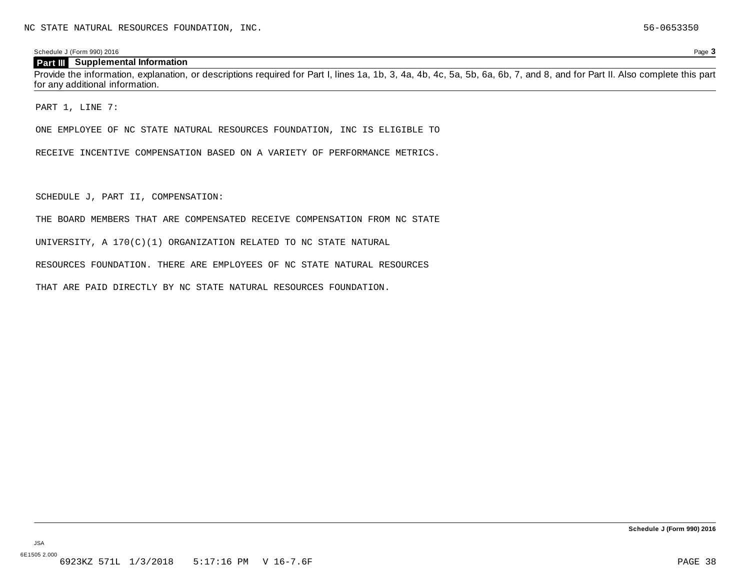Schedule J (Form 990) 2016 Page **3**

### **Part III Supplemental Information**

Provide the information, explanation, or descriptions required for Part I, lines 1a, 1b, 3, 4a, 4b, 4c, 5a, 5b, 6a, 6b, 7, and 8, and for Part II. Also complete this part for any additional information.

PART 1, LINE 7:

ONE EMPLOYEE OF NC STATE NATURAL RESOURCES FOUNDATION, INC IS ELIGIBLE TO

RECEIVE INCENTIVE COMPENSATION BASED ON A VARIETY OF PERFORMANCE METRICS.

SCHEDULE J, PART II, COMPENSATION:

THE BOARD MEMBERS THAT ARE COMPENSATED RECEIVE COMPENSATION FROM NC STATE

UNIVERSITY, A 170(C)(1) ORGANIZATION RELATED TO NC STATE NATURAL

RESOURCES FOUNDATION. THERE ARE EMPLOYEES OF NC STATE NATURAL RESOURCES

THAT ARE PAID DIRECTLY BY NC STATE NATURAL RESOURCES FOUNDATION.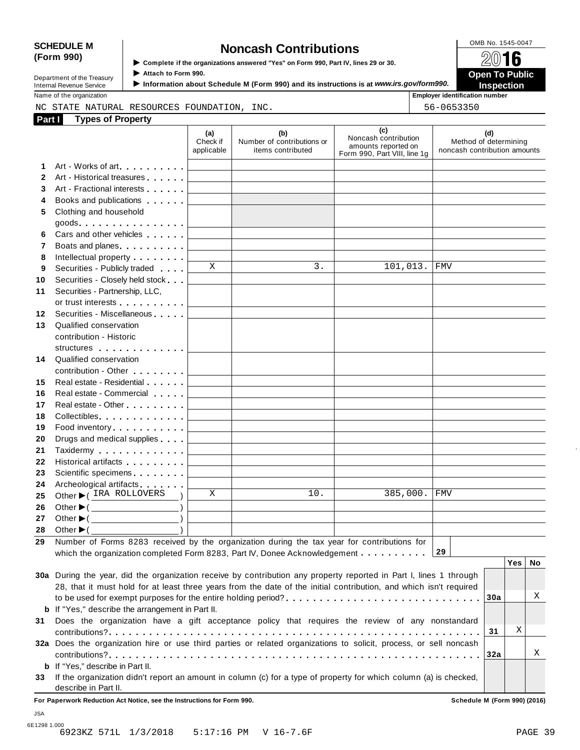# SCHEDULE M Noncash Contributions<br>
(Form 990) ► Complete if the organizations answered "Yes" on Form 990, Part IV, lines 29 or 30.

|            | NUNGSH OUNNOUGHUNG                                                                 |                   |
|------------|------------------------------------------------------------------------------------|-------------------|
| (Form 990) | Complete if the organizations answered "Yes" on Form 990, Part IV, lines 29 or 30. | $20$ 16<br>(4.10) |
|            |                                                                                    |                   |

I ► Complete if the organizations answered "Yes" on Form 990, Part IV, lines 29 or 30.<br>Department of the Treasury Attach to Form 990.<br>Department of the Treasury **Department of the Treasury Department of the United States** Internal Revenue Service I**Information about Schedule <sup>M</sup> (Form 990) and its instructions is at** *www.irs.gov/form990.* **Inspection**

**Name of the organization in the organization is a set of the organization in the organization is a set of the organization in the organization is a set of the organization is a set of the organization is a** 

NC STATE NATURAL RESOURCES FOUNDATION, INC.  $\vert$  56-0653350

|              |                                                                                                                                                                                                                                | (a)                                       | (b)                                                                                                                           | (c)                                                                         | (d)                                                   |    |
|--------------|--------------------------------------------------------------------------------------------------------------------------------------------------------------------------------------------------------------------------------|-------------------------------------------|-------------------------------------------------------------------------------------------------------------------------------|-----------------------------------------------------------------------------|-------------------------------------------------------|----|
|              |                                                                                                                                                                                                                                | Check if<br>applicable                    | Number of contributions or<br>items contributed                                                                               | Noncash contribution<br>amounts reported on<br>Form 990, Part VIII, line 1g | Method of determining<br>noncash contribution amounts |    |
| 1            | Art - Works of art <b>Art - Works</b> of art                                                                                                                                                                                   |                                           |                                                                                                                               |                                                                             |                                                       |    |
| $\mathbf{2}$ | Art - Historical treasures                                                                                                                                                                                                     |                                           |                                                                                                                               |                                                                             |                                                       |    |
| 3            | Art - Fractional interests                                                                                                                                                                                                     | <u>and the state of the state</u>         |                                                                                                                               |                                                                             |                                                       |    |
| 4            | Books and publications entitled                                                                                                                                                                                                |                                           |                                                                                                                               |                                                                             |                                                       |    |
| 5            | Clothing and household                                                                                                                                                                                                         |                                           |                                                                                                                               |                                                                             |                                                       |    |
|              |                                                                                                                                                                                                                                |                                           |                                                                                                                               |                                                                             |                                                       |    |
| 6            | Cars and other vehicles                                                                                                                                                                                                        |                                           | the control of the control of the control of the control of the control of                                                    |                                                                             |                                                       |    |
| 7            | Boats and planes [19]                                                                                                                                                                                                          | the contract of the contract of           |                                                                                                                               |                                                                             |                                                       |    |
| 8            | Intellectual property <b>Algebra</b>                                                                                                                                                                                           |                                           |                                                                                                                               |                                                                             |                                                       |    |
| 9            | Securities - Publicly traded                                                                                                                                                                                                   | X                                         | 3.                                                                                                                            | 101,013.                                                                    | <b>FMV</b>                                            |    |
| 10           | Securities - Closely held stock                                                                                                                                                                                                |                                           |                                                                                                                               |                                                                             |                                                       |    |
| 11           | Securities - Partnership, LLC,                                                                                                                                                                                                 |                                           |                                                                                                                               |                                                                             |                                                       |    |
|              |                                                                                                                                                                                                                                |                                           |                                                                                                                               |                                                                             |                                                       |    |
| $12 \,$      | Securities - Miscellaneous                                                                                                                                                                                                     |                                           |                                                                                                                               |                                                                             |                                                       |    |
| 13           | Qualified conservation                                                                                                                                                                                                         |                                           |                                                                                                                               |                                                                             |                                                       |    |
|              | contribution - Historic                                                                                                                                                                                                        |                                           |                                                                                                                               |                                                                             |                                                       |    |
|              | structures experience and the state of the state of the state of the state of the state of the state of the state of the state of the state of the state of the state of the state of the state of the state of the state of t |                                           |                                                                                                                               |                                                                             |                                                       |    |
| 14           | Qualified conservation                                                                                                                                                                                                         |                                           |                                                                                                                               |                                                                             |                                                       |    |
|              | contribution - Other <b>Contribution</b>                                                                                                                                                                                       | <u>and the state of the state</u>         | the control of the control of the control of the control of the control of                                                    |                                                                             |                                                       |    |
| 15           | Real estate - Residential                                                                                                                                                                                                      | the company of the company                |                                                                                                                               |                                                                             |                                                       |    |
| 16           | Real estate - Commercial                                                                                                                                                                                                       |                                           | the control of the control of the control of the control of the control of                                                    |                                                                             |                                                       |    |
| 17           | Real estate - Other <b>Called Accord Formation</b>                                                                                                                                                                             |                                           | <u> 1989 - Johann John Stone, mars et al. 1989 - John Stone, mars et al. 1989 - John Stone, mars et al. 1989 - John Stone</u> |                                                                             |                                                       |    |
| 18           | Collectibles                                                                                                                                                                                                                   |                                           | the control of the control of the control of the control of the control of the control of                                     |                                                                             |                                                       |    |
| 19           | Food inventory                                                                                                                                                                                                                 | the company of the company                | the control of the control of the control of the control of the control of the control of                                     |                                                                             |                                                       |    |
| 20           | Drugs and medical supplies [16]                                                                                                                                                                                                | <u> Louis Communication de la proprie</u> |                                                                                                                               |                                                                             |                                                       |    |
| 21           | Taxidermy Taxidermy                                                                                                                                                                                                            | <u> London Maria San Indonesia (</u>      | the control of the control of the control of the control of the control of the control of                                     |                                                                             |                                                       |    |
| 22           | Historical artifacts <b>All Accords</b>                                                                                                                                                                                        |                                           | the control of the control of the control of the control of the control of the control of                                     |                                                                             |                                                       |    |
| 23           | Scientific specimens <b>Scientific specimens</b>                                                                                                                                                                               |                                           | the control of the control of the control of the control of the control of                                                    |                                                                             |                                                       |    |
| 24           | Archeological artifacts                                                                                                                                                                                                        |                                           |                                                                                                                               |                                                                             |                                                       |    |
| 25           | Other C IRA ROLLOVERS                                                                                                                                                                                                          | X                                         | 10.                                                                                                                           | 385,000.                                                                    | <b>FMV</b>                                            |    |
| 26           | Other $\blacktriangleright$ ( $\qquad \qquad$                                                                                                                                                                                  |                                           |                                                                                                                               |                                                                             |                                                       |    |
| 27           | Other $\blacktriangleright$ ( $\_\_\_\_\_\_\_\_$ )                                                                                                                                                                             |                                           |                                                                                                                               |                                                                             |                                                       |    |
| 28           | Other $\blacktriangleright$ ( $\_$                                                                                                                                                                                             |                                           |                                                                                                                               |                                                                             |                                                       |    |
|              | 29 Number of Forms 8283 received by the organization during the tax year for contributions for                                                                                                                                 |                                           |                                                                                                                               |                                                                             |                                                       |    |
|              | which the organization completed Form 8283, Part IV, Donee Acknowledgement                                                                                                                                                     |                                           |                                                                                                                               |                                                                             | 29                                                    |    |
|              |                                                                                                                                                                                                                                |                                           |                                                                                                                               |                                                                             | <b>Yes</b>                                            | No |
|              | 30a During the year, did the organization receive by contribution any property reported in Part I, lines 1 through                                                                                                             |                                           |                                                                                                                               |                                                                             |                                                       |    |
|              | 28, that it must hold for at least three years from the date of the initial contribution, and which isn't required                                                                                                             |                                           |                                                                                                                               |                                                                             |                                                       |    |
|              | to be used for exempt purposes for the entire holding period?                                                                                                                                                                  |                                           |                                                                                                                               |                                                                             | 30a                                                   | Χ  |
|              | <b>b</b> If "Yes," describe the arrangement in Part II.                                                                                                                                                                        |                                           |                                                                                                                               |                                                                             |                                                       |    |
| 31           | Does the organization have a gift acceptance policy that requires the review of any nonstandard                                                                                                                                |                                           |                                                                                                                               |                                                                             |                                                       |    |
|              |                                                                                                                                                                                                                                |                                           |                                                                                                                               |                                                                             | Χ<br>31                                               |    |
|              | 32a Does the organization hire or use third parties or related organizations to solicit, process, or sell noncash                                                                                                              |                                           |                                                                                                                               |                                                                             |                                                       |    |
|              |                                                                                                                                                                                                                                |                                           |                                                                                                                               |                                                                             | 32a                                                   | Χ  |
|              | <b>b</b> If "Yes," describe in Part II.                                                                                                                                                                                        |                                           |                                                                                                                               |                                                                             |                                                       |    |
| 33           | If the organization didn't report an amount in column (c) for a type of property for which column (a) is checked,                                                                                                              |                                           |                                                                                                                               |                                                                             |                                                       |    |
|              | describe in Part II.                                                                                                                                                                                                           |                                           |                                                                                                                               |                                                                             |                                                       |    |
|              | For Paperwork Reduction Act Notice, see the Instructions for Form 990.                                                                                                                                                         |                                           |                                                                                                                               |                                                                             | Schedule M (Form 990) (2016)                          |    |

JSA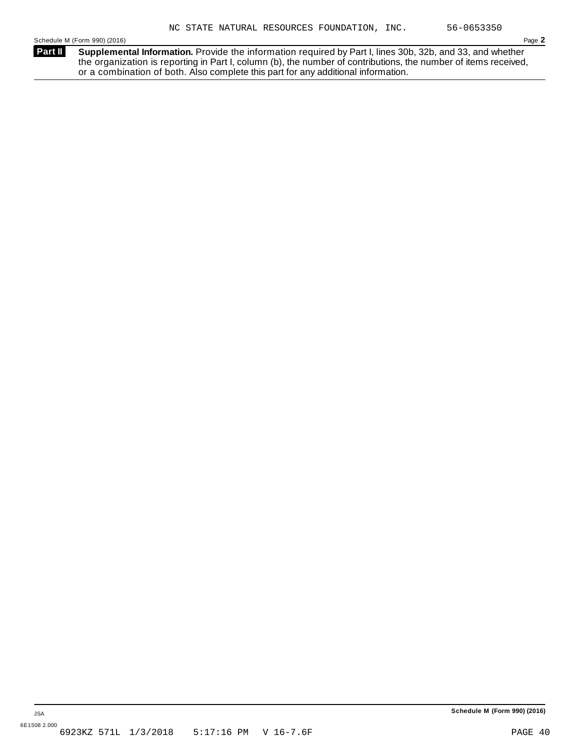**Supplemental Information.** Provide the information required by Part I, lines 30b, 32b, and 33, and whether the organization is reporting in Part I, column (b), the number of contributions, the number of items received, or a combination of both. Also complete this part for any additional information. **Part II**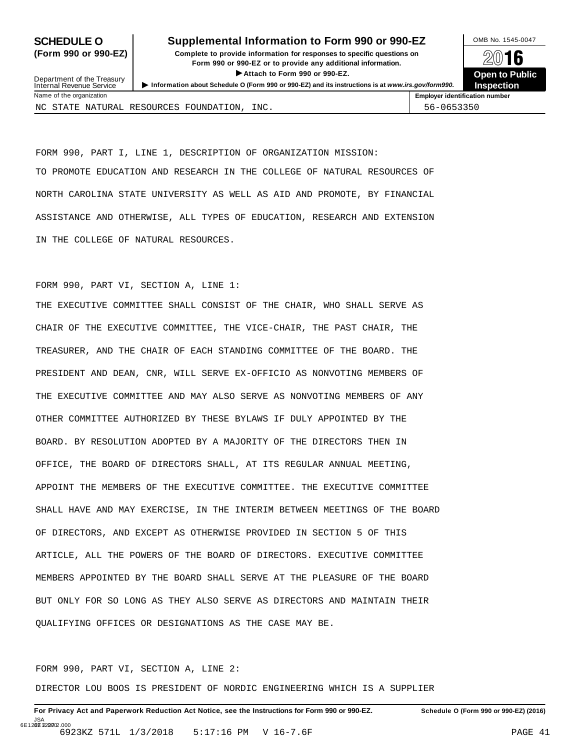### **SCHEDULE O** Supplemental Information to Form 990 or 990-EZ DMB No. 1545-0047

**(Form 990 or 990-EZ) Complete to provide information for responses to specific questions on** Form 990 or 990-EZ or to provide any additional information. I**Attach to Form <sup>990</sup> or 990-EZ. Open to Public**



| Department of the Treasury<br>Internal Revenue Service | <b>P</b> Attach to Form 990 or 990-EZ.<br>Information about Schedule O (Form 990 or 990-EZ) and its instructions is at www.irs.gov/form990. | <b>Open to Public</b><br><b>Inspection</b> |  |
|--------------------------------------------------------|---------------------------------------------------------------------------------------------------------------------------------------------|--------------------------------------------|--|
| Name of the organization                               |                                                                                                                                             | <b>Employer identification number</b>      |  |
|                                                        | NC STATE NATURAL RESOURCES FOUNDATION,<br>INC.                                                                                              | 56-0653350                                 |  |

FORM 990, PART I, LINE 1, DESCRIPTION OF ORGANIZATION MISSION: TO PROMOTE EDUCATION AND RESEARCH IN THE COLLEGE OF NATURAL RESOURCES OF NORTH CAROLINA STATE UNIVERSITY AS WELL AS AID AND PROMOTE, BY FINANCIAL ASSISTANCE AND OTHERWISE, ALL TYPES OF EDUCATION, RESEARCH AND EXTENSION IN THE COLLEGE OF NATURAL RESOURCES.

### FORM 990, PART VI, SECTION A, LINE 1:

THE EXECUTIVE COMMITTEE SHALL CONSIST OF THE CHAIR, WHO SHALL SERVE AS CHAIR OF THE EXECUTIVE COMMITTEE, THE VICE-CHAIR, THE PAST CHAIR, THE TREASURER, AND THE CHAIR OF EACH STANDING COMMITTEE OF THE BOARD. THE PRESIDENT AND DEAN, CNR, WILL SERVE EX-OFFICIO AS NONVOTING MEMBERS OF THE EXECUTIVE COMMITTEE AND MAY ALSO SERVE AS NONVOTING MEMBERS OF ANY OTHER COMMITTEE AUTHORIZED BY THESE BYLAWS IF DULY APPOINTED BY THE BOARD. BY RESOLUTION ADOPTED BY A MAJORITY OF THE DIRECTORS THEN IN OFFICE, THE BOARD OF DIRECTORS SHALL, AT ITS REGULAR ANNUAL MEETING, APPOINT THE MEMBERS OF THE EXECUTIVE COMMITTEE. THE EXECUTIVE COMMITTEE SHALL HAVE AND MAY EXERCISE, IN THE INTERIM BETWEEN MEETINGS OF THE BOARD OF DIRECTORS, AND EXCEPT AS OTHERWISE PROVIDED IN SECTION 5 OF THIS ARTICLE, ALL THE POWERS OF THE BOARD OF DIRECTORS. EXECUTIVE COMMITTEE MEMBERS APPOINTED BY THE BOARD SHALL SERVE AT THE PLEASURE OF THE BOARD BUT ONLY FOR SO LONG AS THEY ALSO SERVE AS DIRECTORS AND MAINTAIN THEIR QUALIFYING OFFICES OR DESIGNATIONS AS THE CASE MAY BE.

### FORM 990, PART VI, SECTION A, LINE 2:

DIRECTOR LOU BOOS IS PRESIDENT OF NORDIC ENGINEERING WHICH IS A SUPPLIER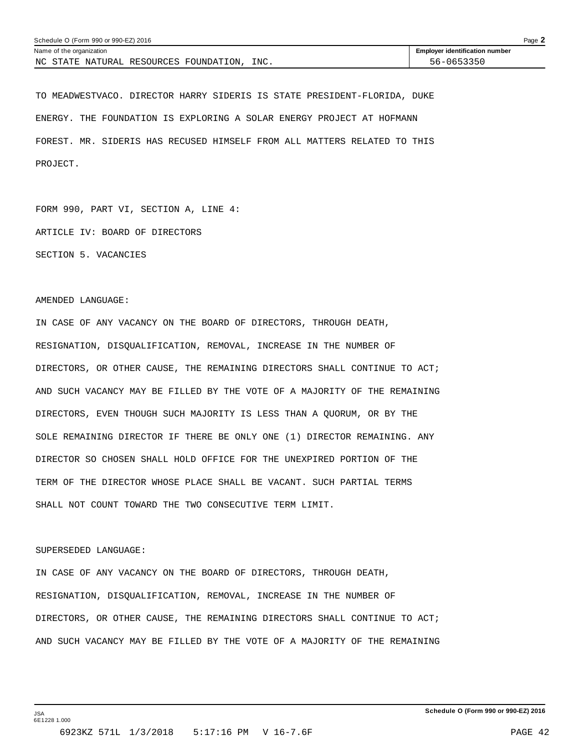| Schedule O (Form 990 or 990-EZ) 2016           |                                       |  |  |  |  |
|------------------------------------------------|---------------------------------------|--|--|--|--|
| Name of the organization                       | <b>Employer identification number</b> |  |  |  |  |
| NC STATE NATURAL RESOURCES FOUNDATION,<br>INC. | 56-0653350                            |  |  |  |  |

TO MEADWESTVACO. DIRECTOR HARRY SIDERIS IS STATE PRESIDENT-FLORIDA, DUKE ENERGY. THE FOUNDATION IS EXPLORING A SOLAR ENERGY PROJECT AT HOFMANN FOREST. MR. SIDERIS HAS RECUSED HIMSELF FROM ALL MATTERS RELATED TO THIS PROJECT.

FORM 990, PART VI, SECTION A, LINE 4: ARTICLE IV: BOARD OF DIRECTORS SECTION 5. VACANCIES

### AMENDED LANGUAGE:

IN CASE OF ANY VACANCY ON THE BOARD OF DIRECTORS, THROUGH DEATH, RESIGNATION, DISQUALIFICATION, REMOVAL, INCREASE IN THE NUMBER OF DIRECTORS, OR OTHER CAUSE, THE REMAINING DIRECTORS SHALL CONTINUE TO ACT; AND SUCH VACANCY MAY BE FILLED BY THE VOTE OF A MAJORITY OF THE REMAINING DIRECTORS, EVEN THOUGH SUCH MAJORITY IS LESS THAN A QUORUM, OR BY THE SOLE REMAINING DIRECTOR IF THERE BE ONLY ONE (1) DIRECTOR REMAINING. ANY DIRECTOR SO CHOSEN SHALL HOLD OFFICE FOR THE UNEXPIRED PORTION OF THE TERM OF THE DIRECTOR WHOSE PLACE SHALL BE VACANT. SUCH PARTIAL TERMS SHALL NOT COUNT TOWARD THE TWO CONSECUTIVE TERM LIMIT.

### SUPERSEDED LANGUAGE:

IN CASE OF ANY VACANCY ON THE BOARD OF DIRECTORS, THROUGH DEATH, RESIGNATION, DISQUALIFICATION, REMOVAL, INCREASE IN THE NUMBER OF DIRECTORS, OR OTHER CAUSE, THE REMAINING DIRECTORS SHALL CONTINUE TO ACT; AND SUCH VACANCY MAY BE FILLED BY THE VOTE OF A MAJORITY OF THE REMAINING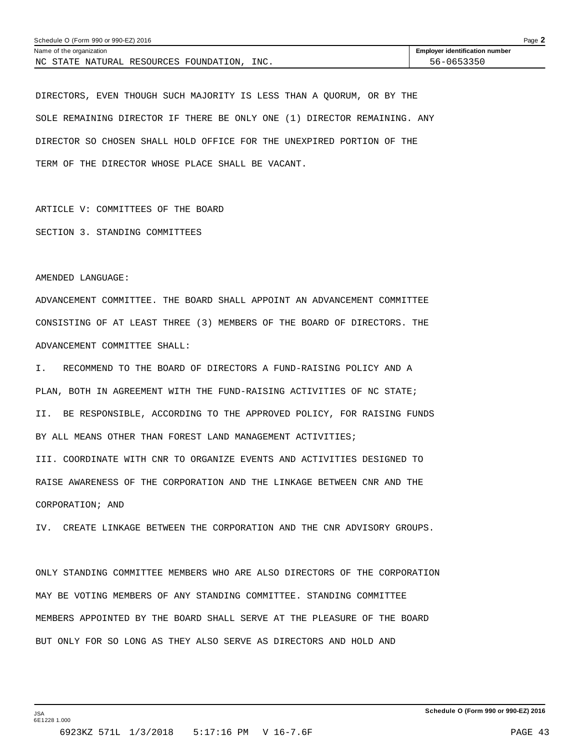| Schedule O (Form 990 or 990-EZ) 2016<br>Page $\blacktriangle$ |                                       |  |  |  |
|---------------------------------------------------------------|---------------------------------------|--|--|--|
| Name of the organization                                      | <b>Employer identification number</b> |  |  |  |
| INC.<br>NC STATE NATURAL RESOURCES FOUNDATION,                | 56-0653350                            |  |  |  |

DIRECTORS, EVEN THOUGH SUCH MAJORITY IS LESS THAN A QUORUM, OR BY THE SOLE REMAINING DIRECTOR IF THERE BE ONLY ONE (1) DIRECTOR REMAINING. ANY DIRECTOR SO CHOSEN SHALL HOLD OFFICE FOR THE UNEXPIRED PORTION OF THE TERM OF THE DIRECTOR WHOSE PLACE SHALL BE VACANT.

ARTICLE V: COMMITTEES OF THE BOARD

SECTION 3. STANDING COMMITTEES

### AMENDED LANGUAGE:

ADVANCEMENT COMMITTEE. THE BOARD SHALL APPOINT AN ADVANCEMENT COMMITTEE CONSISTING OF AT LEAST THREE (3) MEMBERS OF THE BOARD OF DIRECTORS. THE ADVANCEMENT COMMITTEE SHALL:

I. RECOMMEND TO THE BOARD OF DIRECTORS A FUND-RAISING POLICY AND A PLAN, BOTH IN AGREEMENT WITH THE FUND-RAISING ACTIVITIES OF NC STATE; II. BE RESPONSIBLE, ACCORDING TO THE APPROVED POLICY, FOR RAISING FUNDS BY ALL MEANS OTHER THAN FOREST LAND MANAGEMENT ACTIVITIES; III. COORDINATE WITH CNR TO ORGANIZE EVENTS AND ACTIVITIES DESIGNED TO RAISE AWARENESS OF THE CORPORATION AND THE LINKAGE BETWEEN CNR AND THE CORPORATION; AND

IV. CREATE LINKAGE BETWEEN THE CORPORATION AND THE CNR ADVISORY GROUPS.

ONLY STANDING COMMITTEE MEMBERS WHO ARE ALSO DIRECTORS OF THE CORPORATION MAY BE VOTING MEMBERS OF ANY STANDING COMMITTEE. STANDING COMMITTEE MEMBERS APPOINTED BY THE BOARD SHALL SERVE AT THE PLEASURE OF THE BOARD BUT ONLY FOR SO LONG AS THEY ALSO SERVE AS DIRECTORS AND HOLD AND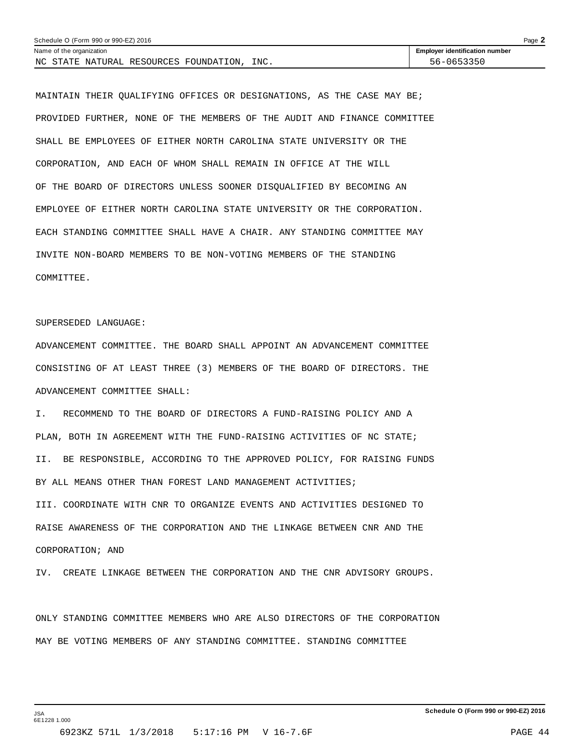| Schedule O (Form 990 or 990-EZ) 2016<br>Page $\angle$ |                                       |  |  |  |
|-------------------------------------------------------|---------------------------------------|--|--|--|
| Name of the organization                              | <b>Employer identification number</b> |  |  |  |
| NC STATE NATURAL RESOURCES FOUNDATION.<br>INC.        | 56-0653350                            |  |  |  |

MAINTAIN THEIR QUALIFYING OFFICES OR DESIGNATIONS, AS THE CASE MAY BE; PROVIDED FURTHER, NONE OF THE MEMBERS OF THE AUDIT AND FINANCE COMMITTEE SHALL BE EMPLOYEES OF EITHER NORTH CAROLINA STATE UNIVERSITY OR THE CORPORATION, AND EACH OF WHOM SHALL REMAIN IN OFFICE AT THE WILL OF THE BOARD OF DIRECTORS UNLESS SOONER DISQUALIFIED BY BECOMING AN EMPLOYEE OF EITHER NORTH CAROLINA STATE UNIVERSITY OR THE CORPORATION. EACH STANDING COMMITTEE SHALL HAVE A CHAIR. ANY STANDING COMMITTEE MAY INVITE NON-BOARD MEMBERS TO BE NON-VOTING MEMBERS OF THE STANDING COMMITTEE.

### SUPERSEDED LANGUAGE:

ADVANCEMENT COMMITTEE. THE BOARD SHALL APPOINT AN ADVANCEMENT COMMITTEE CONSISTING OF AT LEAST THREE (3) MEMBERS OF THE BOARD OF DIRECTORS. THE ADVANCEMENT COMMITTEE SHALL:

I. RECOMMEND TO THE BOARD OF DIRECTORS A FUND-RAISING POLICY AND A PLAN, BOTH IN AGREEMENT WITH THE FUND-RAISING ACTIVITIES OF NC STATE; II. BE RESPONSIBLE, ACCORDING TO THE APPROVED POLICY, FOR RAISING FUNDS BY ALL MEANS OTHER THAN FOREST LAND MANAGEMENT ACTIVITIES; III. COORDINATE WITH CNR TO ORGANIZE EVENTS AND ACTIVITIES DESIGNED TO RAISE AWARENESS OF THE CORPORATION AND THE LINKAGE BETWEEN CNR AND THE CORPORATION; AND

IV. CREATE LINKAGE BETWEEN THE CORPORATION AND THE CNR ADVISORY GROUPS.

ONLY STANDING COMMITTEE MEMBERS WHO ARE ALSO DIRECTORS OF THE CORPORATION MAY BE VOTING MEMBERS OF ANY STANDING COMMITTEE. STANDING COMMITTEE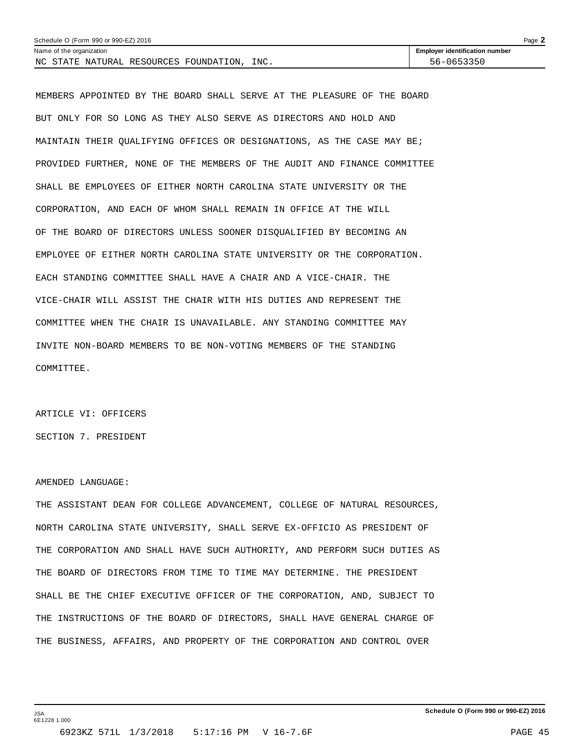| Schedule O (Form 990 or 990-EZ) 2016<br>Page $\blacktriangle$ |                                       |  |  |  |  |
|---------------------------------------------------------------|---------------------------------------|--|--|--|--|
| Name of the organization                                      | <b>Employer identification number</b> |  |  |  |  |
| INC.<br>NC STATE NATURAL RESOURCES FOUNDATION.                | 56-0653350                            |  |  |  |  |

MEMBERS APPOINTED BY THE BOARD SHALL SERVE AT THE PLEASURE OF THE BOARD BUT ONLY FOR SO LONG AS THEY ALSO SERVE AS DIRECTORS AND HOLD AND MAINTAIN THEIR QUALIFYING OFFICES OR DESIGNATIONS, AS THE CASE MAY BE; PROVIDED FURTHER, NONE OF THE MEMBERS OF THE AUDIT AND FINANCE COMMITTEE SHALL BE EMPLOYEES OF EITHER NORTH CAROLINA STATE UNIVERSITY OR THE CORPORATION, AND EACH OF WHOM SHALL REMAIN IN OFFICE AT THE WILL OF THE BOARD OF DIRECTORS UNLESS SOONER DISQUALIFIED BY BECOMING AN EMPLOYEE OF EITHER NORTH CAROLINA STATE UNIVERSITY OR THE CORPORATION. EACH STANDING COMMITTEE SHALL HAVE A CHAIR AND A VICE-CHAIR. THE VICE-CHAIR WILL ASSIST THE CHAIR WITH HIS DUTIES AND REPRESENT THE COMMITTEE WHEN THE CHAIR IS UNAVAILABLE. ANY STANDING COMMITTEE MAY INVITE NON-BOARD MEMBERS TO BE NON-VOTING MEMBERS OF THE STANDING COMMITTEE.

ARTICLE VI: OFFICERS

SECTION 7. PRESIDENT

### AMENDED LANGUAGE:

THE ASSISTANT DEAN FOR COLLEGE ADVANCEMENT, COLLEGE OF NATURAL RESOURCES, NORTH CAROLINA STATE UNIVERSITY, SHALL SERVE EX-OFFICIO AS PRESIDENT OF THE CORPORATION AND SHALL HAVE SUCH AUTHORITY, AND PERFORM SUCH DUTIES AS THE BOARD OF DIRECTORS FROM TIME TO TIME MAY DETERMINE. THE PRESIDENT SHALL BE THE CHIEF EXECUTIVE OFFICER OF THE CORPORATION, AND, SUBJECT TO THE INSTRUCTIONS OF THE BOARD OF DIRECTORS, SHALL HAVE GENERAL CHARGE OF THE BUSINESS, AFFAIRS, AND PROPERTY OF THE CORPORATION AND CONTROL OVER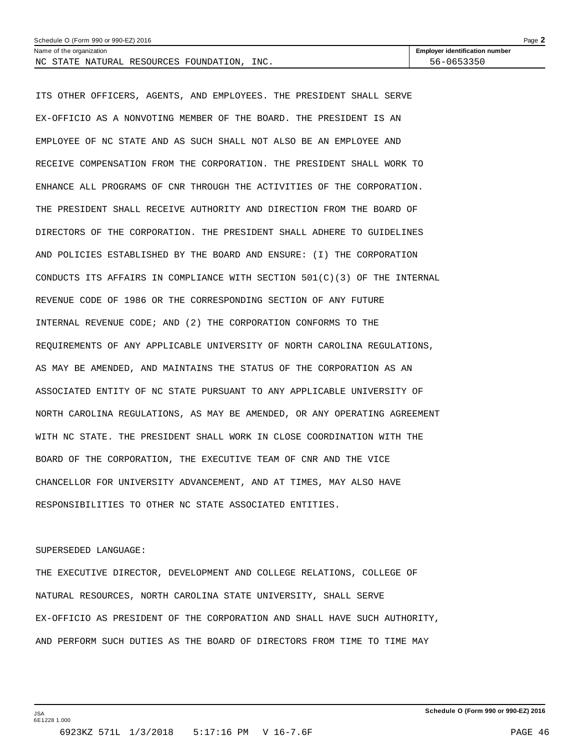| Schedule O (Form 990 or 990-EZ) 2016<br>Page $\blacktriangle$ |                                       |  |  |  |
|---------------------------------------------------------------|---------------------------------------|--|--|--|
| Name of the organization                                      | <b>Employer identification number</b> |  |  |  |
| NC STATE NATURAL RESOURCES FOUNDATION.<br>INC.                | 56-0653350                            |  |  |  |

ITS OTHER OFFICERS, AGENTS, AND EMPLOYEES. THE PRESIDENT SHALL SERVE EX-OFFICIO AS A NONVOTING MEMBER OF THE BOARD. THE PRESIDENT IS AN EMPLOYEE OF NC STATE AND AS SUCH SHALL NOT ALSO BE AN EMPLOYEE AND RECEIVE COMPENSATION FROM THE CORPORATION. THE PRESIDENT SHALL WORK TO ENHANCE ALL PROGRAMS OF CNR THROUGH THE ACTIVITIES OF THE CORPORATION. THE PRESIDENT SHALL RECEIVE AUTHORITY AND DIRECTION FROM THE BOARD OF DIRECTORS OF THE CORPORATION. THE PRESIDENT SHALL ADHERE TO GUIDELINES AND POLICIES ESTABLISHED BY THE BOARD AND ENSURE: (I) THE CORPORATION CONDUCTS ITS AFFAIRS IN COMPLIANCE WITH SECTION 501(C)(3) OF THE INTERNAL REVENUE CODE OF 1986 OR THE CORRESPONDING SECTION OF ANY FUTURE INTERNAL REVENUE CODE; AND (2) THE CORPORATION CONFORMS TO THE REQUIREMENTS OF ANY APPLICABLE UNIVERSITY OF NORTH CAROLINA REGULATIONS, AS MAY BE AMENDED, AND MAINTAINS THE STATUS OF THE CORPORATION AS AN ASSOCIATED ENTITY OF NC STATE PURSUANT TO ANY APPLICABLE UNIVERSITY OF NORTH CAROLINA REGULATIONS, AS MAY BE AMENDED, OR ANY OPERATING AGREEMENT WITH NC STATE. THE PRESIDENT SHALL WORK IN CLOSE COORDINATION WITH THE BOARD OF THE CORPORATION, THE EXECUTIVE TEAM OF CNR AND THE VICE CHANCELLOR FOR UNIVERSITY ADVANCEMENT, AND AT TIMES, MAY ALSO HAVE RESPONSIBILITIES TO OTHER NC STATE ASSOCIATED ENTITIES.

### SUPERSEDED LANGUAGE:

THE EXECUTIVE DIRECTOR, DEVELOPMENT AND COLLEGE RELATIONS, COLLEGE OF NATURAL RESOURCES, NORTH CAROLINA STATE UNIVERSITY, SHALL SERVE EX-OFFICIO AS PRESIDENT OF THE CORPORATION AND SHALL HAVE SUCH AUTHORITY, AND PERFORM SUCH DUTIES AS THE BOARD OF DIRECTORS FROM TIME TO TIME MAY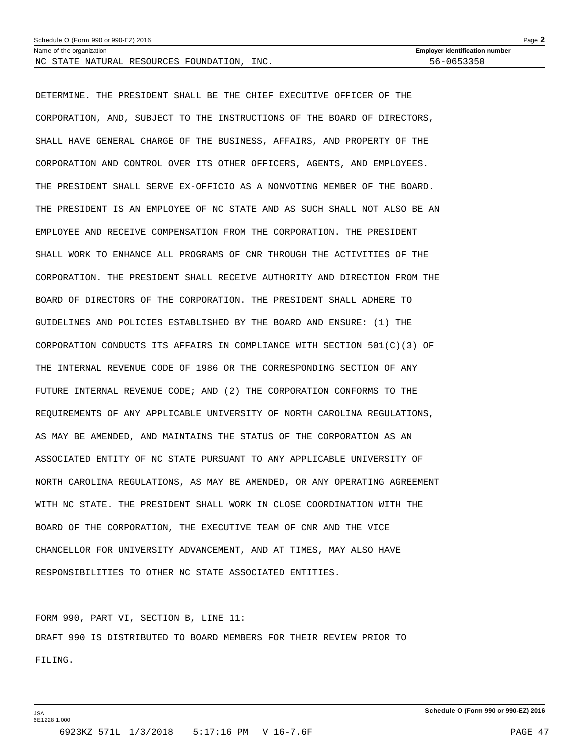| Schedule O (Form 990 or 990-EZ) 2016<br>Page $\angle$ |                                       |  |  |  |
|-------------------------------------------------------|---------------------------------------|--|--|--|
| Name of the organization                              | <b>Employer identification number</b> |  |  |  |
| NC STATE NATURAL RESOURCES FOUNDATION, INC.           | 56-0653350                            |  |  |  |

DETERMINE. THE PRESIDENT SHALL BE THE CHIEF EXECUTIVE OFFICER OF THE CORPORATION, AND, SUBJECT TO THE INSTRUCTIONS OF THE BOARD OF DIRECTORS, SHALL HAVE GENERAL CHARGE OF THE BUSINESS, AFFAIRS, AND PROPERTY OF THE CORPORATION AND CONTROL OVER ITS OTHER OFFICERS, AGENTS, AND EMPLOYEES. THE PRESIDENT SHALL SERVE EX-OFFICIO AS A NONVOTING MEMBER OF THE BOARD. THE PRESIDENT IS AN EMPLOYEE OF NC STATE AND AS SUCH SHALL NOT ALSO BE AN EMPLOYEE AND RECEIVE COMPENSATION FROM THE CORPORATION. THE PRESIDENT SHALL WORK TO ENHANCE ALL PROGRAMS OF CNR THROUGH THE ACTIVITIES OF THE CORPORATION. THE PRESIDENT SHALL RECEIVE AUTHORITY AND DIRECTION FROM THE BOARD OF DIRECTORS OF THE CORPORATION. THE PRESIDENT SHALL ADHERE TO GUIDELINES AND POLICIES ESTABLISHED BY THE BOARD AND ENSURE: (1) THE CORPORATION CONDUCTS ITS AFFAIRS IN COMPLIANCE WITH SECTION 501(C)(3) OF THE INTERNAL REVENUE CODE OF 1986 OR THE CORRESPONDING SECTION OF ANY FUTURE INTERNAL REVENUE CODE; AND (2) THE CORPORATION CONFORMS TO THE REQUIREMENTS OF ANY APPLICABLE UNIVERSITY OF NORTH CAROLINA REGULATIONS, AS MAY BE AMENDED, AND MAINTAINS THE STATUS OF THE CORPORATION AS AN ASSOCIATED ENTITY OF NC STATE PURSUANT TO ANY APPLICABLE UNIVERSITY OF NORTH CAROLINA REGULATIONS, AS MAY BE AMENDED, OR ANY OPERATING AGREEMENT WITH NC STATE. THE PRESIDENT SHALL WORK IN CLOSE COORDINATION WITH THE BOARD OF THE CORPORATION, THE EXECUTIVE TEAM OF CNR AND THE VICE CHANCELLOR FOR UNIVERSITY ADVANCEMENT, AND AT TIMES, MAY ALSO HAVE RESPONSIBILITIES TO OTHER NC STATE ASSOCIATED ENTITIES.

FORM 990, PART VI, SECTION B, LINE 11: DRAFT 990 IS DISTRIBUTED TO BOARD MEMBERS FOR THEIR REVIEW PRIOR TO FILING.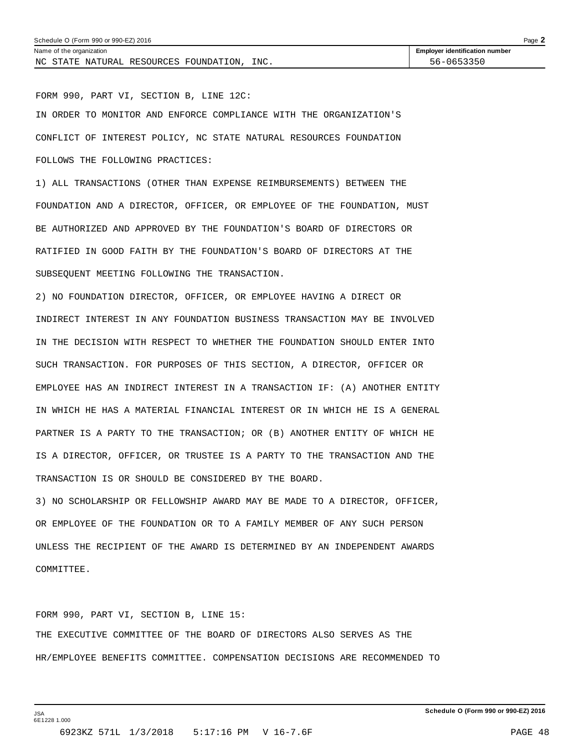| Schedule O (Form 990 or 990-EZ) 2016 |                          |  |  |                                        | Page $\angle$ |                                       |  |
|--------------------------------------|--------------------------|--|--|----------------------------------------|---------------|---------------------------------------|--|
|                                      | Name of the organization |  |  |                                        |               | <b>Employer identification number</b> |  |
|                                      |                          |  |  | NC STATE NATURAL RESOURCES FOUNDATION, | INC.          | 56-0653350                            |  |

FORM 990, PART VI, SECTION B, LINE 12C: IN ORDER TO MONITOR AND ENFORCE COMPLIANCE WITH THE ORGANIZATION'S CONFLICT OF INTEREST POLICY, NC STATE NATURAL RESOURCES FOUNDATION FOLLOWS THE FOLLOWING PRACTICES:

1) ALL TRANSACTIONS (OTHER THAN EXPENSE REIMBURSEMENTS) BETWEEN THE FOUNDATION AND A DIRECTOR, OFFICER, OR EMPLOYEE OF THE FOUNDATION, MUST BE AUTHORIZED AND APPROVED BY THE FOUNDATION'S BOARD OF DIRECTORS OR RATIFIED IN GOOD FAITH BY THE FOUNDATION'S BOARD OF DIRECTORS AT THE SUBSEQUENT MEETING FOLLOWING THE TRANSACTION.

2) NO FOUNDATION DIRECTOR, OFFICER, OR EMPLOYEE HAVING A DIRECT OR INDIRECT INTEREST IN ANY FOUNDATION BUSINESS TRANSACTION MAY BE INVOLVED IN THE DECISION WITH RESPECT TO WHETHER THE FOUNDATION SHOULD ENTER INTO SUCH TRANSACTION. FOR PURPOSES OF THIS SECTION, A DIRECTOR, OFFICER OR EMPLOYEE HAS AN INDIRECT INTEREST IN A TRANSACTION IF: (A) ANOTHER ENTITY IN WHICH HE HAS A MATERIAL FINANCIAL INTEREST OR IN WHICH HE IS A GENERAL PARTNER IS A PARTY TO THE TRANSACTION; OR (B) ANOTHER ENTITY OF WHICH HE IS A DIRECTOR, OFFICER, OR TRUSTEE IS A PARTY TO THE TRANSACTION AND THE TRANSACTION IS OR SHOULD BE CONSIDERED BY THE BOARD.

3) NO SCHOLARSHIP OR FELLOWSHIP AWARD MAY BE MADE TO A DIRECTOR, OFFICER, OR EMPLOYEE OF THE FOUNDATION OR TO A FAMILY MEMBER OF ANY SUCH PERSON UNLESS THE RECIPIENT OF THE AWARD IS DETERMINED BY AN INDEPENDENT AWARDS COMMITTEE.

FORM 990, PART VI, SECTION B, LINE 15: THE EXECUTIVE COMMITTEE OF THE BOARD OF DIRECTORS ALSO SERVES AS THE HR/EMPLOYEE BENEFITS COMMITTEE. COMPENSATION DECISIONS ARE RECOMMENDED TO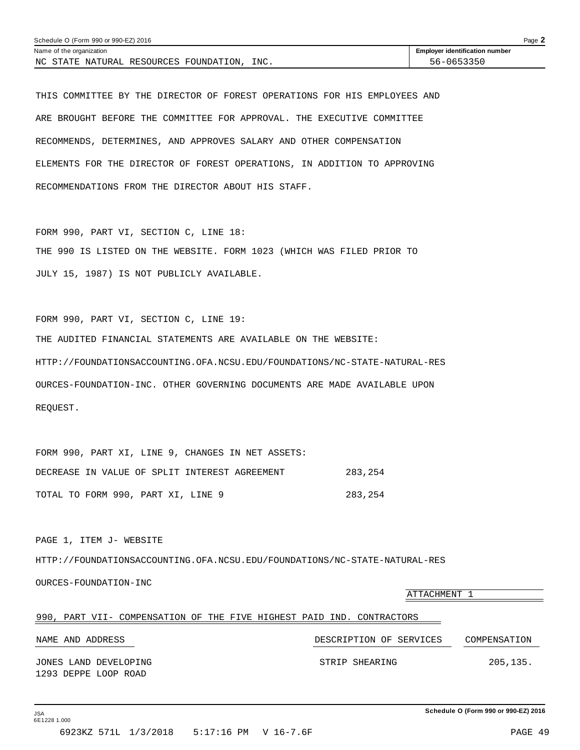<span id="page-49-0"></span>

| Schedule O (Form 990 or 990-EZ) 2016<br>Page $\blacktriangle$ |                                       |  |  |  |
|---------------------------------------------------------------|---------------------------------------|--|--|--|
| Name of the organization                                      | <b>Employer identification number</b> |  |  |  |
| INC.<br>NC STATE NATURAL RESOURCES FOUNDATION,                | 56-0653350                            |  |  |  |

THIS COMMITTEE BY THE DIRECTOR OF FOREST OPERATIONS FOR HIS EMPLOYEES AND ARE BROUGHT BEFORE THE COMMITTEE FOR APPROVAL. THE EXECUTIVE COMMITTEE RECOMMENDS, DETERMINES, AND APPROVES SALARY AND OTHER COMPENSATION ELEMENTS FOR THE DIRECTOR OF FOREST OPERATIONS, IN ADDITION TO APPROVING RECOMMENDATIONS FROM THE DIRECTOR ABOUT HIS STAFF.

FORM 990, PART VI, SECTION C, LINE 18: THE 990 IS LISTED ON THE WEBSITE. FORM 1023 (WHICH WAS FILED PRIOR TO JULY 15, 1987) IS NOT PUBLICLY AVAILABLE.

FORM 990, PART VI, SECTION C, LINE 19: THE AUDITED FINANCIAL STATEMENTS ARE AVAILABLE ON THE WEBSITE: HTTP://FOUNDATIONSACCOUNTING.OFA.NCSU.EDU/FOUNDATIONS/NC-STATE-NATURAL-RES OURCES-FOUNDATION-INC. OTHER GOVERNING DOCUMENTS ARE MADE AVAILABLE UPON REQUEST.

FORM 990, PART XI, LINE 9, CHANGES IN NET ASSETS: DECREASE IN VALUE OF SPLIT INTEREST AGREEMENT 283,254 TOTAL TO FORM 990, PART XI, LINE 9 283,254

PAGE 1, ITEM J- WEBSITE HTTP://FOUNDATIONSACCOUNTING.OFA.NCSU.EDU/FOUNDATIONS/NC-STATE-NATURAL-RES OURCES-FOUNDATION-INC ATTACHMENT 1

| 990, PART VII- COMPENSATION OF THE FIVE HIGHEST PAID IND. CONTRACTORS |                         |              |
|-----------------------------------------------------------------------|-------------------------|--------------|
| NAME AND ADDRESS                                                      | DESCRIPTION OF SERVICES | COMPENSATION |
| JONES LAND DEVELOPING<br>1293 DEPPE LOOP ROAD                         | STRIP SHEARING          | 205,135.     |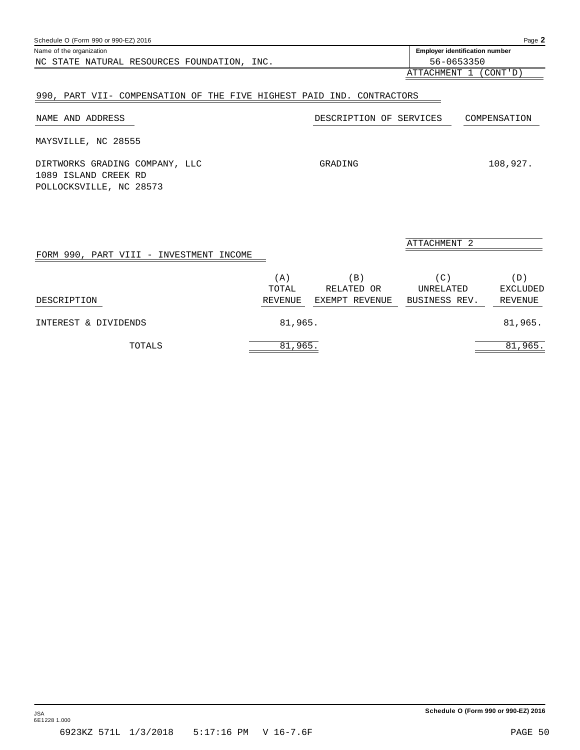<span id="page-50-0"></span>

| Schedule O (Form 990 or 990-EZ) 2016 |  |  |                                             |  |  |  |  |  |                                                                       | Page 2     |                                       |  |
|--------------------------------------|--|--|---------------------------------------------|--|--|--|--|--|-----------------------------------------------------------------------|------------|---------------------------------------|--|
| Name of the organization             |  |  |                                             |  |  |  |  |  |                                                                       |            | <b>Employer identification number</b> |  |
|                                      |  |  | NC STATE NATURAL RESOURCES FOUNDATION, INC. |  |  |  |  |  |                                                                       | 56-0653350 |                                       |  |
|                                      |  |  |                                             |  |  |  |  |  |                                                                       |            | ATTACHMENT 1 (CONT'D)                 |  |
|                                      |  |  |                                             |  |  |  |  |  | 990, PART VII- COMPENSATION OF THE FIVE HIGHEST PAID IND. CONTRACTORS |            |                                       |  |

| NAME AND ADDRESS               | DESCRIPTION OF SERVICES | COMPENSATION |
|--------------------------------|-------------------------|--------------|
| MAYSVILLE, NC 28555            |                         |              |
| DIRTWORKS GRADING COMPANY, LLC | GRADING                 | 108,927.     |
| 1089 ISLAND CREEK RD           |                         |              |
| POLLOCKSVILLE, NC 28573        |                         |              |

|                                         |              |                   | ATTACHMENT 2     |                        |
|-----------------------------------------|--------------|-------------------|------------------|------------------------|
| FORM 990, PART VIII - INVESTMENT INCOME |              |                   |                  |                        |
|                                         | (A)<br>TOTAL | (B)<br>RELATED OR | (C)<br>UNRELATED | (D)<br><b>EXCLUDED</b> |
| DESCRIPTION                             | REVENUE      | EXEMPT REVENUE    | BUSINESS REV.    | REVENUE                |
| INTEREST & DIVIDENDS                    | 81,965.      |                   |                  | 81,965.                |
| TOTALS                                  | 81,965.      |                   |                  | 81,965.                |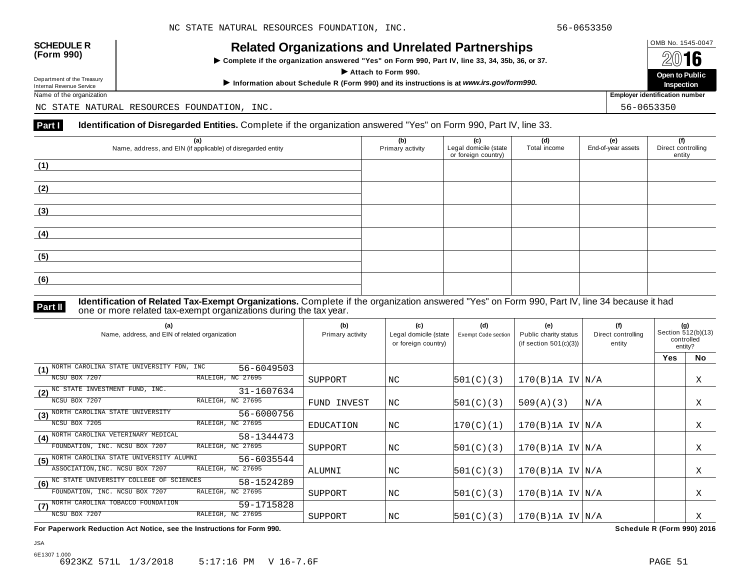## OMB No. 1545-0047 **SCHEDULE R (Form 990) Related Organizations and Unrelated Partnerships**

 $\triangleright$  Complete if the organization answered "Yes" on Form 990, Part IV, line 33, 34, 35b, 36, or 37.  $\overline{A}$  **CONTRES** on Form 990, Part IV, line 33, 34, 35b, 36, or 37.

Department of the Treasury<br>
Department of the Treasury Depart to Fublic<br>
Inspection<br>
Name of the organization<br>
Name of the organization

Department of the Treasury

NC STATE NATURAL RESOURCES FOUNDATION, INC. SALL AND SERVICE SERVICES AND LOCAL SERVICES SERVICES SERVICES SERVICES SERVICES SERVICES SERVICES SERVICES SERVICES SERVICES SERVICES SERVICES SERVICES SERVICES SERVICES SERVICE

## **Part I** Identification of Disregarded Entities. Complete if the organization answered "Yes" on Form 990, Part IV, line 33.

| (a)<br>Name, address, and EIN (if applicable) of disregarded entity | (b)<br>Primary activity | (c)<br>Legal domicile (state<br>or foreign country) | (d)<br>Total income | (e)<br>End-of-year assets | (f)<br>Direct controlling<br>entity |
|---------------------------------------------------------------------|-------------------------|-----------------------------------------------------|---------------------|---------------------------|-------------------------------------|
| (1)                                                                 |                         |                                                     |                     |                           |                                     |
| (2)                                                                 |                         |                                                     |                     |                           |                                     |
| (3)                                                                 |                         |                                                     |                     |                           |                                     |
| (4)                                                                 |                         |                                                     |                     |                           |                                     |
| (5)                                                                 |                         |                                                     |                     |                           |                                     |
| (6)                                                                 |                         |                                                     |                     |                           |                                     |

**Identification of Related Tax-Exempt Organizations.** Complete if the organization answered "Yes" on Form 990, Part IV, line 34 because it had **Part II** one or more related tax-exempt organizations during the tax year.

| (a)<br>Name, address, and EIN of related organization         | (b)<br>Primary activity | (c)<br>Legal domicile (state<br>or foreign country) | (d)<br><b>Exempt Code section</b> | (e)<br>Public charity status<br>(if section $501(c)(3)$ ) | (f)<br>Direct controlling<br>entity | (g)<br>Section 512(b)(13)<br>controlled<br>entity? |           |
|---------------------------------------------------------------|-------------------------|-----------------------------------------------------|-----------------------------------|-----------------------------------------------------------|-------------------------------------|----------------------------------------------------|-----------|
|                                                               |                         |                                                     |                                   |                                                           |                                     | Yes                                                | <b>No</b> |
| NORTH CAROLINA STATE UNIVERSITY FDN, INC<br>56-6049503<br>(1) |                         |                                                     |                                   |                                                           |                                     |                                                    |           |
| NCSU BOX 7207<br>RALEIGH, NC 27695                            | SUPPORT                 | ΝC                                                  | 501(C)(3)                         | $170(B)$ 1A IV $ N/A$                                     |                                     |                                                    | Χ         |
| (2) <sup>NC</sup> STATE INVESTMENT FUND, INC.<br>31-1607634   |                         |                                                     |                                   |                                                           |                                     |                                                    |           |
| RALEIGH, NC 27695<br>NCSU BOX 7207                            | FUND INVEST             | NC                                                  | 501(C)(3)                         | 509(A)(3)                                                 | N/A                                 |                                                    | Χ         |
| NORTH CAROLINA STATE UNIVERSITY<br>56-6000756<br>(3)          |                         |                                                     |                                   |                                                           |                                     |                                                    |           |
| RALEIGH, NC 27695<br>NCSU BOX 7205                            | EDUCATION               | NC                                                  | 170(C)(1)                         | $170(B)$ 1A IV $N/A$                                      |                                     |                                                    | X         |
| NORTH CAROLINA VETERINARY MEDICAL<br>58-1344473<br>(4)        |                         |                                                     |                                   |                                                           |                                     |                                                    |           |
| RALEIGH, NC 27695<br>FOUNDATION, INC. NCSU BOX 7207           | SUPPORT                 | NC                                                  | 501(C)(3)                         | $170(B)$ 1A IV $N/A$                                      |                                     |                                                    | Χ         |
| NORTH CAROLINA STATE UNIVERSITY ALUMNI<br>56-6035544<br>(5)   |                         |                                                     |                                   |                                                           |                                     |                                                    |           |
| ASSOCIATION, INC. NCSU BOX 7207<br>RALEIGH, NC 27695          | ALUMNI                  | ΝC                                                  | 501(C)(3)                         | $170(B)$ 1A IV $N/A$                                      |                                     |                                                    | X         |
| (6) NC STATE UNIVERSITY COLLEGE OF SCIENCES<br>58-1524289     |                         |                                                     |                                   |                                                           |                                     |                                                    |           |
| RALEIGH, NC 27695<br>FOUNDATION, INC. NCSU BOX 7207           | SUPPORT                 | NC                                                  | 501(C)(3)                         | $170(B)$ 1A IV $N/A$                                      |                                     |                                                    | Χ         |
| NORTH CAROLINA TOBACCO FOUNDATION<br>59-1715828<br>(7)        |                         |                                                     |                                   |                                                           |                                     |                                                    |           |
| RALEIGH, NC 27695<br>NCSU BOX 7207                            | SUPPORT                 | NC                                                  | 501(C)(3)                         | $170(B)$ 1A IV $ N/A$                                     |                                     |                                                    | Χ         |

**For Paperwork Reduction Act Notice, see the Instructions for Form 990. Schedule R (Form 990) 2016**

**Inspection**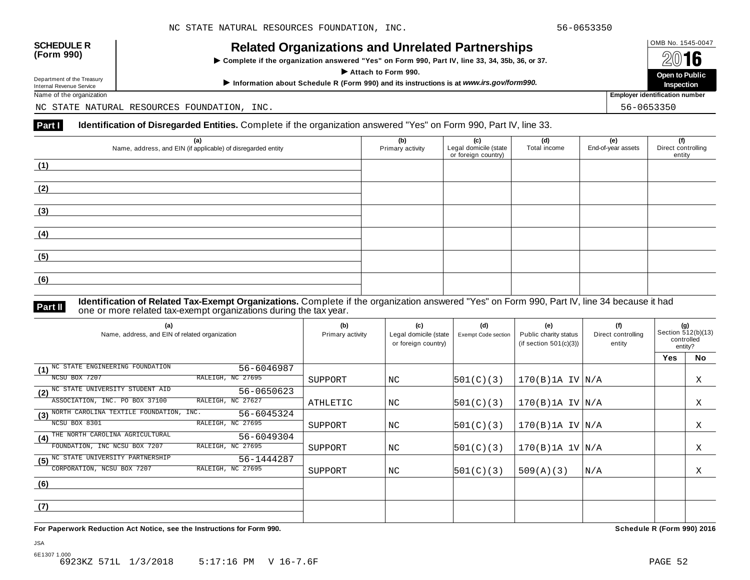## OMB No. 1545-0047 **SCHEDULE R (Form 990) Related Organizations and Unrelated Partnerships**

 $\triangleright$  Complete if the organization answered "Yes" on Form 990, Part IV, line 33, 34, 35b, 36, or 37.

 $\overline{A}$  **CONTRES** on Form 990, Part IV, line 33, 34, 35b, 36, or 37. **Inspection** Department of the Treasury<br>
Department of the Treasury Depart to Fublic<br>
Inspection<br>
Name of the organization<br>
Name of the organization

Department of the Treasury

NC STATE NATURAL RESOURCES FOUNDATION, INC. SALL AND SERVICE SERVICES AND LOCAL SERVICES SERVICES SERVICES SERVICES SERVICES SERVICES SERVICES SERVICES SERVICES SERVICES SERVICES SERVICES SERVICES SERVICES SERVICES SERVICE

## **Part I** Identification of Disregarded Entities. Complete if the organization answered "Yes" on Form 990, Part IV, line 33.

| (a)<br>Name, address, and EIN (if applicable) of disregarded entity | (b)<br>Primary activity | (c)<br>Legal domicile (state<br>or foreign country) | (d)<br>Total income | (e)<br>End-of-year assets | (f)<br>Direct controlling<br>entity |
|---------------------------------------------------------------------|-------------------------|-----------------------------------------------------|---------------------|---------------------------|-------------------------------------|
| (1)                                                                 |                         |                                                     |                     |                           |                                     |
| (2)                                                                 |                         |                                                     |                     |                           |                                     |
| (3)                                                                 |                         |                                                     |                     |                           |                                     |
| (4)                                                                 |                         |                                                     |                     |                           |                                     |
| (5)                                                                 |                         |                                                     |                     |                           |                                     |
| (6)                                                                 |                         |                                                     |                     |                           |                                     |

**Identification of Related Tax-Exempt Organizations.** Complete if the organization answered "Yes" on Form 990, Part IV, line 34 because it had **Part II** one or more related tax-exempt organizations during the tax year.

| (a)<br>Name, address, and EIN of related organization        | (b)<br>Primary activity | (c)<br>Legal domicile (state<br>or foreign country) | (d)<br><b>Exempt Code section</b> | (e)<br>Public charity status<br>(if section $501(c)(3)$ ) | (f)<br>Direct controlling<br>entity | (g)<br>Section 512(b)(13)<br>controlled<br>entity? |    |
|--------------------------------------------------------------|-------------------------|-----------------------------------------------------|-----------------------------------|-----------------------------------------------------------|-------------------------------------|----------------------------------------------------|----|
|                                                              |                         |                                                     |                                   |                                                           |                                     | <b>Yes</b>                                         | No |
| NC STATE ENGINEERING FOUNDATION<br>$56 - 6046987$<br>(1)     |                         |                                                     |                                   |                                                           |                                     |                                                    |    |
| RALEIGH, NC 27695<br>NCSU BOX 7207                           | SUPPORT                 | NC                                                  | 501(C)(3)                         | $170(B)$ 1A IV $N/A$                                      |                                     |                                                    | Χ  |
| NC STATE UNIVERSITY STUDENT AID<br>56-0650623<br>(2)         |                         |                                                     |                                   |                                                           |                                     |                                                    |    |
| RALEIGH, NC 27627<br>ASSOCIATION, INC. PO BOX 37100          | ATHLETIC                | NC.                                                 | 501(C)(3)                         | $170(B)$ 1A IV $N/A$                                      |                                     |                                                    | X  |
| NORTH CAROLINA TEXTILE FOUNDATION, INC.<br>56-6045324<br>(3) |                         |                                                     |                                   |                                                           |                                     |                                                    |    |
| NCSU BOX 8301<br>RALEIGH, NC 27695                           | SUPPORT                 | NC                                                  | 501(C)(3)                         | $170(B)$ 1A IV $ N/A$                                     |                                     |                                                    | Χ  |
| THE NORTH CAROLINA AGRICULTURAL<br>56-6049304<br>(4)         |                         |                                                     |                                   |                                                           |                                     |                                                    |    |
| RALEIGH, NC 27695<br>FOUNDATION, INC NCSU BOX 7207           | SUPPORT                 | NC                                                  | 501(C)(3)                         | $170(B)$ 1A $1V$ $N/A$                                    |                                     |                                                    | Χ  |
| (5) NC STATE UNIVERSITY PARTNERSHIP<br>56-1444287            |                         |                                                     |                                   |                                                           |                                     |                                                    |    |
| RALEIGH, NC 27695<br>CORPORATION, NCSU BOX 7207              | SUPPORT                 | NC.                                                 | 501(C)(3)                         | 509(A)(3)                                                 | N/A                                 |                                                    | Χ  |
| (6)                                                          |                         |                                                     |                                   |                                                           |                                     |                                                    |    |
|                                                              |                         |                                                     |                                   |                                                           |                                     |                                                    |    |
| (7)                                                          |                         |                                                     |                                   |                                                           |                                     |                                                    |    |
|                                                              |                         |                                                     |                                   |                                                           |                                     |                                                    |    |

**For Paperwork Reduction Act Notice, see the Instructions for Form 990. Schedule R (Form 990) 2016**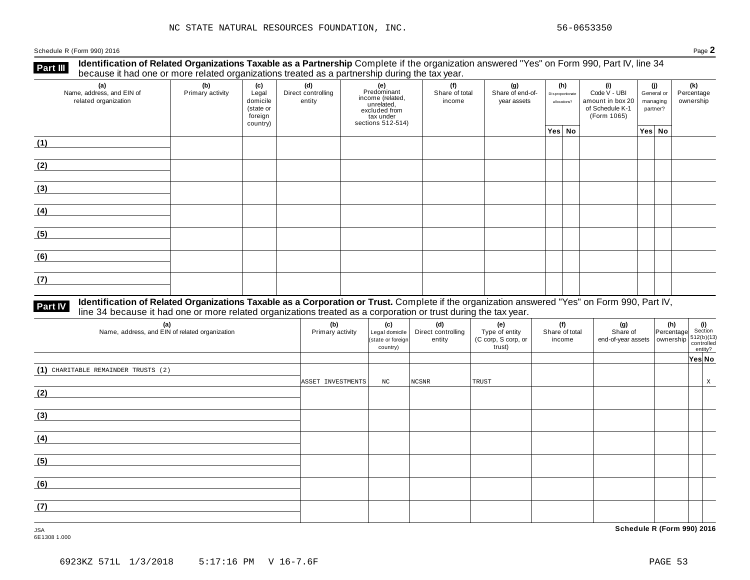Schedule <sup>R</sup> (Form 990) <sup>2016</sup> Page **2**

**Identification of Related Organizations Taxable as a Partnership** Complete if the organization answered "Yes" on Form 990, Part IV, line 34 **because it had one or more related organizations Taxable as a Partnership** Complete in the organization of the tax year.

| booddoo it nad ono or moro rolatod organizationo trodtod do a partnoromp danny tho tax your. |                         |                                                              |                                     |                                                                                                         |                                 |                                        |        |  |                                                                                                                      |            |                                           |                                |
|----------------------------------------------------------------------------------------------|-------------------------|--------------------------------------------------------------|-------------------------------------|---------------------------------------------------------------------------------------------------------|---------------------------------|----------------------------------------|--------|--|----------------------------------------------------------------------------------------------------------------------|------------|-------------------------------------------|--------------------------------|
| (a)<br>Name, address, and EIN of<br>related organization                                     | (b)<br>Primary activity | (c)<br>Legal<br>domicile<br>(state or<br>foreign<br>country) | (d)<br>Direct controlling<br>entity | (e)<br>Predominant<br>income (related,<br>unrelated,<br>excluded from<br>tax under<br>sections 512-514) | (f)<br>Share of total<br>income | (g)<br>Share of end-of-<br>year assets |        |  | (h)<br>(i)<br>Code V - UBI<br>Disproportionate<br>amount in box 20<br>allocations?<br>of Schedule K-1<br>(Form 1065) |            | (j)<br>General or<br>managing<br>partner? | (k)<br>Percentage<br>ownership |
|                                                                                              |                         |                                                              |                                     |                                                                                                         |                                 |                                        | Yes No |  |                                                                                                                      | $ Yes $ No |                                           |                                |
| (1)                                                                                          |                         |                                                              |                                     |                                                                                                         |                                 |                                        |        |  |                                                                                                                      |            |                                           |                                |
| (2)                                                                                          |                         |                                                              |                                     |                                                                                                         |                                 |                                        |        |  |                                                                                                                      |            |                                           |                                |
| (3)                                                                                          |                         |                                                              |                                     |                                                                                                         |                                 |                                        |        |  |                                                                                                                      |            |                                           |                                |
| (4)                                                                                          |                         |                                                              |                                     |                                                                                                         |                                 |                                        |        |  |                                                                                                                      |            |                                           |                                |
| (5)                                                                                          |                         |                                                              |                                     |                                                                                                         |                                 |                                        |        |  |                                                                                                                      |            |                                           |                                |
| (6)                                                                                          |                         |                                                              |                                     |                                                                                                         |                                 |                                        |        |  |                                                                                                                      |            |                                           |                                |
| (7)                                                                                          |                         |                                                              |                                     |                                                                                                         |                                 |                                        |        |  |                                                                                                                      |            |                                           |                                |

# **Part IV** Identification of Related Organizations Taxable as a Corporation or Trust. Complete if the organization answered "Yes" on Form 990, Part IV,<br>line 34 because it had one or more related organizations treated as a c

| (a)<br>Name, address, and EIN of related organization | (b)<br>Primary activity | (c)<br>Legal domicile<br>(state or foreign<br>country) | (d)<br>Direct controlling<br>entity | (e)<br>Type of entity<br>(C corp, S corp, or<br>trust) | (f)<br>Share of total<br>income | (g)<br>Share of<br>$\left  \begin{array}{c} 0.1816 \text{ N} \\ \text{end-of-year assets} \end{array} \right  \left  \begin{array}{c} 0.00116 \text{ N} \\ \text{ownership} \\ \text{controlled} \end{array} \right  \left  \begin{array}{c} 512(b)(13) \\ \text{controlled} \end{array} \right $ | (h) (i)<br>Percentage Section | entity? |   |
|-------------------------------------------------------|-------------------------|--------------------------------------------------------|-------------------------------------|--------------------------------------------------------|---------------------------------|---------------------------------------------------------------------------------------------------------------------------------------------------------------------------------------------------------------------------------------------------------------------------------------------------|-------------------------------|---------|---|
|                                                       |                         |                                                        |                                     |                                                        |                                 |                                                                                                                                                                                                                                                                                                   |                               | Yes No  |   |
| (1) CHARITABLE REMAINDER TRUSTS (2)                   | ASSET INVESTMENTS       | NC                                                     | NCSNR                               | TRUST                                                  |                                 |                                                                                                                                                                                                                                                                                                   |                               |         | X |
| (2)                                                   |                         |                                                        |                                     |                                                        |                                 |                                                                                                                                                                                                                                                                                                   |                               |         |   |
| (3)                                                   |                         |                                                        |                                     |                                                        |                                 |                                                                                                                                                                                                                                                                                                   |                               |         |   |
| (4)                                                   |                         |                                                        |                                     |                                                        |                                 |                                                                                                                                                                                                                                                                                                   |                               |         |   |
| (5)                                                   |                         |                                                        |                                     |                                                        |                                 |                                                                                                                                                                                                                                                                                                   |                               |         |   |
| (6)                                                   |                         |                                                        |                                     |                                                        |                                 |                                                                                                                                                                                                                                                                                                   |                               |         |   |
| (7)                                                   |                         |                                                        |                                     |                                                        |                                 |                                                                                                                                                                                                                                                                                                   |                               |         |   |

6E1308 1.000

JSA **Schedule R (Form 990) 2016**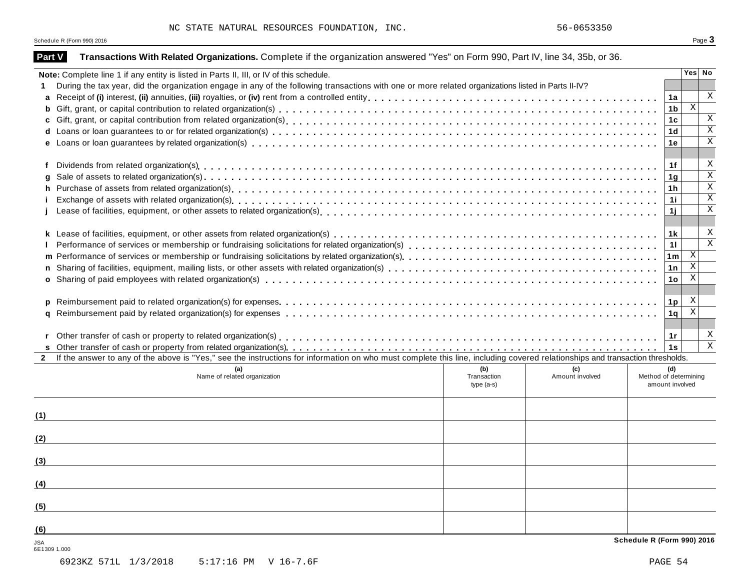Schedule R (Form 990) 2016  $\overline{\textbf{S}}$  Page  $\overline{\textbf{3}}$ 

| Part V              | Transactions With Related Organizations. Complete if the organization answered "Yes" on Form 990, Part IV, line 34, 35b, or 36.                                                                                               |             |                 |                            |                         |                         |  |  |  |  |
|---------------------|-------------------------------------------------------------------------------------------------------------------------------------------------------------------------------------------------------------------------------|-------------|-----------------|----------------------------|-------------------------|-------------------------|--|--|--|--|
|                     | Note: Complete line 1 if any entity is listed in Parts II, III, or IV of this schedule.                                                                                                                                       |             |                 |                            | Yes   No                |                         |  |  |  |  |
|                     | During the tax year, did the organization engage in any of the following transactions with one or more related organizations listed in Parts II-IV?                                                                           |             |                 |                            |                         |                         |  |  |  |  |
| a                   | 1a                                                                                                                                                                                                                            |             |                 |                            |                         |                         |  |  |  |  |
| b                   |                                                                                                                                                                                                                               |             |                 |                            |                         |                         |  |  |  |  |
| c                   |                                                                                                                                                                                                                               |             |                 |                            |                         |                         |  |  |  |  |
| d                   |                                                                                                                                                                                                                               |             |                 |                            |                         |                         |  |  |  |  |
|                     |                                                                                                                                                                                                                               |             |                 |                            |                         |                         |  |  |  |  |
|                     |                                                                                                                                                                                                                               |             |                 |                            |                         |                         |  |  |  |  |
| f                   |                                                                                                                                                                                                                               |             |                 | 1f                         |                         | X                       |  |  |  |  |
| q                   |                                                                                                                                                                                                                               |             |                 | 1 <sub>q</sub>             |                         | $\overline{\mathbf{x}}$ |  |  |  |  |
| h                   |                                                                                                                                                                                                                               |             |                 | 1 <sub>h</sub>             |                         | $\overline{\mathbf{x}}$ |  |  |  |  |
|                     | Exchange of assets with related organization(s) every even contact to contact the contact of the contact of the contact or contact or contact or contact or contact or contact or contact or contact or contact or contact or |             |                 | 11                         |                         | $\overline{\mathbf{x}}$ |  |  |  |  |
|                     |                                                                                                                                                                                                                               |             |                 | 1j                         |                         | $\mathbf X$             |  |  |  |  |
|                     |                                                                                                                                                                                                                               |             |                 |                            |                         |                         |  |  |  |  |
|                     |                                                                                                                                                                                                                               |             |                 | 1 <sub>k</sub>             |                         | X                       |  |  |  |  |
|                     |                                                                                                                                                                                                                               |             |                 | 11                         |                         | $\overline{\mathbf{x}}$ |  |  |  |  |
| m                   |                                                                                                                                                                                                                               |             |                 | 1m                         | $\mathbf{X}$            |                         |  |  |  |  |
| n                   |                                                                                                                                                                                                                               |             |                 | 1n                         | $\overline{\mathbf{x}}$ |                         |  |  |  |  |
| $\mathbf{o}$        |                                                                                                                                                                                                                               |             |                 | 1 <sub>o</sub>             | $\overline{\mathbf{x}}$ |                         |  |  |  |  |
|                     |                                                                                                                                                                                                                               |             |                 |                            |                         |                         |  |  |  |  |
| p                   |                                                                                                                                                                                                                               |             |                 | 1 <sub>p</sub>             | X                       |                         |  |  |  |  |
| a                   |                                                                                                                                                                                                                               |             |                 | 1q                         | $\overline{\mathbf{x}}$ |                         |  |  |  |  |
|                     |                                                                                                                                                                                                                               |             |                 |                            |                         |                         |  |  |  |  |
|                     |                                                                                                                                                                                                                               |             |                 | 1r                         |                         | X                       |  |  |  |  |
|                     |                                                                                                                                                                                                                               |             |                 | 1s                         |                         | $\overline{\mathbf{x}}$ |  |  |  |  |
| $\mathbf{2}$        | If the answer to any of the above is "Yes," see the instructions for information on who must complete this line, including covered relationships and transaction thresholds.                                                  |             |                 |                            |                         |                         |  |  |  |  |
|                     | (a)                                                                                                                                                                                                                           | (b)         | (c)             | (d)                        |                         |                         |  |  |  |  |
|                     | Name of related organization                                                                                                                                                                                                  | Transaction | Amount involved | Method of determining      |                         |                         |  |  |  |  |
|                     |                                                                                                                                                                                                                               | type (a-s)  |                 | amount involved            |                         |                         |  |  |  |  |
|                     |                                                                                                                                                                                                                               |             |                 |                            |                         |                         |  |  |  |  |
|                     |                                                                                                                                                                                                                               |             |                 |                            |                         |                         |  |  |  |  |
| (1)                 |                                                                                                                                                                                                                               |             |                 |                            |                         |                         |  |  |  |  |
|                     |                                                                                                                                                                                                                               |             |                 |                            |                         |                         |  |  |  |  |
| (2)                 |                                                                                                                                                                                                                               |             |                 |                            |                         |                         |  |  |  |  |
|                     |                                                                                                                                                                                                                               |             |                 |                            |                         |                         |  |  |  |  |
| (3)                 |                                                                                                                                                                                                                               |             |                 |                            |                         |                         |  |  |  |  |
|                     |                                                                                                                                                                                                                               |             |                 |                            |                         |                         |  |  |  |  |
| (4)                 |                                                                                                                                                                                                                               |             |                 |                            |                         |                         |  |  |  |  |
|                     |                                                                                                                                                                                                                               |             |                 |                            |                         |                         |  |  |  |  |
| (5)                 |                                                                                                                                                                                                                               |             |                 |                            |                         |                         |  |  |  |  |
|                     |                                                                                                                                                                                                                               |             |                 |                            |                         |                         |  |  |  |  |
| (6)                 |                                                                                                                                                                                                                               |             |                 |                            |                         |                         |  |  |  |  |
| JSA<br>6E1309 1.000 |                                                                                                                                                                                                                               |             |                 | Schedule R (Form 990) 2016 |                         |                         |  |  |  |  |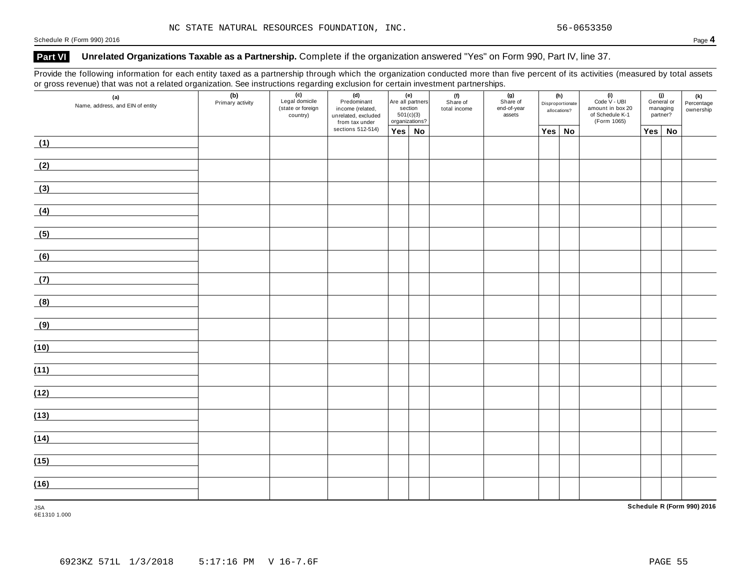## **Part VI Unrelated Organizations Taxable as a Partnership.** Complete if the organization answered "Yes" on Form 990, Part IV, line 37.

Provide the following information for each entity taxed as a partnership through which the organization conducted more than five percent of its activities (measured by total assets or gross revenue) that was not a related organization. See instructions regarding exclusion for certain investment partnerships.

| ັ<br>$\epsilon$<br>(a)<br>Name, address, and EIN of entity | ັ<br>(b)<br>Primary activity | (c)<br>Legal domicile<br>(state or foreign<br>country) |                   | (d)<br>Predominant<br>income (related,<br>unrelated, excluded<br>from tax under |        | (e)<br>Are all partners<br>section<br>501(c)(3)<br>organizations? |  | (f)<br>Share of<br>total income |           |  | (h)<br>Disproportionate<br>allocations? | $(i)$<br>Code $\vee$ - UBI<br>amount in box 20<br>of Schedule K-1<br>(Form 1065) | (j)<br>General or<br>managing<br>partner? |  | (k)<br>Percentage<br>ownership |
|------------------------------------------------------------|------------------------------|--------------------------------------------------------|-------------------|---------------------------------------------------------------------------------|--------|-------------------------------------------------------------------|--|---------------------------------|-----------|--|-----------------------------------------|----------------------------------------------------------------------------------|-------------------------------------------|--|--------------------------------|
|                                                            |                              |                                                        | sections 512-514) |                                                                                 | Yes No |                                                                   |  | <b>Yes</b>                      | <b>No</b> |  | Yes                                     | No                                                                               |                                           |  |                                |
| (1)                                                        |                              |                                                        |                   |                                                                                 |        |                                                                   |  |                                 |           |  |                                         |                                                                                  |                                           |  |                                |
| (2)                                                        |                              |                                                        |                   |                                                                                 |        |                                                                   |  |                                 |           |  |                                         |                                                                                  |                                           |  |                                |
| (3)                                                        |                              |                                                        |                   |                                                                                 |        |                                                                   |  |                                 |           |  |                                         |                                                                                  |                                           |  |                                |
| (4)                                                        |                              |                                                        |                   |                                                                                 |        |                                                                   |  |                                 |           |  |                                         |                                                                                  |                                           |  |                                |
| (5)                                                        |                              |                                                        |                   |                                                                                 |        |                                                                   |  |                                 |           |  |                                         |                                                                                  |                                           |  |                                |
| (6)                                                        |                              |                                                        |                   |                                                                                 |        |                                                                   |  |                                 |           |  |                                         |                                                                                  |                                           |  |                                |
| (7)                                                        |                              |                                                        |                   |                                                                                 |        |                                                                   |  |                                 |           |  |                                         |                                                                                  |                                           |  |                                |
| (8)                                                        |                              |                                                        |                   |                                                                                 |        |                                                                   |  |                                 |           |  |                                         |                                                                                  |                                           |  |                                |
| (9)                                                        |                              |                                                        |                   |                                                                                 |        |                                                                   |  |                                 |           |  |                                         |                                                                                  |                                           |  |                                |
| (10)                                                       |                              |                                                        |                   |                                                                                 |        |                                                                   |  |                                 |           |  |                                         |                                                                                  |                                           |  |                                |
| (11)                                                       |                              |                                                        |                   |                                                                                 |        |                                                                   |  |                                 |           |  |                                         |                                                                                  |                                           |  |                                |
| (12)                                                       |                              |                                                        |                   |                                                                                 |        |                                                                   |  |                                 |           |  |                                         |                                                                                  |                                           |  |                                |
| (13)                                                       |                              |                                                        |                   |                                                                                 |        |                                                                   |  |                                 |           |  |                                         |                                                                                  |                                           |  |                                |
| (14)                                                       |                              |                                                        |                   |                                                                                 |        |                                                                   |  |                                 |           |  |                                         |                                                                                  |                                           |  |                                |
| (15)                                                       |                              |                                                        |                   |                                                                                 |        |                                                                   |  |                                 |           |  |                                         |                                                                                  |                                           |  |                                |
| (16)                                                       |                              |                                                        |                   |                                                                                 |        |                                                                   |  |                                 |           |  |                                         |                                                                                  |                                           |  |                                |
| <b>JSA</b>                                                 |                              |                                                        |                   |                                                                                 |        |                                                                   |  |                                 |           |  |                                         |                                                                                  | Schedule R (Form 990) 2016                |  |                                |

6E1310 1.000